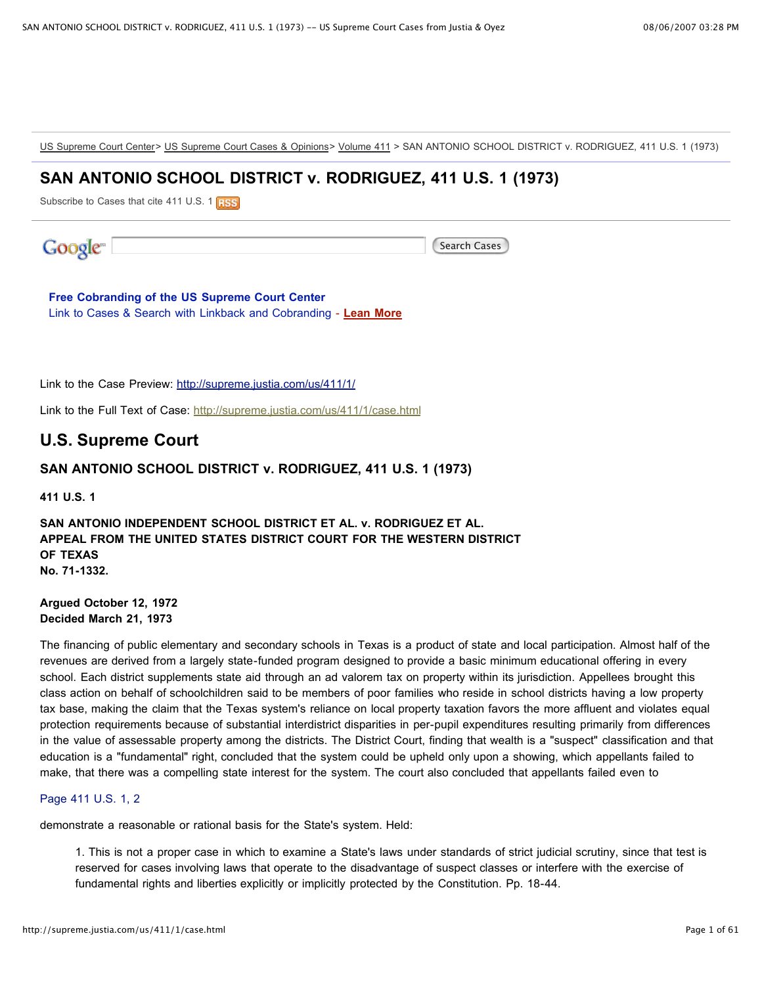US Supreme Court Center> US Supreme Court Cases & Opinions> Volume 411 > SAN ANTONIO SCHOOL DISTRICT v. RODRIGUEZ, 411 U.S. 1 (1973)

# **SAN ANTONIO SCHOOL DISTRICT v. RODRIGUEZ, 411 U.S. 1 (1973)**

Subscribe to Cases that cite 411 U.S. 1 **RSS** 

Google<sup>-</sup>

Search Cases

**Free Cobranding of the US Supreme Court Center** Link to Cases & Search with Linkback and Cobranding - **Lean More**

Link to the Case Preview: http://supreme.justia.com/us/411/1/

Link to the Full Text of Case: http://supreme.justia.com/us/411/1/case.html

# **U.S. Supreme Court**

# **SAN ANTONIO SCHOOL DISTRICT v. RODRIGUEZ, 411 U.S. 1 (1973)**

**411 U.S. 1**

**SAN ANTONIO INDEPENDENT SCHOOL DISTRICT ET AL. v. RODRIGUEZ ET AL. APPEAL FROM THE UNITED STATES DISTRICT COURT FOR THE WESTERN DISTRICT OF TEXAS No. 71-1332.**

# **Argued October 12, 1972 Decided March 21, 1973**

The financing of public elementary and secondary schools in Texas is a product of state and local participation. Almost half of the revenues are derived from a largely state-funded program designed to provide a basic minimum educational offering in every school. Each district supplements state aid through an ad valorem tax on property within its jurisdiction. Appellees brought this class action on behalf of schoolchildren said to be members of poor families who reside in school districts having a low property tax base, making the claim that the Texas system's reliance on local property taxation favors the more affluent and violates equal protection requirements because of substantial interdistrict disparities in per-pupil expenditures resulting primarily from differences in the value of assessable property among the districts. The District Court, finding that wealth is a "suspect" classification and that education is a "fundamental" right, concluded that the system could be upheld only upon a showing, which appellants failed to make, that there was a compelling state interest for the system. The court also concluded that appellants failed even to

# Page 411 U.S. 1, 2

demonstrate a reasonable or rational basis for the State's system. Held:

1. This is not a proper case in which to examine a State's laws under standards of strict judicial scrutiny, since that test is reserved for cases involving laws that operate to the disadvantage of suspect classes or interfere with the exercise of fundamental rights and liberties explicitly or implicitly protected by the Constitution. Pp. 18-44.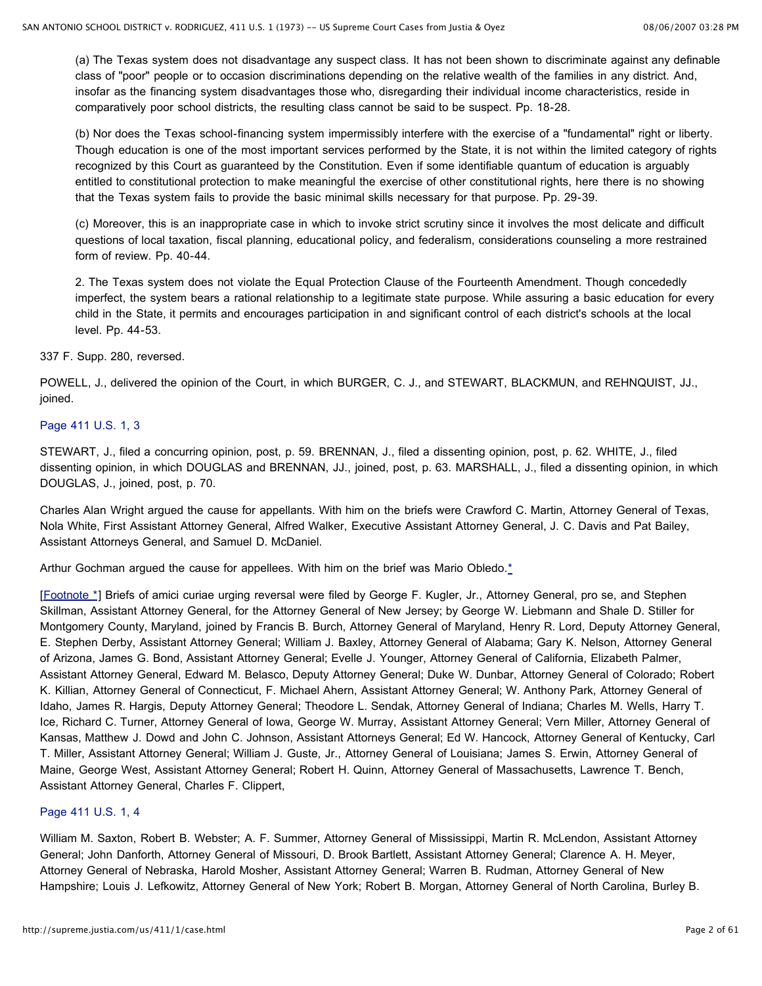(a) The Texas system does not disadvantage any suspect class. It has not been shown to discriminate against any definable class of "poor" people or to occasion discriminations depending on the relative wealth of the families in any district. And, insofar as the financing system disadvantages those who, disregarding their individual income characteristics, reside in comparatively poor school districts, the resulting class cannot be said to be suspect. Pp. 18-28.

(b) Nor does the Texas school-financing system impermissibly interfere with the exercise of a "fundamental" right or liberty. Though education is one of the most important services performed by the State, it is not within the limited category of rights recognized by this Court as guaranteed by the Constitution. Even if some identifiable quantum of education is arguably entitled to constitutional protection to make meaningful the exercise of other constitutional rights, here there is no showing that the Texas system fails to provide the basic minimal skills necessary for that purpose. Pp. 29-39.

(c) Moreover, this is an inappropriate case in which to invoke strict scrutiny since it involves the most delicate and difficult questions of local taxation, fiscal planning, educational policy, and federalism, considerations counseling a more restrained form of review. Pp. 40-44.

2. The Texas system does not violate the Equal Protection Clause of the Fourteenth Amendment. Though concededly imperfect, the system bears a rational relationship to a legitimate state purpose. While assuring a basic education for every child in the State, it permits and encourages participation in and significant control of each district's schools at the local level. Pp. 44-53.

# 337 F. Supp. 280, reversed.

POWELL, J., delivered the opinion of the Court, in which BURGER, C. J., and STEWART, BLACKMUN, and REHNQUIST, JJ., joined.

# Page 411 U.S. 1, 3

STEWART, J., filed a concurring opinion, post, p. 59. BRENNAN, J., filed a dissenting opinion, post, p. 62. WHITE, J., filed dissenting opinion, in which DOUGLAS and BRENNAN, JJ., joined, post, p. 63. MARSHALL, J., filed a dissenting opinion, in which DOUGLAS, J., joined, post, p. 70.

Charles Alan Wright argued the cause for appellants. With him on the briefs were Crawford C. Martin, Attorney General of Texas, Nola White, First Assistant Attorney General, Alfred Walker, Executive Assistant Attorney General, J. C. Davis and Pat Bailey, Assistant Attorneys General, and Samuel D. McDaniel.

Arthur Gochman argued the cause for appellees. With him on the brief was Mario Obledo.\*

[Footnote \*] Briefs of amici curiae urging reversal were filed by George F. Kugler, Jr., Attorney General, pro se, and Stephen Skillman, Assistant Attorney General, for the Attorney General of New Jersey; by George W. Liebmann and Shale D. Stiller for Montgomery County, Maryland, joined by Francis B. Burch, Attorney General of Maryland, Henry R. Lord, Deputy Attorney General, E. Stephen Derby, Assistant Attorney General; William J. Baxley, Attorney General of Alabama; Gary K. Nelson, Attorney General of Arizona, James G. Bond, Assistant Attorney General; Evelle J. Younger, Attorney General of California, Elizabeth Palmer, Assistant Attorney General, Edward M. Belasco, Deputy Attorney General; Duke W. Dunbar, Attorney General of Colorado; Robert K. Killian, Attorney General of Connecticut, F. Michael Ahern, Assistant Attorney General; W. Anthony Park, Attorney General of Idaho, James R. Hargis, Deputy Attorney General; Theodore L. Sendak, Attorney General of Indiana; Charles M. Wells, Harry T. Ice, Richard C. Turner, Attorney General of Iowa, George W. Murray, Assistant Attorney General; Vern Miller, Attorney General of Kansas, Matthew J. Dowd and John C. Johnson, Assistant Attorneys General; Ed W. Hancock, Attorney General of Kentucky, Carl T. Miller, Assistant Attorney General; William J. Guste, Jr., Attorney General of Louisiana; James S. Erwin, Attorney General of Maine, George West, Assistant Attorney General; Robert H. Quinn, Attorney General of Massachusetts, Lawrence T. Bench, Assistant Attorney General, Charles F. Clippert,

# Page 411 U.S. 1, 4

William M. Saxton, Robert B. Webster; A. F. Summer, Attorney General of Mississippi, Martin R. McLendon, Assistant Attorney General; John Danforth, Attorney General of Missouri, D. Brook Bartlett, Assistant Attorney General; Clarence A. H. Meyer, Attorney General of Nebraska, Harold Mosher, Assistant Attorney General; Warren B. Rudman, Attorney General of New Hampshire; Louis J. Lefkowitz, Attorney General of New York; Robert B. Morgan, Attorney General of North Carolina, Burley B.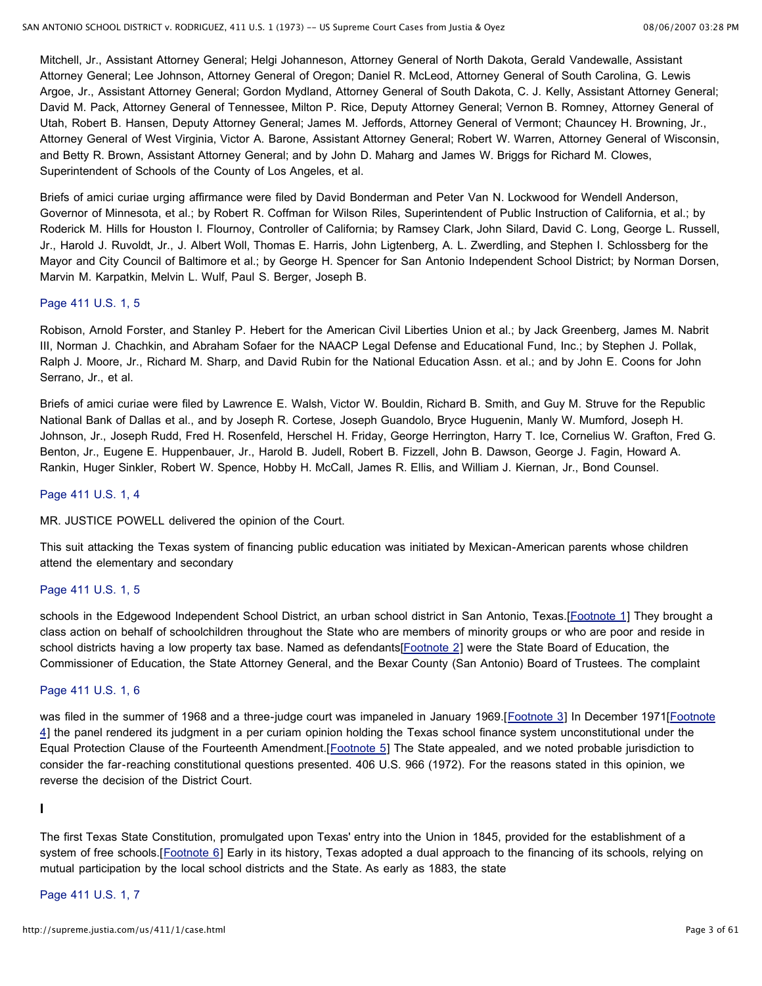Mitchell, Jr., Assistant Attorney General; Helgi Johanneson, Attorney General of North Dakota, Gerald Vandewalle, Assistant Attorney General; Lee Johnson, Attorney General of Oregon; Daniel R. McLeod, Attorney General of South Carolina, G. Lewis Argoe, Jr., Assistant Attorney General; Gordon Mydland, Attorney General of South Dakota, C. J. Kelly, Assistant Attorney General; David M. Pack, Attorney General of Tennessee, Milton P. Rice, Deputy Attorney General; Vernon B. Romney, Attorney General of Utah, Robert B. Hansen, Deputy Attorney General; James M. Jeffords, Attorney General of Vermont; Chauncey H. Browning, Jr., Attorney General of West Virginia, Victor A. Barone, Assistant Attorney General; Robert W. Warren, Attorney General of Wisconsin, and Betty R. Brown, Assistant Attorney General; and by John D. Maharg and James W. Briggs for Richard M. Clowes, Superintendent of Schools of the County of Los Angeles, et al.

Briefs of amici curiae urging affirmance were filed by David Bonderman and Peter Van N. Lockwood for Wendell Anderson, Governor of Minnesota, et al.; by Robert R. Coffman for Wilson Riles, Superintendent of Public Instruction of California, et al.; by Roderick M. Hills for Houston I. Flournoy, Controller of California; by Ramsey Clark, John Silard, David C. Long, George L. Russell, Jr., Harold J. Ruvoldt, Jr., J. Albert Woll, Thomas E. Harris, John Ligtenberg, A. L. Zwerdling, and Stephen I. Schlossberg for the Mayor and City Council of Baltimore et al.; by George H. Spencer for San Antonio Independent School District; by Norman Dorsen, Marvin M. Karpatkin, Melvin L. Wulf, Paul S. Berger, Joseph B.

#### Page 411 U.S. 1, 5

Robison, Arnold Forster, and Stanley P. Hebert for the American Civil Liberties Union et al.; by Jack Greenberg, James M. Nabrit III, Norman J. Chachkin, and Abraham Sofaer for the NAACP Legal Defense and Educational Fund, Inc.; by Stephen J. Pollak, Ralph J. Moore, Jr., Richard M. Sharp, and David Rubin for the National Education Assn. et al.; and by John E. Coons for John Serrano, Jr., et al.

Briefs of amici curiae were filed by Lawrence E. Walsh, Victor W. Bouldin, Richard B. Smith, and Guy M. Struve for the Republic National Bank of Dallas et al., and by Joseph R. Cortese, Joseph Guandolo, Bryce Huguenin, Manly W. Mumford, Joseph H. Johnson, Jr., Joseph Rudd, Fred H. Rosenfeld, Herschel H. Friday, George Herrington, Harry T. Ice, Cornelius W. Grafton, Fred G. Benton, Jr., Eugene E. Huppenbauer, Jr., Harold B. Judell, Robert B. Fizzell, John B. Dawson, George J. Fagin, Howard A. Rankin, Huger Sinkler, Robert W. Spence, Hobby H. McCall, James R. Ellis, and William J. Kiernan, Jr., Bond Counsel.

#### Page 411 U.S. 1, 4

MR. JUSTICE POWELL delivered the opinion of the Court.

This suit attacking the Texas system of financing public education was initiated by Mexican-American parents whose children attend the elementary and secondary

# Page 411 U.S. 1, 5

schools in the Edgewood Independent School District, an urban school district in San Antonio, Texas.[Footnote 1] They brought a class action on behalf of schoolchildren throughout the State who are members of minority groups or who are poor and reside in school districts having a low property tax base. Named as defendants[Footnote 2] were the State Board of Education, the Commissioner of Education, the State Attorney General, and the Bexar County (San Antonio) Board of Trustees. The complaint

#### Page 411 U.S. 1, 6

was filed in the summer of 1968 and a three-judge court was impaneled in January 1969.[Footnote 3] In December 1971[Footnote 4] the panel rendered its judgment in a per curiam opinion holding the Texas school finance system unconstitutional under the Equal Protection Clause of the Fourteenth Amendment.[Footnote 5] The State appealed, and we noted probable jurisdiction to consider the far-reaching constitutional questions presented. 406 U.S. 966 (1972). For the reasons stated in this opinion, we reverse the decision of the District Court.

# **I**

The first Texas State Constitution, promulgated upon Texas' entry into the Union in 1845, provided for the establishment of a system of free schools. [Footnote 6] Early in its history, Texas adopted a dual approach to the financing of its schools, relying on mutual participation by the local school districts and the State. As early as 1883, the state

# Page 411 U.S. 1, 7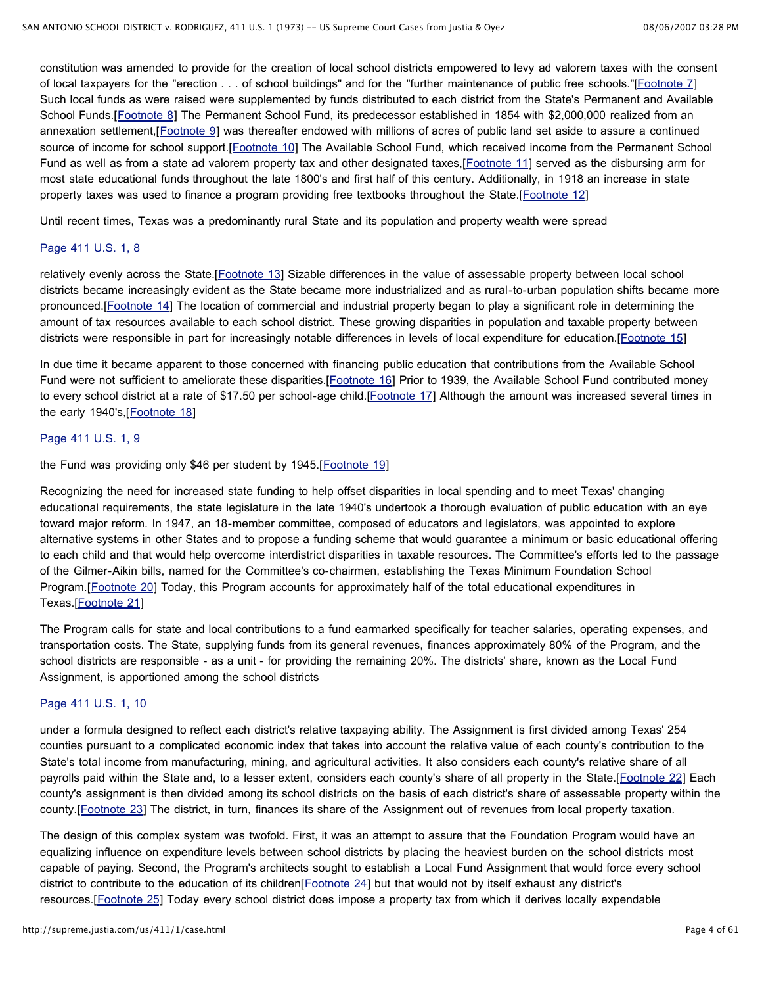constitution was amended to provide for the creation of local school districts empowered to levy ad valorem taxes with the consent of local taxpayers for the "erection . . . of school buildings" and for the "further maintenance of public free schools."[Footnote 7] Such local funds as were raised were supplemented by funds distributed to each district from the State's Permanent and Available School Funds.[Footnote 8] The Permanent School Fund, its predecessor established in 1854 with \$2,000,000 realized from an annexation settlement, [Footnote 9] was thereafter endowed with millions of acres of public land set aside to assure a continued source of income for school support.[Footnote 10] The Available School Fund, which received income from the Permanent School Fund as well as from a state ad valorem property tax and other designated taxes, [Footnote 11] served as the disbursing arm for most state educational funds throughout the late 1800's and first half of this century. Additionally, in 1918 an increase in state property taxes was used to finance a program providing free textbooks throughout the State.[Footnote 12]

Until recent times, Texas was a predominantly rural State and its population and property wealth were spread

# Page 411 U.S. 1, 8

relatively evenly across the State.[Footnote 13] Sizable differences in the value of assessable property between local school districts became increasingly evident as the State became more industrialized and as rural-to-urban population shifts became more pronounced.[Footnote 14] The location of commercial and industrial property began to play a significant role in determining the amount of tax resources available to each school district. These growing disparities in population and taxable property between districts were responsible in part for increasingly notable differences in levels of local expenditure for education.[Footnote 15]

In due time it became apparent to those concerned with financing public education that contributions from the Available School Fund were not sufficient to ameliorate these disparities.[Footnote 16] Prior to 1939, the Available School Fund contributed money to every school district at a rate of \$17.50 per school-age child.[Footnote 17] Although the amount was increased several times in the early 1940's,[Footnote 18]

# Page 411 U.S. 1, 9

the Fund was providing only \$46 per student by 1945.[Footnote 19]

Recognizing the need for increased state funding to help offset disparities in local spending and to meet Texas' changing educational requirements, the state legislature in the late 1940's undertook a thorough evaluation of public education with an eye toward major reform. In 1947, an 18-member committee, composed of educators and legislators, was appointed to explore alternative systems in other States and to propose a funding scheme that would guarantee a minimum or basic educational offering to each child and that would help overcome interdistrict disparities in taxable resources. The Committee's efforts led to the passage of the Gilmer-Aikin bills, named for the Committee's co-chairmen, establishing the Texas Minimum Foundation School Program.[Footnote 20] Today, this Program accounts for approximately half of the total educational expenditures in Texas.[Footnote 21]

The Program calls for state and local contributions to a fund earmarked specifically for teacher salaries, operating expenses, and transportation costs. The State, supplying funds from its general revenues, finances approximately 80% of the Program, and the school districts are responsible - as a unit - for providing the remaining 20%. The districts' share, known as the Local Fund Assignment, is apportioned among the school districts

# Page 411 U.S. 1, 10

under a formula designed to reflect each district's relative taxpaying ability. The Assignment is first divided among Texas' 254 counties pursuant to a complicated economic index that takes into account the relative value of each county's contribution to the State's total income from manufacturing, mining, and agricultural activities. It also considers each county's relative share of all payrolls paid within the State and, to a lesser extent, considers each county's share of all property in the State.[Footnote 22] Each county's assignment is then divided among its school districts on the basis of each district's share of assessable property within the county.[Footnote 23] The district, in turn, finances its share of the Assignment out of revenues from local property taxation.

The design of this complex system was twofold. First, it was an attempt to assure that the Foundation Program would have an equalizing influence on expenditure levels between school districts by placing the heaviest burden on the school districts most capable of paying. Second, the Program's architects sought to establish a Local Fund Assignment that would force every school district to contribute to the education of its children [Footnote 24] but that would not by itself exhaust any district's resources. [Footnote 25] Today every school district does impose a property tax from which it derives locally expendable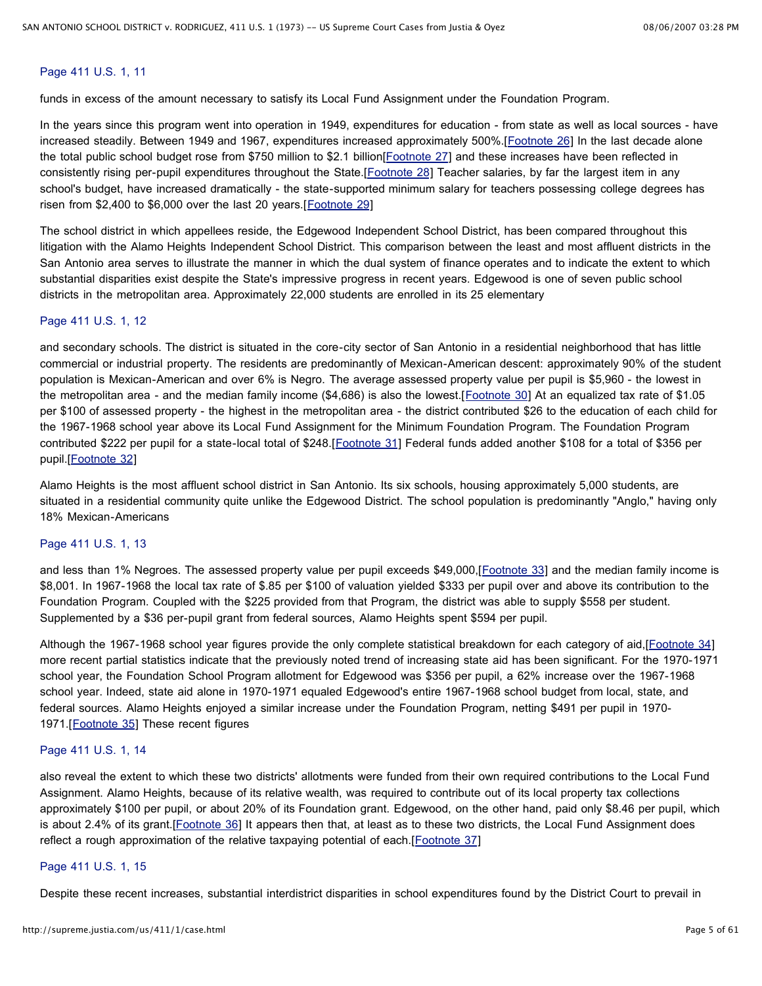# Page 411 U.S. 1, 11

funds in excess of the amount necessary to satisfy its Local Fund Assignment under the Foundation Program.

In the years since this program went into operation in 1949, expenditures for education - from state as well as local sources - have increased steadily. Between 1949 and 1967, expenditures increased approximately 500%.[Footnote 26] In the last decade alone the total public school budget rose from \$750 million to \$2.1 billion[Footnote 27] and these increases have been reflected in consistently rising per-pupil expenditures throughout the State.[Footnote 28] Teacher salaries, by far the largest item in any school's budget, have increased dramatically - the state-supported minimum salary for teachers possessing college degrees has risen from \$2,400 to \$6,000 over the last 20 years.[Footnote 29]

The school district in which appellees reside, the Edgewood Independent School District, has been compared throughout this litigation with the Alamo Heights Independent School District. This comparison between the least and most affluent districts in the San Antonio area serves to illustrate the manner in which the dual system of finance operates and to indicate the extent to which substantial disparities exist despite the State's impressive progress in recent years. Edgewood is one of seven public school districts in the metropolitan area. Approximately 22,000 students are enrolled in its 25 elementary

# Page 411 U.S. 1, 12

and secondary schools. The district is situated in the core-city sector of San Antonio in a residential neighborhood that has little commercial or industrial property. The residents are predominantly of Mexican-American descent: approximately 90% of the student population is Mexican-American and over 6% is Negro. The average assessed property value per pupil is \$5,960 - the lowest in the metropolitan area - and the median family income (\$4,686) is also the lowest.[Footnote 30] At an equalized tax rate of \$1.05 per \$100 of assessed property - the highest in the metropolitan area - the district contributed \$26 to the education of each child for the 1967-1968 school year above its Local Fund Assignment for the Minimum Foundation Program. The Foundation Program contributed \$222 per pupil for a state-local total of \$248.[Footnote 31] Federal funds added another \$108 for a total of \$356 per pupil.[Footnote 32]

Alamo Heights is the most affluent school district in San Antonio. Its six schools, housing approximately 5,000 students, are situated in a residential community quite unlike the Edgewood District. The school population is predominantly "Anglo," having only 18% Mexican-Americans

# Page 411 U.S. 1, 13

and less than 1% Negroes. The assessed property value per pupil exceeds \$49,000,[Footnote 33] and the median family income is \$8,001. In 1967-1968 the local tax rate of \$.85 per \$100 of valuation yielded \$333 per pupil over and above its contribution to the Foundation Program. Coupled with the \$225 provided from that Program, the district was able to supply \$558 per student. Supplemented by a \$36 per-pupil grant from federal sources, Alamo Heights spent \$594 per pupil.

Although the 1967-1968 school year figures provide the only complete statistical breakdown for each category of aid,[Footnote 34] more recent partial statistics indicate that the previously noted trend of increasing state aid has been significant. For the 1970-1971 school year, the Foundation School Program allotment for Edgewood was \$356 per pupil, a 62% increase over the 1967-1968 school year. Indeed, state aid alone in 1970-1971 equaled Edgewood's entire 1967-1968 school budget from local, state, and federal sources. Alamo Heights enjoyed a similar increase under the Foundation Program, netting \$491 per pupil in 1970- 1971.[Footnote 35] These recent figures

# Page 411 U.S. 1, 14

also reveal the extent to which these two districts' allotments were funded from their own required contributions to the Local Fund Assignment. Alamo Heights, because of its relative wealth, was required to contribute out of its local property tax collections approximately \$100 per pupil, or about 20% of its Foundation grant. Edgewood, on the other hand, paid only \$8.46 per pupil, which is about 2.4% of its grant.[Footnote 36] It appears then that, at least as to these two districts, the Local Fund Assignment does reflect a rough approximation of the relative taxpaying potential of each. [Footnote 37]

# Page 411 U.S. 1, 15

Despite these recent increases, substantial interdistrict disparities in school expenditures found by the District Court to prevail in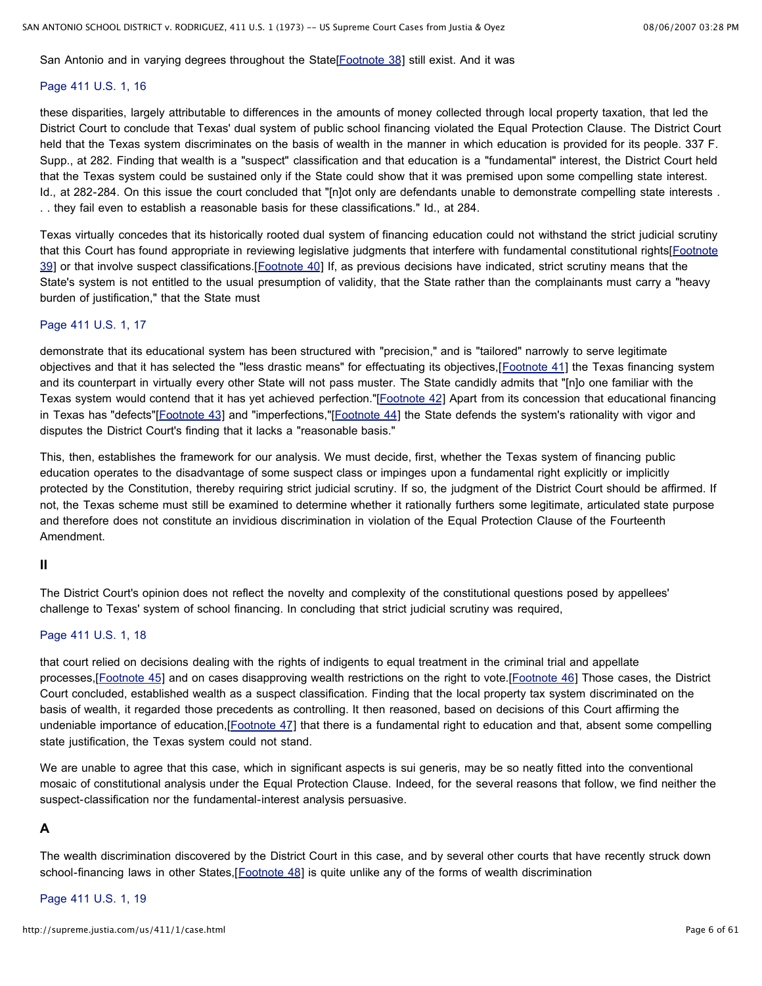San Antonio and in varying degrees throughout the State[Footnote 38] still exist. And it was

### Page 411 U.S. 1, 16

these disparities, largely attributable to differences in the amounts of money collected through local property taxation, that led the District Court to conclude that Texas' dual system of public school financing violated the Equal Protection Clause. The District Court held that the Texas system discriminates on the basis of wealth in the manner in which education is provided for its people. 337 F. Supp., at 282. Finding that wealth is a "suspect" classification and that education is a "fundamental" interest, the District Court held that the Texas system could be sustained only if the State could show that it was premised upon some compelling state interest. Id., at 282-284. On this issue the court concluded that "[n]ot only are defendants unable to demonstrate compelling state interests. . . they fail even to establish a reasonable basis for these classifications." Id., at 284.

Texas virtually concedes that its historically rooted dual system of financing education could not withstand the strict judicial scrutiny that this Court has found appropriate in reviewing legislative judgments that interfere with fundamental constitutional rights[Footnote 39] or that involve suspect classifications.[Footnote 40] If, as previous decisions have indicated, strict scrutiny means that the State's system is not entitled to the usual presumption of validity, that the State rather than the complainants must carry a "heavy burden of justification," that the State must

# Page 411 U.S. 1, 17

demonstrate that its educational system has been structured with "precision," and is "tailored" narrowly to serve legitimate objectives and that it has selected the "less drastic means" for effectuating its objectives,[Footnote 41] the Texas financing system and its counterpart in virtually every other State will not pass muster. The State candidly admits that "[n]o one familiar with the Texas system would contend that it has yet achieved perfection."[Footnote 42] Apart from its concession that educational financing in Texas has "defects"[Footnote 43] and "imperfections,"[Footnote 44] the State defends the system's rationality with vigor and disputes the District Court's finding that it lacks a "reasonable basis."

This, then, establishes the framework for our analysis. We must decide, first, whether the Texas system of financing public education operates to the disadvantage of some suspect class or impinges upon a fundamental right explicitly or implicitly protected by the Constitution, thereby requiring strict judicial scrutiny. If so, the judgment of the District Court should be affirmed. If not, the Texas scheme must still be examined to determine whether it rationally furthers some legitimate, articulated state purpose and therefore does not constitute an invidious discrimination in violation of the Equal Protection Clause of the Fourteenth Amendment.

# **II**

The District Court's opinion does not reflect the novelty and complexity of the constitutional questions posed by appellees' challenge to Texas' system of school financing. In concluding that strict judicial scrutiny was required,

#### Page 411 U.S. 1, 18

that court relied on decisions dealing with the rights of indigents to equal treatment in the criminal trial and appellate processes,[Footnote 45] and on cases disapproving wealth restrictions on the right to vote.[Footnote 46] Those cases, the District Court concluded, established wealth as a suspect classification. Finding that the local property tax system discriminated on the basis of wealth, it regarded those precedents as controlling. It then reasoned, based on decisions of this Court affirming the undeniable importance of education, [Footnote 47] that there is a fundamental right to education and that, absent some compelling state justification, the Texas system could not stand.

We are unable to agree that this case, which in significant aspects is sui generis, may be so neatly fitted into the conventional mosaic of constitutional analysis under the Equal Protection Clause. Indeed, for the several reasons that follow, we find neither the suspect-classification nor the fundamental-interest analysis persuasive.

# **A**

The wealth discrimination discovered by the District Court in this case, and by several other courts that have recently struck down school-financing laws in other States,[Footnote 48] is quite unlike any of the forms of wealth discrimination

#### Page 411 U.S. 1, 19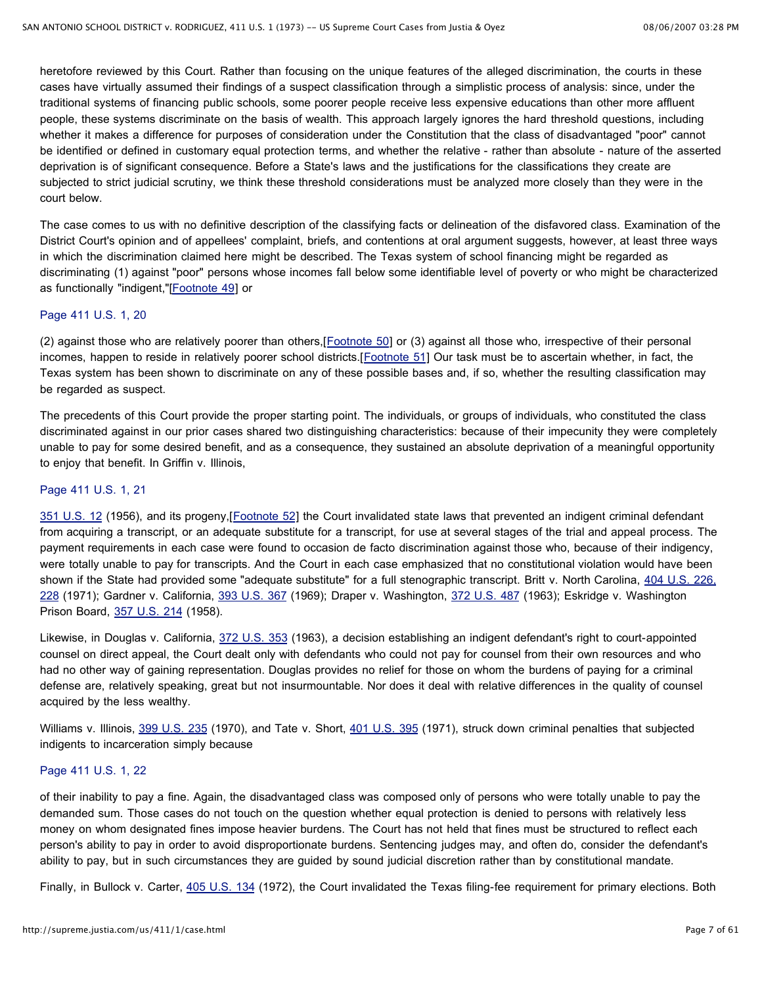heretofore reviewed by this Court. Rather than focusing on the unique features of the alleged discrimination, the courts in these cases have virtually assumed their findings of a suspect classification through a simplistic process of analysis: since, under the traditional systems of financing public schools, some poorer people receive less expensive educations than other more affluent people, these systems discriminate on the basis of wealth. This approach largely ignores the hard threshold questions, including whether it makes a difference for purposes of consideration under the Constitution that the class of disadvantaged "poor" cannot be identified or defined in customary equal protection terms, and whether the relative - rather than absolute - nature of the asserted deprivation is of significant consequence. Before a State's laws and the justifications for the classifications they create are subjected to strict judicial scrutiny, we think these threshold considerations must be analyzed more closely than they were in the court below.

The case comes to us with no definitive description of the classifying facts or delineation of the disfavored class. Examination of the District Court's opinion and of appellees' complaint, briefs, and contentions at oral argument suggests, however, at least three ways in which the discrimination claimed here might be described. The Texas system of school financing might be regarded as discriminating (1) against "poor" persons whose incomes fall below some identifiable level of poverty or who might be characterized as functionally "indigent,"[Footnote 49] or

# Page 411 U.S. 1, 20

(2) against those who are relatively poorer than others,[Footnote 50] or (3) against all those who, irrespective of their personal incomes, happen to reside in relatively poorer school districts.[Footnote 51] Our task must be to ascertain whether, in fact, the Texas system has been shown to discriminate on any of these possible bases and, if so, whether the resulting classification may be regarded as suspect.

The precedents of this Court provide the proper starting point. The individuals, or groups of individuals, who constituted the class discriminated against in our prior cases shared two distinguishing characteristics: because of their impecunity they were completely unable to pay for some desired benefit, and as a consequence, they sustained an absolute deprivation of a meaningful opportunity to enjoy that benefit. In Griffin v. Illinois,

### Page 411 U.S. 1, 21

351 U.S. 12 (1956), and its progeny,[Footnote 52] the Court invalidated state laws that prevented an indigent criminal defendant from acquiring a transcript, or an adequate substitute for a transcript, for use at several stages of the trial and appeal process. The payment requirements in each case were found to occasion de facto discrimination against those who, because of their indigency, were totally unable to pay for transcripts. And the Court in each case emphasized that no constitutional violation would have been shown if the State had provided some "adequate substitute" for a full stenographic transcript. Britt v. North Carolina, 404 U.S. 226, 228 (1971); Gardner v. California, 393 U.S. 367 (1969); Draper v. Washington, 372 U.S. 487 (1963); Eskridge v. Washington Prison Board, 357 U.S. 214 (1958).

Likewise, in Douglas v. California, 372 U.S. 353 (1963), a decision establishing an indigent defendant's right to court-appointed counsel on direct appeal, the Court dealt only with defendants who could not pay for counsel from their own resources and who had no other way of gaining representation. Douglas provides no relief for those on whom the burdens of paying for a criminal defense are, relatively speaking, great but not insurmountable. Nor does it deal with relative differences in the quality of counsel acquired by the less wealthy.

Williams v. Illinois, 399 U.S. 235 (1970), and Tate v. Short, 401 U.S. 395 (1971), struck down criminal penalties that subjected indigents to incarceration simply because

# Page 411 U.S. 1, 22

of their inability to pay a fine. Again, the disadvantaged class was composed only of persons who were totally unable to pay the demanded sum. Those cases do not touch on the question whether equal protection is denied to persons with relatively less money on whom designated fines impose heavier burdens. The Court has not held that fines must be structured to reflect each person's ability to pay in order to avoid disproportionate burdens. Sentencing judges may, and often do, consider the defendant's ability to pay, but in such circumstances they are guided by sound judicial discretion rather than by constitutional mandate.

Finally, in Bullock v. Carter, 405 U.S. 134 (1972), the Court invalidated the Texas filing-fee requirement for primary elections. Both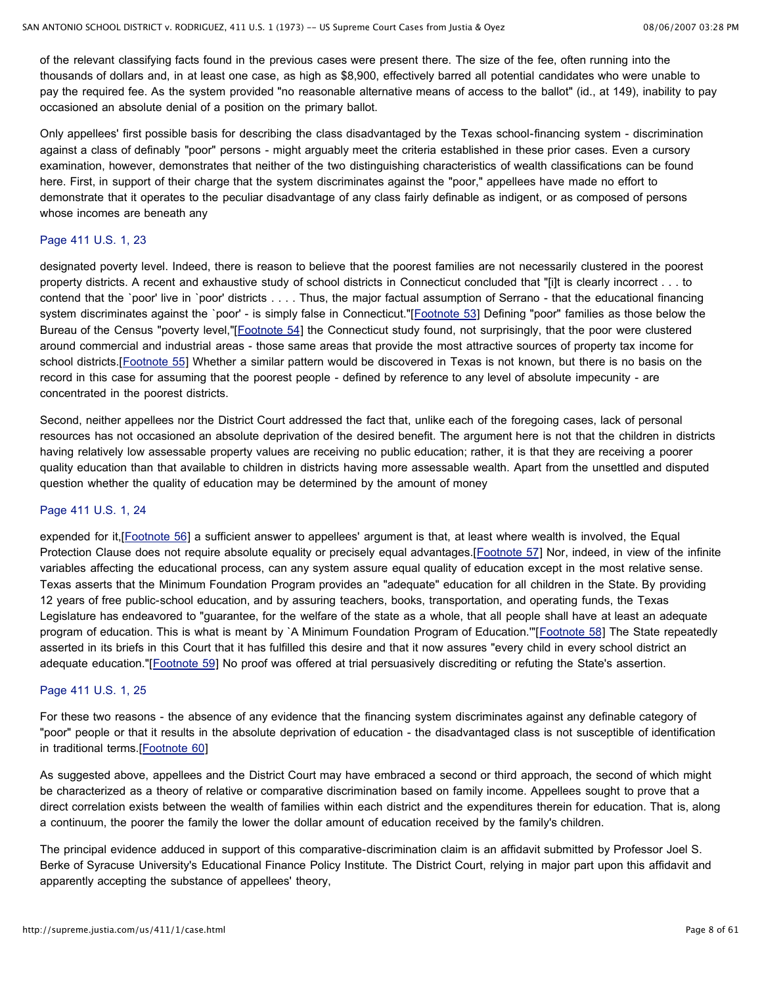of the relevant classifying facts found in the previous cases were present there. The size of the fee, often running into the thousands of dollars and, in at least one case, as high as \$8,900, effectively barred all potential candidates who were unable to pay the required fee. As the system provided "no reasonable alternative means of access to the ballot" (id., at 149), inability to pay occasioned an absolute denial of a position on the primary ballot.

Only appellees' first possible basis for describing the class disadvantaged by the Texas school-financing system - discrimination against a class of definably "poor" persons - might arguably meet the criteria established in these prior cases. Even a cursory examination, however, demonstrates that neither of the two distinguishing characteristics of wealth classifications can be found here. First, in support of their charge that the system discriminates against the "poor," appellees have made no effort to demonstrate that it operates to the peculiar disadvantage of any class fairly definable as indigent, or as composed of persons whose incomes are beneath any

# Page 411 U.S. 1, 23

designated poverty level. Indeed, there is reason to believe that the poorest families are not necessarily clustered in the poorest property districts. A recent and exhaustive study of school districts in Connecticut concluded that "[i]t is clearly incorrect . . . to contend that the `poor' live in `poor' districts . . . . Thus, the major factual assumption of Serrano - that the educational financing system discriminates against the `poor' - is simply false in Connecticut."[Footnote 53] Defining "poor" families as those below the Bureau of the Census "poverty level,"[Footnote 54] the Connecticut study found, not surprisingly, that the poor were clustered around commercial and industrial areas - those same areas that provide the most attractive sources of property tax income for school districts.[Footnote 55] Whether a similar pattern would be discovered in Texas is not known, but there is no basis on the record in this case for assuming that the poorest people - defined by reference to any level of absolute impecunity - are concentrated in the poorest districts.

Second, neither appellees nor the District Court addressed the fact that, unlike each of the foregoing cases, lack of personal resources has not occasioned an absolute deprivation of the desired benefit. The argument here is not that the children in districts having relatively low assessable property values are receiving no public education; rather, it is that they are receiving a poorer quality education than that available to children in districts having more assessable wealth. Apart from the unsettled and disputed question whether the quality of education may be determined by the amount of money

# Page 411 U.S. 1, 24

expended for it,[Footnote 56] a sufficient answer to appellees' argument is that, at least where wealth is involved, the Equal Protection Clause does not require absolute equality or precisely equal advantages.[Footnote 57] Nor, indeed, in view of the infinite variables affecting the educational process, can any system assure equal quality of education except in the most relative sense. Texas asserts that the Minimum Foundation Program provides an "adequate" education for all children in the State. By providing 12 years of free public-school education, and by assuring teachers, books, transportation, and operating funds, the Texas Legislature has endeavored to "guarantee, for the welfare of the state as a whole, that all people shall have at least an adequate program of education. This is what is meant by `A Minimum Foundation Program of Education.'"[Footnote 58] The State repeatedly asserted in its briefs in this Court that it has fulfilled this desire and that it now assures "every child in every school district an adequate education."[Footnote 59] No proof was offered at trial persuasively discrediting or refuting the State's assertion.

# Page 411 U.S. 1, 25

For these two reasons - the absence of any evidence that the financing system discriminates against any definable category of "poor" people or that it results in the absolute deprivation of education - the disadvantaged class is not susceptible of identification in traditional terms.[Footnote 60]

As suggested above, appellees and the District Court may have embraced a second or third approach, the second of which might be characterized as a theory of relative or comparative discrimination based on family income. Appellees sought to prove that a direct correlation exists between the wealth of families within each district and the expenditures therein for education. That is, along a continuum, the poorer the family the lower the dollar amount of education received by the family's children.

The principal evidence adduced in support of this comparative-discrimination claim is an affidavit submitted by Professor Joel S. Berke of Syracuse University's Educational Finance Policy Institute. The District Court, relying in major part upon this affidavit and apparently accepting the substance of appellees' theory,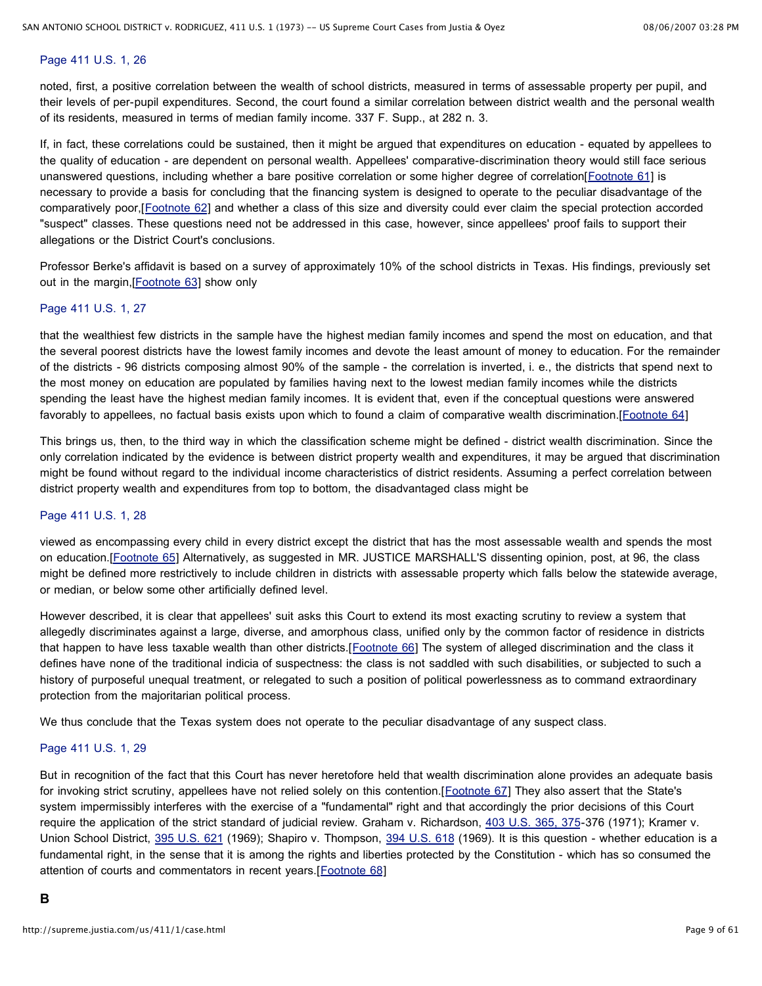# Page 411 U.S. 1, 26

noted, first, a positive correlation between the wealth of school districts, measured in terms of assessable property per pupil, and their levels of per-pupil expenditures. Second, the court found a similar correlation between district wealth and the personal wealth of its residents, measured in terms of median family income. 337 F. Supp., at 282 n. 3.

If, in fact, these correlations could be sustained, then it might be argued that expenditures on education - equated by appellees to the quality of education - are dependent on personal wealth. Appellees' comparative-discrimination theory would still face serious unanswered questions, including whether a bare positive correlation or some higher degree of correlation[Footnote 61] is necessary to provide a basis for concluding that the financing system is designed to operate to the peculiar disadvantage of the comparatively poor,[Footnote 62] and whether a class of this size and diversity could ever claim the special protection accorded "suspect" classes. These questions need not be addressed in this case, however, since appellees' proof fails to support their allegations or the District Court's conclusions.

Professor Berke's affidavit is based on a survey of approximately 10% of the school districts in Texas. His findings, previously set out in the margin, [Footnote 63] show only

#### Page 411 U.S. 1, 27

that the wealthiest few districts in the sample have the highest median family incomes and spend the most on education, and that the several poorest districts have the lowest family incomes and devote the least amount of money to education. For the remainder of the districts - 96 districts composing almost 90% of the sample - the correlation is inverted, i. e., the districts that spend next to the most money on education are populated by families having next to the lowest median family incomes while the districts spending the least have the highest median family incomes. It is evident that, even if the conceptual questions were answered favorably to appellees, no factual basis exists upon which to found a claim of comparative wealth discrimination.[Footnote 64]

This brings us, then, to the third way in which the classification scheme might be defined - district wealth discrimination. Since the only correlation indicated by the evidence is between district property wealth and expenditures, it may be argued that discrimination might be found without regard to the individual income characteristics of district residents. Assuming a perfect correlation between district property wealth and expenditures from top to bottom, the disadvantaged class might be

#### Page 411 U.S. 1, 28

viewed as encompassing every child in every district except the district that has the most assessable wealth and spends the most on education. [Footnote 65] Alternatively, as suggested in MR. JUSTICE MARSHALL'S dissenting opinion, post, at 96, the class might be defined more restrictively to include children in districts with assessable property which falls below the statewide average, or median, or below some other artificially defined level.

However described, it is clear that appellees' suit asks this Court to extend its most exacting scrutiny to review a system that allegedly discriminates against a large, diverse, and amorphous class, unified only by the common factor of residence in districts that happen to have less taxable wealth than other districts.[Footnote 66] The system of alleged discrimination and the class it defines have none of the traditional indicia of suspectness: the class is not saddled with such disabilities, or subjected to such a history of purposeful unequal treatment, or relegated to such a position of political powerlessness as to command extraordinary protection from the majoritarian political process.

We thus conclude that the Texas system does not operate to the peculiar disadvantage of any suspect class.

#### Page 411 U.S. 1, 29

But in recognition of the fact that this Court has never heretofore held that wealth discrimination alone provides an adequate basis for invoking strict scrutiny, appellees have not relied solely on this contention.[Footnote 67] They also assert that the State's system impermissibly interferes with the exercise of a "fundamental" right and that accordingly the prior decisions of this Court require the application of the strict standard of judicial review. Graham v. Richardson, 403 U.S. 365, 375-376 (1971); Kramer v. Union School District, 395 U.S. 621 (1969); Shapiro v. Thompson, 394 U.S. 618 (1969). It is this question - whether education is a fundamental right, in the sense that it is among the rights and liberties protected by the Constitution - which has so consumed the attention of courts and commentators in recent years.[Footnote 68]

# **B**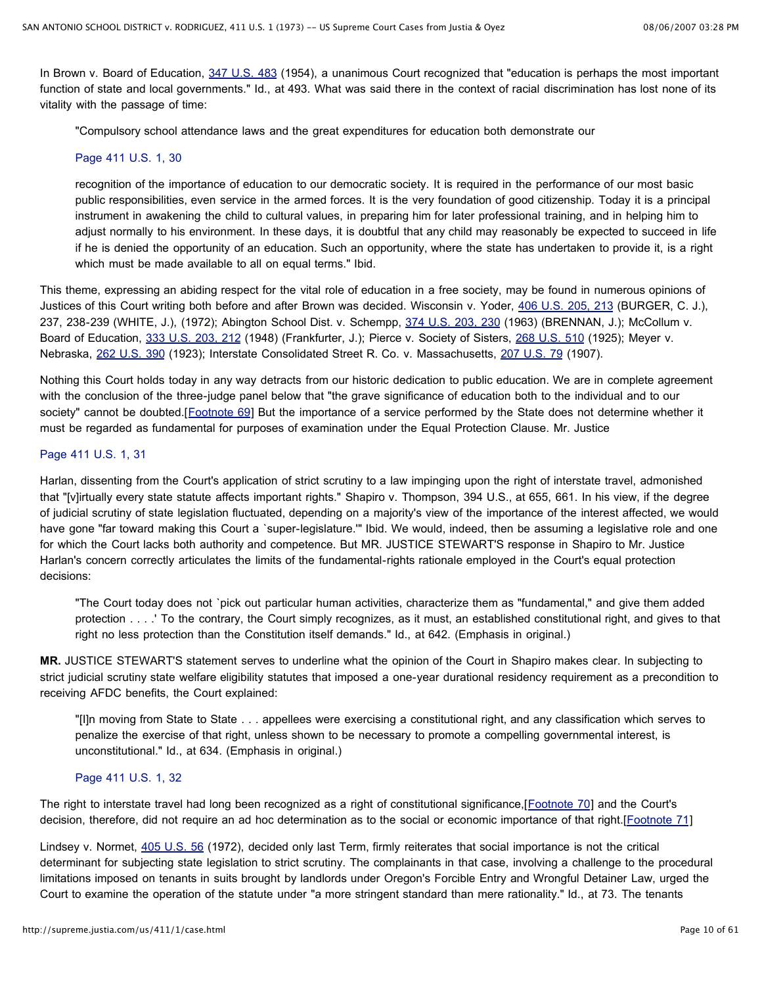In Brown v. Board of Education, 347 U.S. 483 (1954), a unanimous Court recognized that "education is perhaps the most important function of state and local governments." Id., at 493. What was said there in the context of racial discrimination has lost none of its vitality with the passage of time:

"Compulsory school attendance laws and the great expenditures for education both demonstrate our

Page 411 U.S. 1, 30

recognition of the importance of education to our democratic society. It is required in the performance of our most basic public responsibilities, even service in the armed forces. It is the very foundation of good citizenship. Today it is a principal instrument in awakening the child to cultural values, in preparing him for later professional training, and in helping him to adjust normally to his environment. In these days, it is doubtful that any child may reasonably be expected to succeed in life if he is denied the opportunity of an education. Such an opportunity, where the state has undertaken to provide it, is a right which must be made available to all on equal terms." Ibid.

This theme, expressing an abiding respect for the vital role of education in a free society, may be found in numerous opinions of Justices of this Court writing both before and after Brown was decided. Wisconsin v. Yoder, 406 U.S. 205, 213 (BURGER, C. J.), 237, 238-239 (WHITE, J.), (1972); Abington School Dist. v. Schempp, 374 U.S. 203, 230 (1963) (BRENNAN, J.); McCollum v. Board of Education, 333 U.S. 203, 212 (1948) (Frankfurter, J.); Pierce v. Society of Sisters, 268 U.S. 510 (1925); Meyer v. Nebraska, 262 U.S. 390 (1923); Interstate Consolidated Street R. Co. v. Massachusetts, 207 U.S. 79 (1907).

Nothing this Court holds today in any way detracts from our historic dedication to public education. We are in complete agreement with the conclusion of the three-judge panel below that "the grave significance of education both to the individual and to our society" cannot be doubted.[Footnote 69] But the importance of a service performed by the State does not determine whether it must be regarded as fundamental for purposes of examination under the Equal Protection Clause. Mr. Justice

# Page 411 U.S. 1, 31

Harlan, dissenting from the Court's application of strict scrutiny to a law impinging upon the right of interstate travel, admonished that "[v]irtually every state statute affects important rights." Shapiro v. Thompson, 394 U.S., at 655, 661. In his view, if the degree of judicial scrutiny of state legislation fluctuated, depending on a majority's view of the importance of the interest affected, we would have gone "far toward making this Court a `super-legislature."" Ibid. We would, indeed, then be assuming a legislative role and one for which the Court lacks both authority and competence. But MR. JUSTICE STEWART'S response in Shapiro to Mr. Justice Harlan's concern correctly articulates the limits of the fundamental-rights rationale employed in the Court's equal protection decisions:

"The Court today does not `pick out particular human activities, characterize them as "fundamental," and give them added protection . . . .' To the contrary, the Court simply recognizes, as it must, an established constitutional right, and gives to that right no less protection than the Constitution itself demands." Id., at 642. (Emphasis in original.)

**MR.** JUSTICE STEWART'S statement serves to underline what the opinion of the Court in Shapiro makes clear. In subjecting to strict judicial scrutiny state welfare eligibility statutes that imposed a one-year durational residency requirement as a precondition to receiving AFDC benefits, the Court explained:

"[I]n moving from State to State . . . appellees were exercising a constitutional right, and any classification which serves to penalize the exercise of that right, unless shown to be necessary to promote a compelling governmental interest, is unconstitutional." Id., at 634. (Emphasis in original.)

# Page 411 U.S. 1, 32

The right to interstate travel had long been recognized as a right of constitutional significance, [Footnote 70] and the Court's decision, therefore, did not require an ad hoc determination as to the social or economic importance of that right.[Footnote 71]

Lindsey v. Normet, 405 U.S. 56 (1972), decided only last Term, firmly reiterates that social importance is not the critical determinant for subjecting state legislation to strict scrutiny. The complainants in that case, involving a challenge to the procedural limitations imposed on tenants in suits brought by landlords under Oregon's Forcible Entry and Wrongful Detainer Law, urged the Court to examine the operation of the statute under "a more stringent standard than mere rationality." Id., at 73. The tenants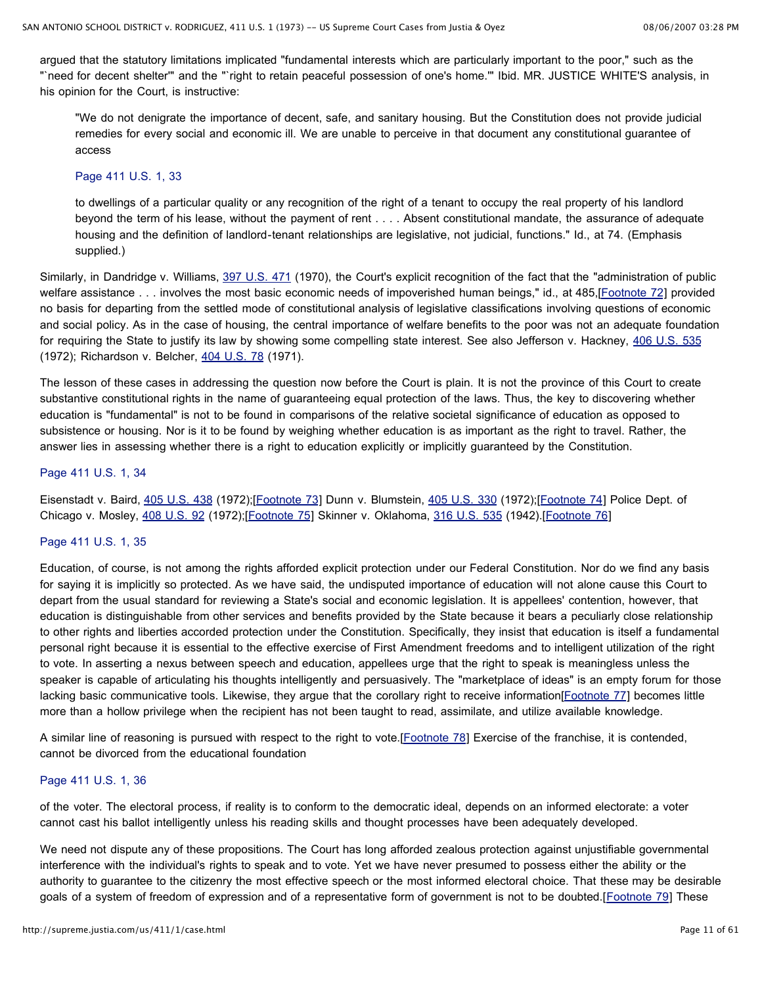argued that the statutory limitations implicated "fundamental interests which are particularly important to the poor," such as the "`need for decent shelter'" and the "`right to retain peaceful possession of one's home.'" Ibid. MR. JUSTICE WHITE'S analysis, in his opinion for the Court, is instructive:

"We do not denigrate the importance of decent, safe, and sanitary housing. But the Constitution does not provide judicial remedies for every social and economic ill. We are unable to perceive in that document any constitutional guarantee of access

### Page 411 U.S. 1, 33

to dwellings of a particular quality or any recognition of the right of a tenant to occupy the real property of his landlord beyond the term of his lease, without the payment of rent . . . . Absent constitutional mandate, the assurance of adequate housing and the definition of landlord-tenant relationships are legislative, not judicial, functions." Id., at 74. (Emphasis supplied.)

Similarly, in Dandridge v. Williams, 397 U.S. 471 (1970), the Court's explicit recognition of the fact that the "administration of public welfare assistance . . . involves the most basic economic needs of impoverished human beings," id., at 485,[Footnote 72] provided no basis for departing from the settled mode of constitutional analysis of legislative classifications involving questions of economic and social policy. As in the case of housing, the central importance of welfare benefits to the poor was not an adequate foundation for requiring the State to justify its law by showing some compelling state interest. See also Jefferson v. Hackney, 406 U.S. 535 (1972); Richardson v. Belcher, 404 U.S. 78 (1971).

The lesson of these cases in addressing the question now before the Court is plain. It is not the province of this Court to create substantive constitutional rights in the name of guaranteeing equal protection of the laws. Thus, the key to discovering whether education is "fundamental" is not to be found in comparisons of the relative societal significance of education as opposed to subsistence or housing. Nor is it to be found by weighing whether education is as important as the right to travel. Rather, the answer lies in assessing whether there is a right to education explicitly or implicitly guaranteed by the Constitution.

#### Page 411 U.S. 1, 34

Eisenstadt v. Baird, 405 U.S. 438 (1972);[Footnote 73] Dunn v. Blumstein, 405 U.S. 330 (1972);[Footnote 74] Police Dept. of Chicago v. Mosley, 408 U.S. 92 (1972);[Footnote 75] Skinner v. Oklahoma, 316 U.S. 535 (1942).[Footnote 76]

# Page 411 U.S. 1, 35

Education, of course, is not among the rights afforded explicit protection under our Federal Constitution. Nor do we find any basis for saying it is implicitly so protected. As we have said, the undisputed importance of education will not alone cause this Court to depart from the usual standard for reviewing a State's social and economic legislation. It is appellees' contention, however, that education is distinguishable from other services and benefits provided by the State because it bears a peculiarly close relationship to other rights and liberties accorded protection under the Constitution. Specifically, they insist that education is itself a fundamental personal right because it is essential to the effective exercise of First Amendment freedoms and to intelligent utilization of the right to vote. In asserting a nexus between speech and education, appellees urge that the right to speak is meaningless unless the speaker is capable of articulating his thoughts intelligently and persuasively. The "marketplace of ideas" is an empty forum for those lacking basic communicative tools. Likewise, they argue that the corollary right to receive information[Footnote 77] becomes little more than a hollow privilege when the recipient has not been taught to read, assimilate, and utilize available knowledge.

A similar line of reasoning is pursued with respect to the right to vote.[Footnote 78] Exercise of the franchise, it is contended, cannot be divorced from the educational foundation

# Page 411 U.S. 1, 36

of the voter. The electoral process, if reality is to conform to the democratic ideal, depends on an informed electorate: a voter cannot cast his ballot intelligently unless his reading skills and thought processes have been adequately developed.

We need not dispute any of these propositions. The Court has long afforded zealous protection against unjustifiable governmental interference with the individual's rights to speak and to vote. Yet we have never presumed to possess either the ability or the authority to guarantee to the citizenry the most effective speech or the most informed electoral choice. That these may be desirable goals of a system of freedom of expression and of a representative form of government is not to be doubted.[Footnote 79] These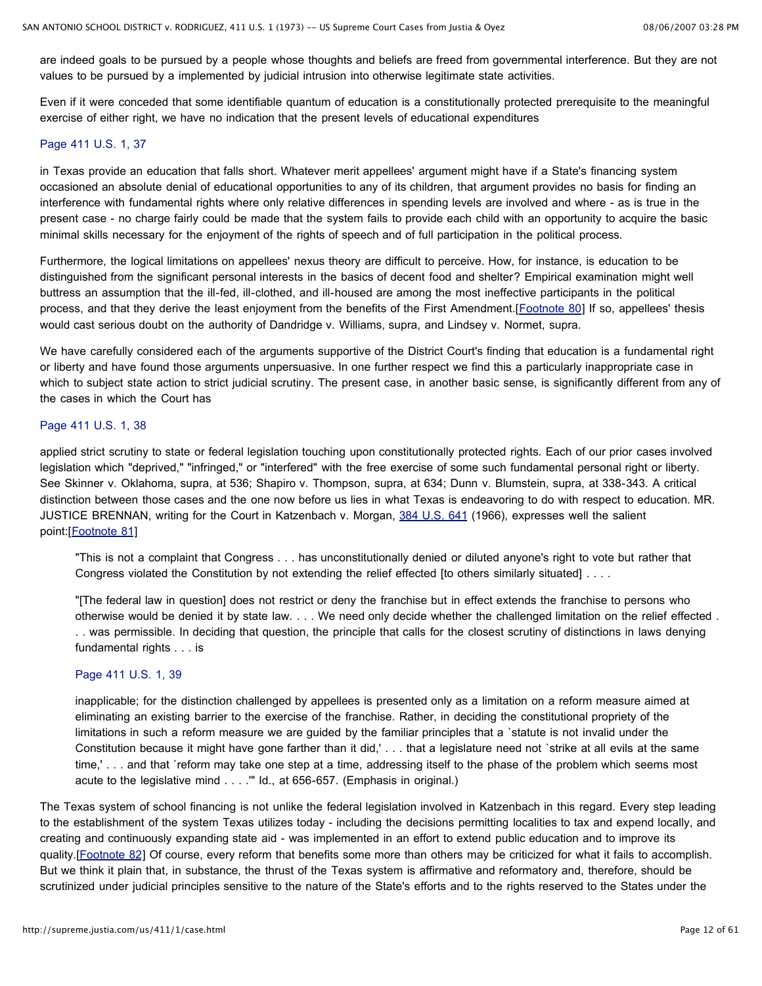are indeed goals to be pursued by a people whose thoughts and beliefs are freed from governmental interference. But they are not values to be pursued by a implemented by judicial intrusion into otherwise legitimate state activities.

Even if it were conceded that some identifiable quantum of education is a constitutionally protected prerequisite to the meaningful exercise of either right, we have no indication that the present levels of educational expenditures

# Page 411 U.S. 1, 37

in Texas provide an education that falls short. Whatever merit appellees' argument might have if a State's financing system occasioned an absolute denial of educational opportunities to any of its children, that argument provides no basis for finding an interference with fundamental rights where only relative differences in spending levels are involved and where - as is true in the present case - no charge fairly could be made that the system fails to provide each child with an opportunity to acquire the basic minimal skills necessary for the enjoyment of the rights of speech and of full participation in the political process.

Furthermore, the logical limitations on appellees' nexus theory are difficult to perceive. How, for instance, is education to be distinguished from the significant personal interests in the basics of decent food and shelter? Empirical examination might well buttress an assumption that the ill-fed, ill-clothed, and ill-housed are among the most ineffective participants in the political process, and that they derive the least enjoyment from the benefits of the First Amendment. [Footnote 80] If so, appellees' thesis would cast serious doubt on the authority of Dandridge v. Williams, supra, and Lindsey v. Normet, supra.

We have carefully considered each of the arguments supportive of the District Court's finding that education is a fundamental right or liberty and have found those arguments unpersuasive. In one further respect we find this a particularly inappropriate case in which to subject state action to strict judicial scrutiny. The present case, in another basic sense, is significantly different from any of the cases in which the Court has

# Page 411 U.S. 1, 38

applied strict scrutiny to state or federal legislation touching upon constitutionally protected rights. Each of our prior cases involved legislation which "deprived," "infringed," or "interfered" with the free exercise of some such fundamental personal right or liberty. See Skinner v. Oklahoma, supra, at 536; Shapiro v. Thompson, supra, at 634; Dunn v. Blumstein, supra, at 338-343. A critical distinction between those cases and the one now before us lies in what Texas is endeavoring to do with respect to education. MR. JUSTICE BRENNAN, writing for the Court in Katzenbach v. Morgan, 384 U.S. 641 (1966), expresses well the salient point:[Footnote 81]

"This is not a complaint that Congress . . . has unconstitutionally denied or diluted anyone's right to vote but rather that Congress violated the Constitution by not extending the relief effected [to others similarly situated] . . . .

"[The federal law in question] does not restrict or deny the franchise but in effect extends the franchise to persons who otherwise would be denied it by state law. . . . We need only decide whether the challenged limitation on the relief effected . . . was permissible. In deciding that question, the principle that calls for the closest scrutiny of distinctions in laws denying fundamental rights . . . is

# Page 411 U.S. 1, 39

inapplicable; for the distinction challenged by appellees is presented only as a limitation on a reform measure aimed at eliminating an existing barrier to the exercise of the franchise. Rather, in deciding the constitutional propriety of the limitations in such a reform measure we are guided by the familiar principles that a `statute is not invalid under the Constitution because it might have gone farther than it did,' . . . that a legislature need not `strike at all evils at the same time,' . . . and that `reform may take one step at a time, addressing itself to the phase of the problem which seems most acute to the legislative mind . . . . "" Id., at 656-657. (Emphasis in original.)

The Texas system of school financing is not unlike the federal legislation involved in Katzenbach in this regard. Every step leading to the establishment of the system Texas utilizes today - including the decisions permitting localities to tax and expend locally, and creating and continuously expanding state aid - was implemented in an effort to extend public education and to improve its quality.[Footnote 82] Of course, every reform that benefits some more than others may be criticized for what it fails to accomplish. But we think it plain that, in substance, the thrust of the Texas system is affirmative and reformatory and, therefore, should be scrutinized under judicial principles sensitive to the nature of the State's efforts and to the rights reserved to the States under the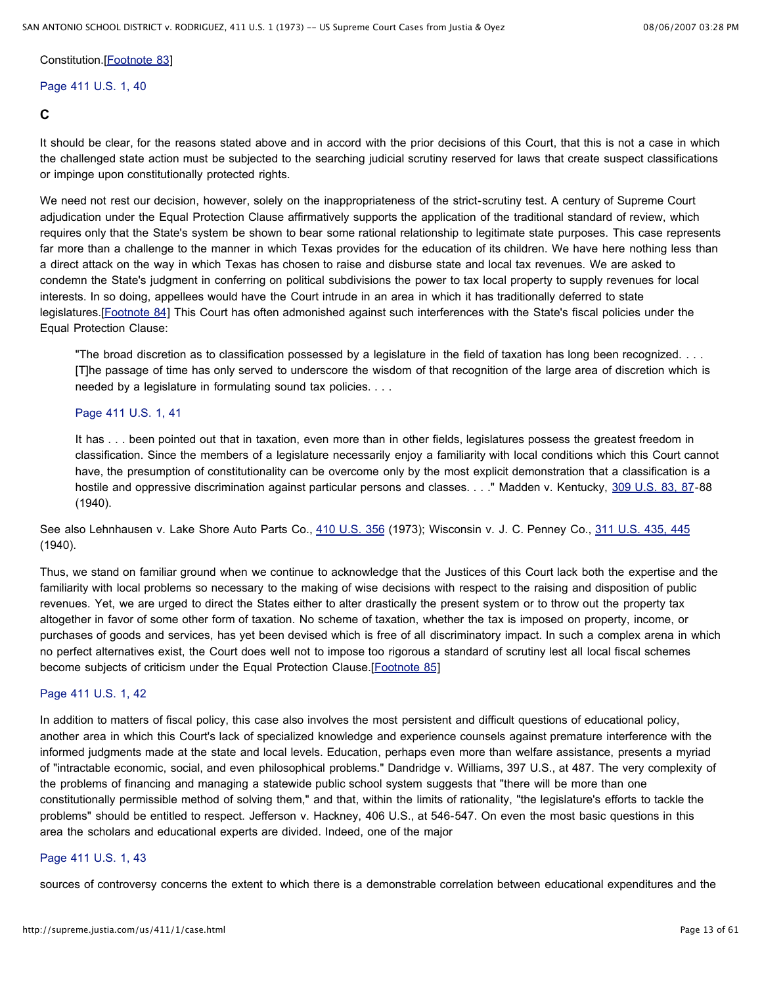Constitution.[Footnote 83]

# Page 411 U.S. 1, 40

# **C**

It should be clear, for the reasons stated above and in accord with the prior decisions of this Court, that this is not a case in which the challenged state action must be subjected to the searching judicial scrutiny reserved for laws that create suspect classifications or impinge upon constitutionally protected rights.

We need not rest our decision, however, solely on the inappropriateness of the strict-scrutiny test. A century of Supreme Court adjudication under the Equal Protection Clause affirmatively supports the application of the traditional standard of review, which requires only that the State's system be shown to bear some rational relationship to legitimate state purposes. This case represents far more than a challenge to the manner in which Texas provides for the education of its children. We have here nothing less than a direct attack on the way in which Texas has chosen to raise and disburse state and local tax revenues. We are asked to condemn the State's judgment in conferring on political subdivisions the power to tax local property to supply revenues for local interests. In so doing, appellees would have the Court intrude in an area in which it has traditionally deferred to state legislatures. [Footnote 84] This Court has often admonished against such interferences with the State's fiscal policies under the Equal Protection Clause:

"The broad discretion as to classification possessed by a legislature in the field of taxation has long been recognized. . . . [T]he passage of time has only served to underscore the wisdom of that recognition of the large area of discretion which is needed by a legislature in formulating sound tax policies. . . .

# Page 411 U.S. 1, 41

It has . . . been pointed out that in taxation, even more than in other fields, legislatures possess the greatest freedom in classification. Since the members of a legislature necessarily enjoy a familiarity with local conditions which this Court cannot have, the presumption of constitutionality can be overcome only by the most explicit demonstration that a classification is a hostile and oppressive discrimination against particular persons and classes. . . ." Madden v. Kentucky, 309 U.S. 83, 87-88 (1940).

See also Lehnhausen v. Lake Shore Auto Parts Co., 410 U.S. 356 (1973); Wisconsin v. J. C. Penney Co., 311 U.S. 435, 445 (1940).

Thus, we stand on familiar ground when we continue to acknowledge that the Justices of this Court lack both the expertise and the familiarity with local problems so necessary to the making of wise decisions with respect to the raising and disposition of public revenues. Yet, we are urged to direct the States either to alter drastically the present system or to throw out the property tax altogether in favor of some other form of taxation. No scheme of taxation, whether the tax is imposed on property, income, or purchases of goods and services, has yet been devised which is free of all discriminatory impact. In such a complex arena in which no perfect alternatives exist, the Court does well not to impose too rigorous a standard of scrutiny lest all local fiscal schemes become subjects of criticism under the Equal Protection Clause.[Footnote 85]

# Page 411 U.S. 1, 42

In addition to matters of fiscal policy, this case also involves the most persistent and difficult questions of educational policy, another area in which this Court's lack of specialized knowledge and experience counsels against premature interference with the informed judgments made at the state and local levels. Education, perhaps even more than welfare assistance, presents a myriad of "intractable economic, social, and even philosophical problems." Dandridge v. Williams, 397 U.S., at 487. The very complexity of the problems of financing and managing a statewide public school system suggests that "there will be more than one constitutionally permissible method of solving them," and that, within the limits of rationality, "the legislature's efforts to tackle the problems" should be entitled to respect. Jefferson v. Hackney, 406 U.S., at 546-547. On even the most basic questions in this area the scholars and educational experts are divided. Indeed, one of the major

# Page 411 U.S. 1, 43

sources of controversy concerns the extent to which there is a demonstrable correlation between educational expenditures and the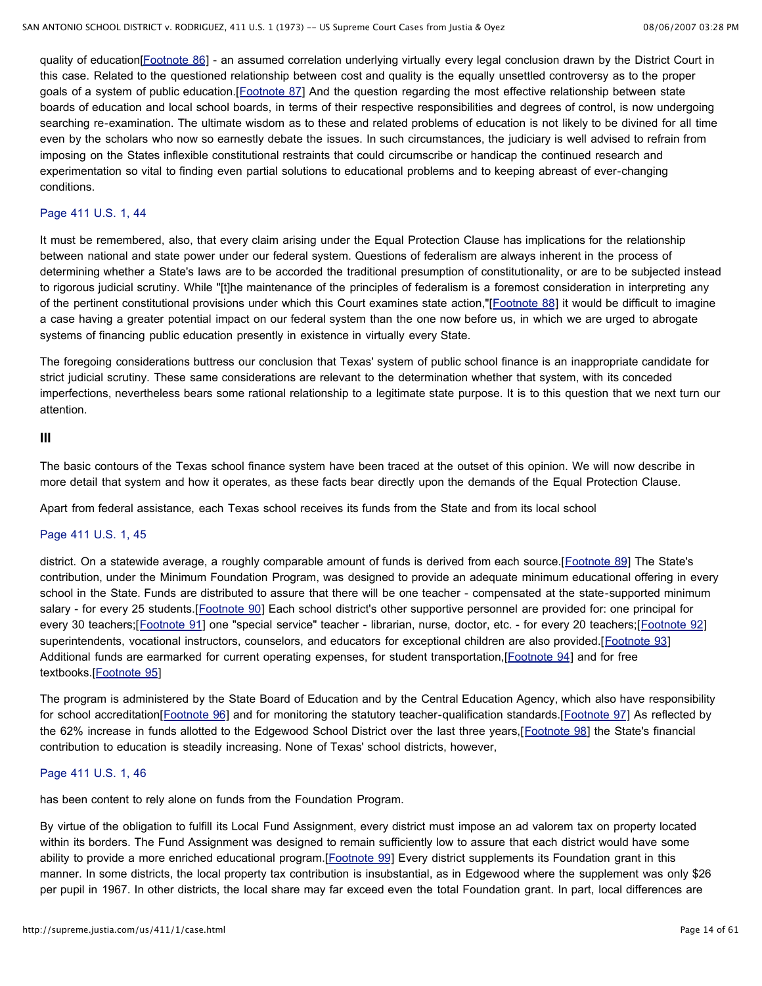quality of education[Footnote 86] - an assumed correlation underlying virtually every legal conclusion drawn by the District Court in this case. Related to the questioned relationship between cost and quality is the equally unsettled controversy as to the proper goals of a system of public education.[Footnote 87] And the question regarding the most effective relationship between state boards of education and local school boards, in terms of their respective responsibilities and degrees of control, is now undergoing searching re-examination. The ultimate wisdom as to these and related problems of education is not likely to be divined for all time even by the scholars who now so earnestly debate the issues. In such circumstances, the judiciary is well advised to refrain from imposing on the States inflexible constitutional restraints that could circumscribe or handicap the continued research and experimentation so vital to finding even partial solutions to educational problems and to keeping abreast of ever-changing conditions.

# Page 411 U.S. 1, 44

It must be remembered, also, that every claim arising under the Equal Protection Clause has implications for the relationship between national and state power under our federal system. Questions of federalism are always inherent in the process of determining whether a State's laws are to be accorded the traditional presumption of constitutionality, or are to be subjected instead to rigorous judicial scrutiny. While "[t]he maintenance of the principles of federalism is a foremost consideration in interpreting any of the pertinent constitutional provisions under which this Court examines state action,"[Footnote 88] it would be difficult to imagine a case having a greater potential impact on our federal system than the one now before us, in which we are urged to abrogate systems of financing public education presently in existence in virtually every State.

The foregoing considerations buttress our conclusion that Texas' system of public school finance is an inappropriate candidate for strict judicial scrutiny. These same considerations are relevant to the determination whether that system, with its conceded imperfections, nevertheless bears some rational relationship to a legitimate state purpose. It is to this question that we next turn our attention.

# **III**

The basic contours of the Texas school finance system have been traced at the outset of this opinion. We will now describe in more detail that system and how it operates, as these facts bear directly upon the demands of the Equal Protection Clause.

Apart from federal assistance, each Texas school receives its funds from the State and from its local school

# Page 411 U.S. 1, 45

district. On a statewide average, a roughly comparable amount of funds is derived from each source.[Footnote 89] The State's contribution, under the Minimum Foundation Program, was designed to provide an adequate minimum educational offering in every school in the State. Funds are distributed to assure that there will be one teacher - compensated at the state-supported minimum salary - for every 25 students.[Footnote 90] Each school district's other supportive personnel are provided for: one principal for every 30 teachers;[Footnote 91] one "special service" teacher - librarian, nurse, doctor, etc. - for every 20 teachers;[Footnote 92] superintendents, vocational instructors, counselors, and educators for exceptional children are also provided.[Footnote 93] Additional funds are earmarked for current operating expenses, for student transportation, [Footnote 94] and for free textbooks.[Footnote 95]

The program is administered by the State Board of Education and by the Central Education Agency, which also have responsibility for school accreditation [Footnote 96] and for monitoring the statutory teacher-qualification standards. [Footnote 97] As reflected by the 62% increase in funds allotted to the Edgewood School District over the last three years,[Footnote 98] the State's financial contribution to education is steadily increasing. None of Texas' school districts, however,

# Page 411 U.S. 1, 46

has been content to rely alone on funds from the Foundation Program.

By virtue of the obligation to fulfill its Local Fund Assignment, every district must impose an ad valorem tax on property located within its borders. The Fund Assignment was designed to remain sufficiently low to assure that each district would have some ability to provide a more enriched educational program.[Footnote 99] Every district supplements its Foundation grant in this manner. In some districts, the local property tax contribution is insubstantial, as in Edgewood where the supplement was only \$26 per pupil in 1967. In other districts, the local share may far exceed even the total Foundation grant. In part, local differences are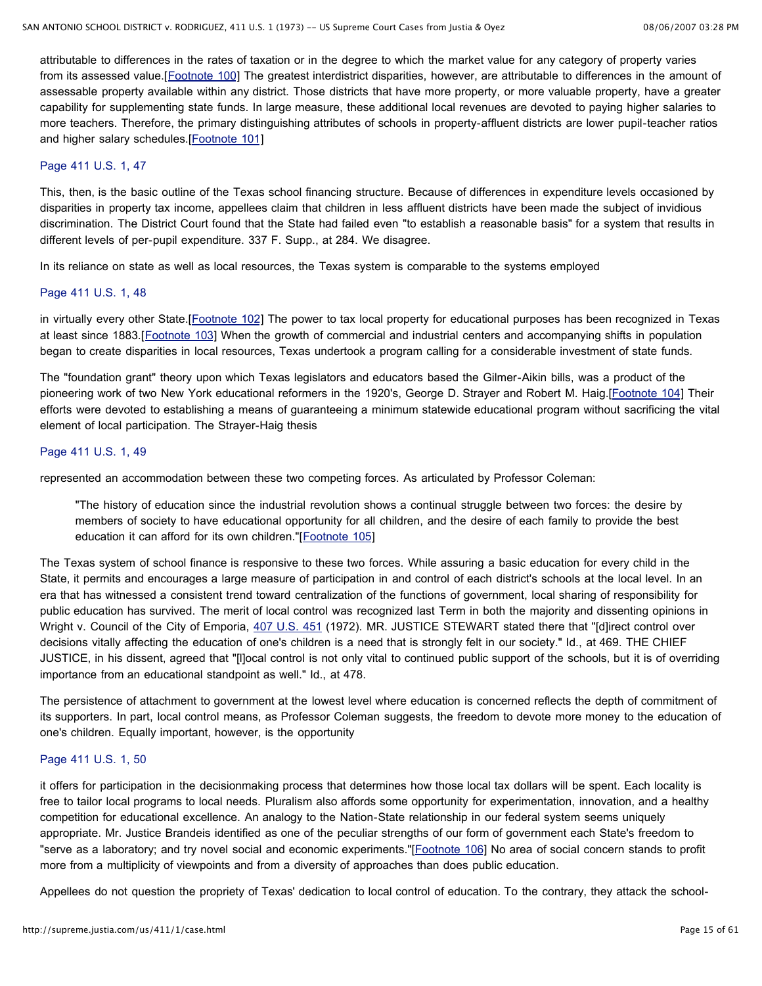attributable to differences in the rates of taxation or in the degree to which the market value for any category of property varies from its assessed value.[Footnote 100] The greatest interdistrict disparities, however, are attributable to differences in the amount of assessable property available within any district. Those districts that have more property, or more valuable property, have a greater capability for supplementing state funds. In large measure, these additional local revenues are devoted to paying higher salaries to more teachers. Therefore, the primary distinguishing attributes of schools in property-affluent districts are lower pupil-teacher ratios and higher salary schedules.[Footnote 101]

# Page 411 U.S. 1, 47

This, then, is the basic outline of the Texas school financing structure. Because of differences in expenditure levels occasioned by disparities in property tax income, appellees claim that children in less affluent districts have been made the subject of invidious discrimination. The District Court found that the State had failed even "to establish a reasonable basis" for a system that results in different levels of per-pupil expenditure. 337 F. Supp., at 284. We disagree.

In its reliance on state as well as local resources, the Texas system is comparable to the systems employed

#### Page 411 U.S. 1, 48

in virtually every other State.[Footnote 102] The power to tax local property for educational purposes has been recognized in Texas at least since 1883.[Footnote 103] When the growth of commercial and industrial centers and accompanying shifts in population began to create disparities in local resources, Texas undertook a program calling for a considerable investment of state funds.

The "foundation grant" theory upon which Texas legislators and educators based the Gilmer-Aikin bills, was a product of the pioneering work of two New York educational reformers in the 1920's, George D. Strayer and Robert M. Haig.[Footnote 104] Their efforts were devoted to establishing a means of guaranteeing a minimum statewide educational program without sacrificing the vital element of local participation. The Strayer-Haig thesis

#### Page 411 U.S. 1, 49

represented an accommodation between these two competing forces. As articulated by Professor Coleman:

"The history of education since the industrial revolution shows a continual struggle between two forces: the desire by members of society to have educational opportunity for all children, and the desire of each family to provide the best education it can afford for its own children."[Footnote 105]

The Texas system of school finance is responsive to these two forces. While assuring a basic education for every child in the State, it permits and encourages a large measure of participation in and control of each district's schools at the local level. In an era that has witnessed a consistent trend toward centralization of the functions of government, local sharing of responsibility for public education has survived. The merit of local control was recognized last Term in both the majority and dissenting opinions in Wright v. Council of the City of Emporia, 407 U.S. 451 (1972). MR. JUSTICE STEWART stated there that "[d]irect control over decisions vitally affecting the education of one's children is a need that is strongly felt in our society." Id., at 469. THE CHIEF JUSTICE, in his dissent, agreed that "[l]ocal control is not only vital to continued public support of the schools, but it is of overriding importance from an educational standpoint as well." Id., at 478.

The persistence of attachment to government at the lowest level where education is concerned reflects the depth of commitment of its supporters. In part, local control means, as Professor Coleman suggests, the freedom to devote more money to the education of one's children. Equally important, however, is the opportunity

# Page 411 U.S. 1, 50

it offers for participation in the decisionmaking process that determines how those local tax dollars will be spent. Each locality is free to tailor local programs to local needs. Pluralism also affords some opportunity for experimentation, innovation, and a healthy competition for educational excellence. An analogy to the Nation-State relationship in our federal system seems uniquely appropriate. Mr. Justice Brandeis identified as one of the peculiar strengths of our form of government each State's freedom to "serve as a laboratory; and try novel social and economic experiments."[Footnote 106] No area of social concern stands to profit more from a multiplicity of viewpoints and from a diversity of approaches than does public education.

Appellees do not question the propriety of Texas' dedication to local control of education. To the contrary, they attack the school-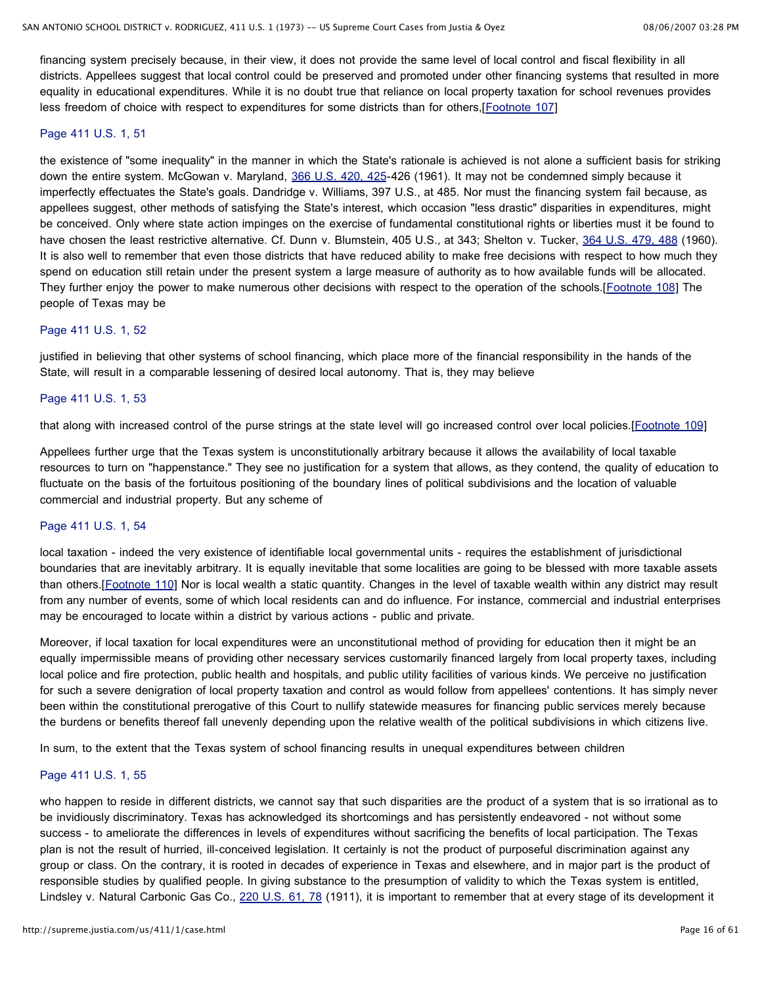financing system precisely because, in their view, it does not provide the same level of local control and fiscal flexibility in all districts. Appellees suggest that local control could be preserved and promoted under other financing systems that resulted in more equality in educational expenditures. While it is no doubt true that reliance on local property taxation for school revenues provides less freedom of choice with respect to expenditures for some districts than for others,[Footnote 107]

# Page 411 U.S. 1, 51

the existence of "some inequality" in the manner in which the State's rationale is achieved is not alone a sufficient basis for striking down the entire system. McGowan v. Maryland, 366 U.S. 420, 425-426 (1961). It may not be condemned simply because it imperfectly effectuates the State's goals. Dandridge v. Williams, 397 U.S., at 485. Nor must the financing system fail because, as appellees suggest, other methods of satisfying the State's interest, which occasion "less drastic" disparities in expenditures, might be conceived. Only where state action impinges on the exercise of fundamental constitutional rights or liberties must it be found to have chosen the least restrictive alternative. Cf. Dunn v. Blumstein, 405 U.S., at 343; Shelton v. Tucker, 364 U.S. 479, 488 (1960). It is also well to remember that even those districts that have reduced ability to make free decisions with respect to how much they spend on education still retain under the present system a large measure of authority as to how available funds will be allocated. They further enjoy the power to make numerous other decisions with respect to the operation of the schools.[Footnote 108] The people of Texas may be

# Page 411 U.S. 1, 52

justified in believing that other systems of school financing, which place more of the financial responsibility in the hands of the State, will result in a comparable lessening of desired local autonomy. That is, they may believe

#### Page 411 U.S. 1, 53

that along with increased control of the purse strings at the state level will go increased control over local policies.[Footnote 109]

Appellees further urge that the Texas system is unconstitutionally arbitrary because it allows the availability of local taxable resources to turn on "happenstance." They see no justification for a system that allows, as they contend, the quality of education to fluctuate on the basis of the fortuitous positioning of the boundary lines of political subdivisions and the location of valuable commercial and industrial property. But any scheme of

# Page 411 U.S. 1, 54

local taxation - indeed the very existence of identifiable local governmental units - requires the establishment of jurisdictional boundaries that are inevitably arbitrary. It is equally inevitable that some localities are going to be blessed with more taxable assets than others.[Footnote 110] Nor is local wealth a static quantity. Changes in the level of taxable wealth within any district may result from any number of events, some of which local residents can and do influence. For instance, commercial and industrial enterprises may be encouraged to locate within a district by various actions - public and private.

Moreover, if local taxation for local expenditures were an unconstitutional method of providing for education then it might be an equally impermissible means of providing other necessary services customarily financed largely from local property taxes, including local police and fire protection, public health and hospitals, and public utility facilities of various kinds. We perceive no justification for such a severe denigration of local property taxation and control as would follow from appellees' contentions. It has simply never been within the constitutional prerogative of this Court to nullify statewide measures for financing public services merely because the burdens or benefits thereof fall unevenly depending upon the relative wealth of the political subdivisions in which citizens live.

In sum, to the extent that the Texas system of school financing results in unequal expenditures between children

# Page 411 U.S. 1, 55

who happen to reside in different districts, we cannot say that such disparities are the product of a system that is so irrational as to be invidiously discriminatory. Texas has acknowledged its shortcomings and has persistently endeavored - not without some success - to ameliorate the differences in levels of expenditures without sacrificing the benefits of local participation. The Texas plan is not the result of hurried, ill-conceived legislation. It certainly is not the product of purposeful discrimination against any group or class. On the contrary, it is rooted in decades of experience in Texas and elsewhere, and in major part is the product of responsible studies by qualified people. In giving substance to the presumption of validity to which the Texas system is entitled, Lindsley v. Natural Carbonic Gas Co., 220 U.S. 61, 78 (1911), it is important to remember that at every stage of its development it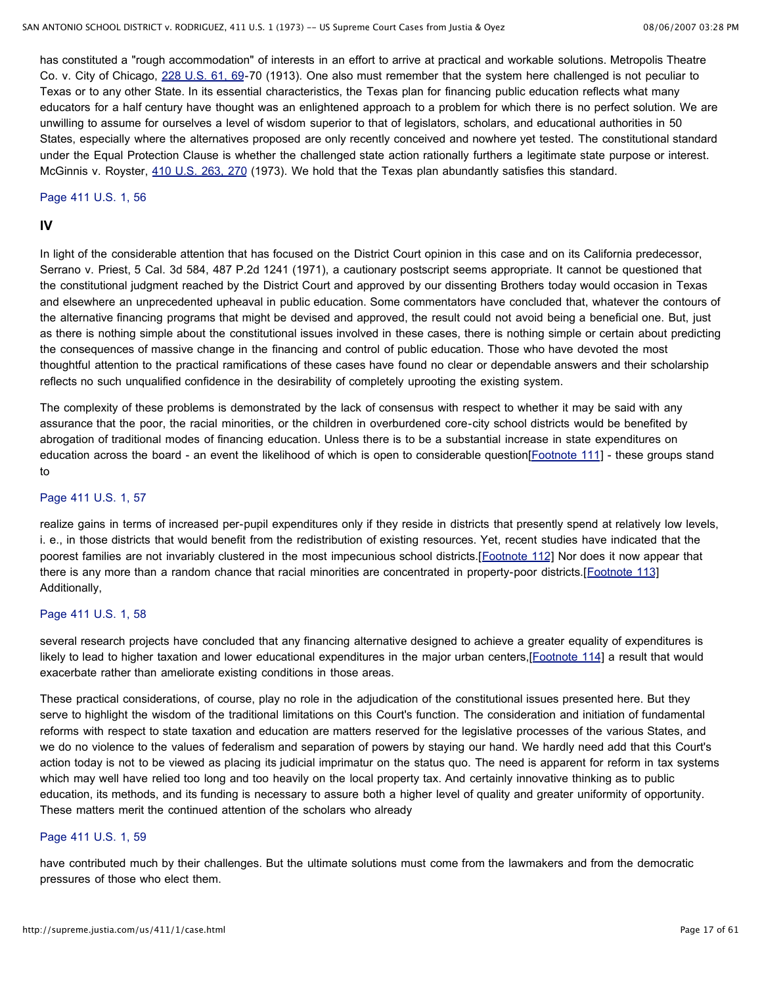has constituted a "rough accommodation" of interests in an effort to arrive at practical and workable solutions. Metropolis Theatre Co. v. City of Chicago, 228 U.S. 61, 69-70 (1913). One also must remember that the system here challenged is not peculiar to Texas or to any other State. In its essential characteristics, the Texas plan for financing public education reflects what many educators for a half century have thought was an enlightened approach to a problem for which there is no perfect solution. We are unwilling to assume for ourselves a level of wisdom superior to that of legislators, scholars, and educational authorities in 50 States, especially where the alternatives proposed are only recently conceived and nowhere yet tested. The constitutional standard under the Equal Protection Clause is whether the challenged state action rationally furthers a legitimate state purpose or interest. McGinnis v. Royster, 410 U.S. 263, 270 (1973). We hold that the Texas plan abundantly satisfies this standard.

# Page 411 U.S. 1, 56

# **IV**

In light of the considerable attention that has focused on the District Court opinion in this case and on its California predecessor, Serrano v. Priest, 5 Cal. 3d 584, 487 P.2d 1241 (1971), a cautionary postscript seems appropriate. It cannot be questioned that the constitutional judgment reached by the District Court and approved by our dissenting Brothers today would occasion in Texas and elsewhere an unprecedented upheaval in public education. Some commentators have concluded that, whatever the contours of the alternative financing programs that might be devised and approved, the result could not avoid being a beneficial one. But, just as there is nothing simple about the constitutional issues involved in these cases, there is nothing simple or certain about predicting the consequences of massive change in the financing and control of public education. Those who have devoted the most thoughtful attention to the practical ramifications of these cases have found no clear or dependable answers and their scholarship reflects no such unqualified confidence in the desirability of completely uprooting the existing system.

The complexity of these problems is demonstrated by the lack of consensus with respect to whether it may be said with any assurance that the poor, the racial minorities, or the children in overburdened core-city school districts would be benefited by abrogation of traditional modes of financing education. Unless there is to be a substantial increase in state expenditures on education across the board - an event the likelihood of which is open to considerable question[Footnote 111] - these groups stand to

# Page 411 U.S. 1, 57

realize gains in terms of increased per-pupil expenditures only if they reside in districts that presently spend at relatively low levels, i. e., in those districts that would benefit from the redistribution of existing resources. Yet, recent studies have indicated that the poorest families are not invariably clustered in the most impecunious school districts.[Footnote 112] Nor does it now appear that there is any more than a random chance that racial minorities are concentrated in property-poor districts.[Footnote 113] Additionally,

# Page 411 U.S. 1, 58

several research projects have concluded that any financing alternative designed to achieve a greater equality of expenditures is likely to lead to higher taxation and lower educational expenditures in the major urban centers, [Footnote 114] a result that would exacerbate rather than ameliorate existing conditions in those areas.

These practical considerations, of course, play no role in the adjudication of the constitutional issues presented here. But they serve to highlight the wisdom of the traditional limitations on this Court's function. The consideration and initiation of fundamental reforms with respect to state taxation and education are matters reserved for the legislative processes of the various States, and we do no violence to the values of federalism and separation of powers by staying our hand. We hardly need add that this Court's action today is not to be viewed as placing its judicial imprimatur on the status quo. The need is apparent for reform in tax systems which may well have relied too long and too heavily on the local property tax. And certainly innovative thinking as to public education, its methods, and its funding is necessary to assure both a higher level of quality and greater uniformity of opportunity. These matters merit the continued attention of the scholars who already

#### Page 411 U.S. 1, 59

have contributed much by their challenges. But the ultimate solutions must come from the lawmakers and from the democratic pressures of those who elect them.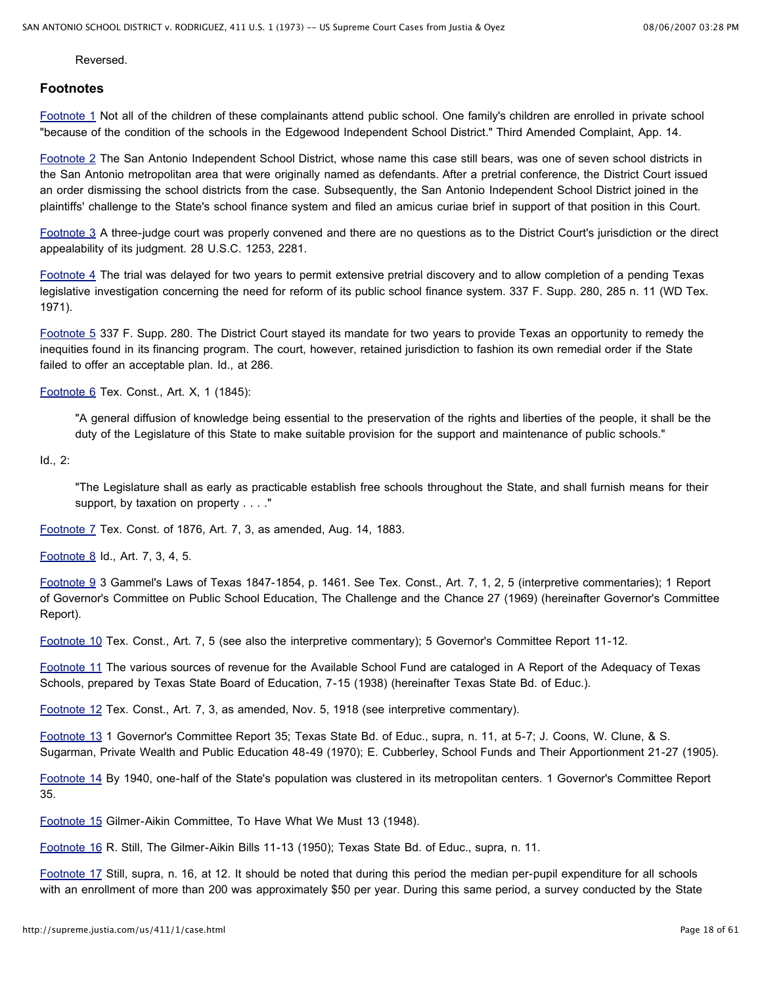Reversed.

# **Footnotes**

Footnote 1 Not all of the children of these complainants attend public school. One family's children are enrolled in private school "because of the condition of the schools in the Edgewood Independent School District." Third Amended Complaint, App. 14.

Footnote 2 The San Antonio Independent School District, whose name this case still bears, was one of seven school districts in the San Antonio metropolitan area that were originally named as defendants. After a pretrial conference, the District Court issued an order dismissing the school districts from the case. Subsequently, the San Antonio Independent School District joined in the plaintiffs' challenge to the State's school finance system and filed an amicus curiae brief in support of that position in this Court.

Footnote 3 A three-judge court was properly convened and there are no questions as to the District Court's jurisdiction or the direct appealability of its judgment. 28 U.S.C. 1253, 2281.

Footnote 4 The trial was delayed for two years to permit extensive pretrial discovery and to allow completion of a pending Texas legislative investigation concerning the need for reform of its public school finance system. 337 F. Supp. 280, 285 n. 11 (WD Tex. 1971).

Footnote 5 337 F. Supp. 280. The District Court stayed its mandate for two years to provide Texas an opportunity to remedy the inequities found in its financing program. The court, however, retained jurisdiction to fashion its own remedial order if the State failed to offer an acceptable plan. Id., at 286.

Footnote 6 Tex. Const., Art. X, 1 (1845):

"A general diffusion of knowledge being essential to the preservation of the rights and liberties of the people, it shall be the duty of the Legislature of this State to make suitable provision for the support and maintenance of public schools."

Id., 2:

"The Legislature shall as early as practicable establish free schools throughout the State, and shall furnish means for their support, by taxation on property . . . ."

Footnote 7 Tex. Const. of 1876, Art. 7, 3, as amended, Aug. 14, 1883.

Footnote 8 Id., Art. 7, 3, 4, 5.

Footnote 9 3 Gammel's Laws of Texas 1847-1854, p. 1461. See Tex. Const., Art. 7, 1, 2, 5 (interpretive commentaries); 1 Report of Governor's Committee on Public School Education, The Challenge and the Chance 27 (1969) (hereinafter Governor's Committee Report).

Footnote 10 Tex. Const., Art. 7, 5 (see also the interpretive commentary); 5 Governor's Committee Report 11-12.

Footnote 11 The various sources of revenue for the Available School Fund are cataloged in A Report of the Adequacy of Texas Schools, prepared by Texas State Board of Education, 7-15 (1938) (hereinafter Texas State Bd. of Educ.).

Footnote 12 Tex. Const., Art. 7, 3, as amended, Nov. 5, 1918 (see interpretive commentary).

Footnote 13 1 Governor's Committee Report 35; Texas State Bd. of Educ., supra, n. 11, at 5-7; J. Coons, W. Clune, & S. Sugarman, Private Wealth and Public Education 48-49 (1970); E. Cubberley, School Funds and Their Apportionment 21-27 (1905).

Footnote 14 By 1940, one-half of the State's population was clustered in its metropolitan centers. 1 Governor's Committee Report 35.

Footnote 15 Gilmer-Aikin Committee, To Have What We Must 13 (1948).

Footnote 16 R. Still, The Gilmer-Aikin Bills 11-13 (1950); Texas State Bd. of Educ., supra, n. 11.

Footnote 17 Still, supra, n. 16, at 12. It should be noted that during this period the median per-pupil expenditure for all schools with an enrollment of more than 200 was approximately \$50 per year. During this same period, a survey conducted by the State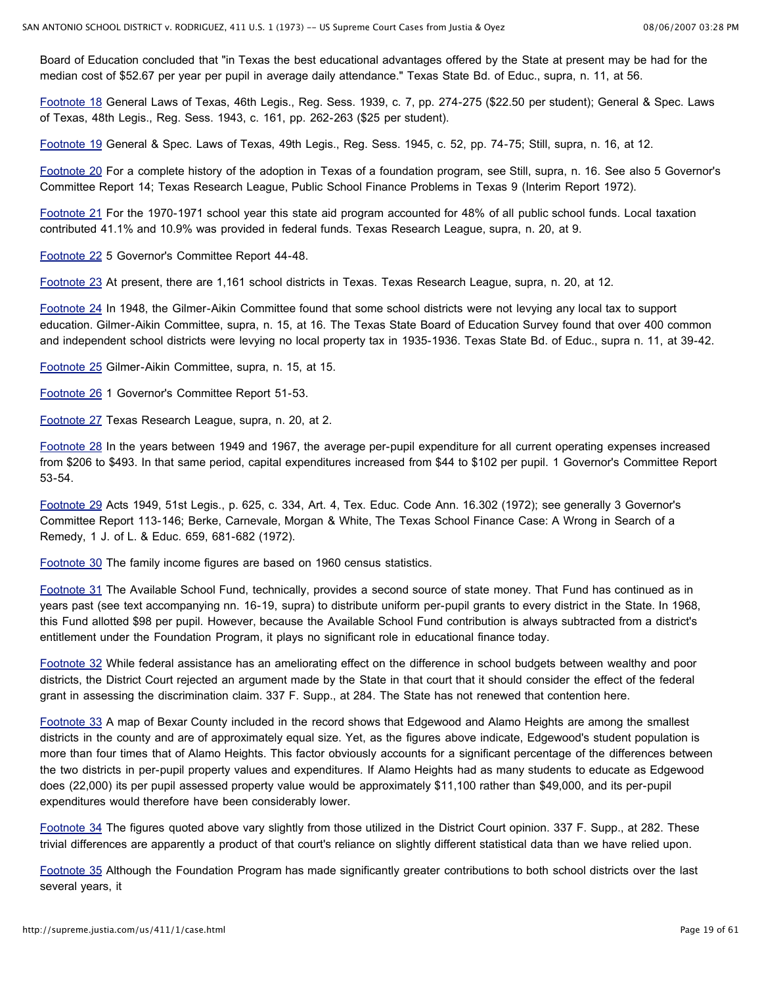Board of Education concluded that "in Texas the best educational advantages offered by the State at present may be had for the median cost of \$52.67 per year per pupil in average daily attendance." Texas State Bd. of Educ., supra, n. 11, at 56.

Footnote 18 General Laws of Texas, 46th Legis., Reg. Sess. 1939, c. 7, pp. 274-275 (\$22.50 per student); General & Spec. Laws of Texas, 48th Legis., Reg. Sess. 1943, c. 161, pp. 262-263 (\$25 per student).

Footnote 19 General & Spec. Laws of Texas, 49th Legis., Reg. Sess. 1945, c. 52, pp. 74-75; Still, supra, n. 16, at 12.

Footnote 20 For a complete history of the adoption in Texas of a foundation program, see Still, supra, n. 16. See also 5 Governor's Committee Report 14; Texas Research League, Public School Finance Problems in Texas 9 (Interim Report 1972).

Footnote 21 For the 1970-1971 school year this state aid program accounted for 48% of all public school funds. Local taxation contributed 41.1% and 10.9% was provided in federal funds. Texas Research League, supra, n. 20, at 9.

Footnote 22 5 Governor's Committee Report 44-48.

Footnote 23 At present, there are 1,161 school districts in Texas. Texas Research League, supra, n. 20, at 12.

Footnote 24 In 1948, the Gilmer-Aikin Committee found that some school districts were not levying any local tax to support education. Gilmer-Aikin Committee, supra, n. 15, at 16. The Texas State Board of Education Survey found that over 400 common and independent school districts were levying no local property tax in 1935-1936. Texas State Bd. of Educ., supra n. 11, at 39-42.

Footnote 25 Gilmer-Aikin Committee, supra, n. 15, at 15.

Footnote 26 1 Governor's Committee Report 51-53.

Footnote 27 Texas Research League, supra, n. 20, at 2.

Footnote 28 In the years between 1949 and 1967, the average per-pupil expenditure for all current operating expenses increased from \$206 to \$493. In that same period, capital expenditures increased from \$44 to \$102 per pupil. 1 Governor's Committee Report 53-54.

Footnote 29 Acts 1949, 51st Legis., p. 625, c. 334, Art. 4, Tex. Educ. Code Ann. 16.302 (1972); see generally 3 Governor's Committee Report 113-146; Berke, Carnevale, Morgan & White, The Texas School Finance Case: A Wrong in Search of a Remedy, 1 J. of L. & Educ. 659, 681-682 (1972).

Footnote 30 The family income figures are based on 1960 census statistics.

Footnote 31 The Available School Fund, technically, provides a second source of state money. That Fund has continued as in years past (see text accompanying nn. 16-19, supra) to distribute uniform per-pupil grants to every district in the State. In 1968, this Fund allotted \$98 per pupil. However, because the Available School Fund contribution is always subtracted from a district's entitlement under the Foundation Program, it plays no significant role in educational finance today.

Footnote 32 While federal assistance has an ameliorating effect on the difference in school budgets between wealthy and poor districts, the District Court rejected an argument made by the State in that court that it should consider the effect of the federal grant in assessing the discrimination claim. 337 F. Supp., at 284. The State has not renewed that contention here.

Footnote 33 A map of Bexar County included in the record shows that Edgewood and Alamo Heights are among the smallest districts in the county and are of approximately equal size. Yet, as the figures above indicate, Edgewood's student population is more than four times that of Alamo Heights. This factor obviously accounts for a significant percentage of the differences between the two districts in per-pupil property values and expenditures. If Alamo Heights had as many students to educate as Edgewood does (22,000) its per pupil assessed property value would be approximately \$11,100 rather than \$49,000, and its per-pupil expenditures would therefore have been considerably lower.

Footnote 34 The figures quoted above vary slightly from those utilized in the District Court opinion. 337 F. Supp., at 282. These trivial differences are apparently a product of that court's reliance on slightly different statistical data than we have relied upon.

Footnote 35 Although the Foundation Program has made significantly greater contributions to both school districts over the last several years, it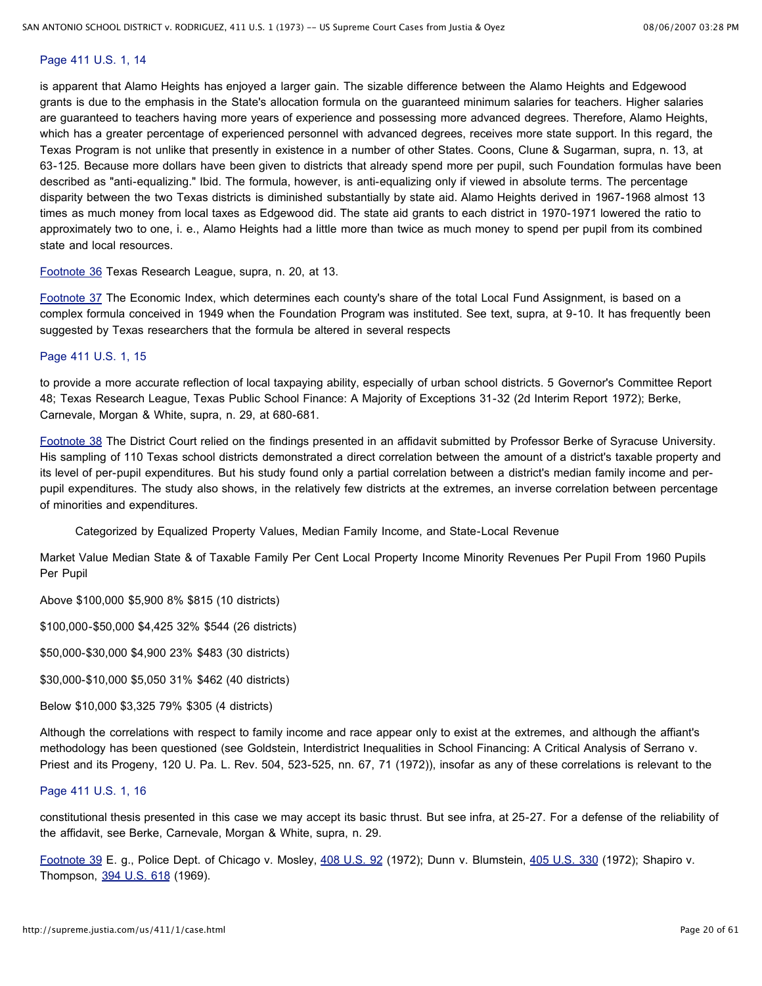# Page 411 U.S. 1, 14

is apparent that Alamo Heights has enjoyed a larger gain. The sizable difference between the Alamo Heights and Edgewood grants is due to the emphasis in the State's allocation formula on the guaranteed minimum salaries for teachers. Higher salaries are guaranteed to teachers having more years of experience and possessing more advanced degrees. Therefore, Alamo Heights, which has a greater percentage of experienced personnel with advanced degrees, receives more state support. In this regard, the Texas Program is not unlike that presently in existence in a number of other States. Coons, Clune & Sugarman, supra, n. 13, at 63-125. Because more dollars have been given to districts that already spend more per pupil, such Foundation formulas have been described as "anti-equalizing." Ibid. The formula, however, is anti-equalizing only if viewed in absolute terms. The percentage disparity between the two Texas districts is diminished substantially by state aid. Alamo Heights derived in 1967-1968 almost 13 times as much money from local taxes as Edgewood did. The state aid grants to each district in 1970-1971 lowered the ratio to approximately two to one, i. e., Alamo Heights had a little more than twice as much money to spend per pupil from its combined state and local resources.

Footnote 36 Texas Research League, supra, n. 20, at 13.

Footnote 37 The Economic Index, which determines each county's share of the total Local Fund Assignment, is based on a complex formula conceived in 1949 when the Foundation Program was instituted. See text, supra, at 9-10. It has frequently been suggested by Texas researchers that the formula be altered in several respects

# Page 411 U.S. 1, 15

to provide a more accurate reflection of local taxpaying ability, especially of urban school districts. 5 Governor's Committee Report 48; Texas Research League, Texas Public School Finance: A Majority of Exceptions 31-32 (2d Interim Report 1972); Berke, Carnevale, Morgan & White, supra, n. 29, at 680-681.

Footnote 38 The District Court relied on the findings presented in an affidavit submitted by Professor Berke of Syracuse University. His sampling of 110 Texas school districts demonstrated a direct correlation between the amount of a district's taxable property and its level of per-pupil expenditures. But his study found only a partial correlation between a district's median family income and perpupil expenditures. The study also shows, in the relatively few districts at the extremes, an inverse correlation between percentage of minorities and expenditures.

Categorized by Equalized Property Values, Median Family Income, and State-Local Revenue

Market Value Median State & of Taxable Family Per Cent Local Property Income Minority Revenues Per Pupil From 1960 Pupils Per Pupil

Above \$100,000 \$5,900 8% \$815 (10 districts)

\$100,000-\$50,000 \$4,425 32% \$544 (26 districts)

\$50,000-\$30,000 \$4,900 23% \$483 (30 districts)

\$30,000-\$10,000 \$5,050 31% \$462 (40 districts)

Below \$10,000 \$3,325 79% \$305 (4 districts)

Although the correlations with respect to family income and race appear only to exist at the extremes, and although the affiant's methodology has been questioned (see Goldstein, Interdistrict Inequalities in School Financing: A Critical Analysis of Serrano v. Priest and its Progeny, 120 U. Pa. L. Rev. 504, 523-525, nn. 67, 71 (1972)), insofar as any of these correlations is relevant to the

# Page 411 U.S. 1, 16

constitutional thesis presented in this case we may accept its basic thrust. But see infra, at 25-27. For a defense of the reliability of the affidavit, see Berke, Carnevale, Morgan & White, supra, n. 29.

Footnote 39 E. g., Police Dept. of Chicago v. Mosley, 408 U.S. 92 (1972); Dunn v. Blumstein, 405 U.S. 330 (1972); Shapiro v. Thompson, 394 U.S. 618 (1969).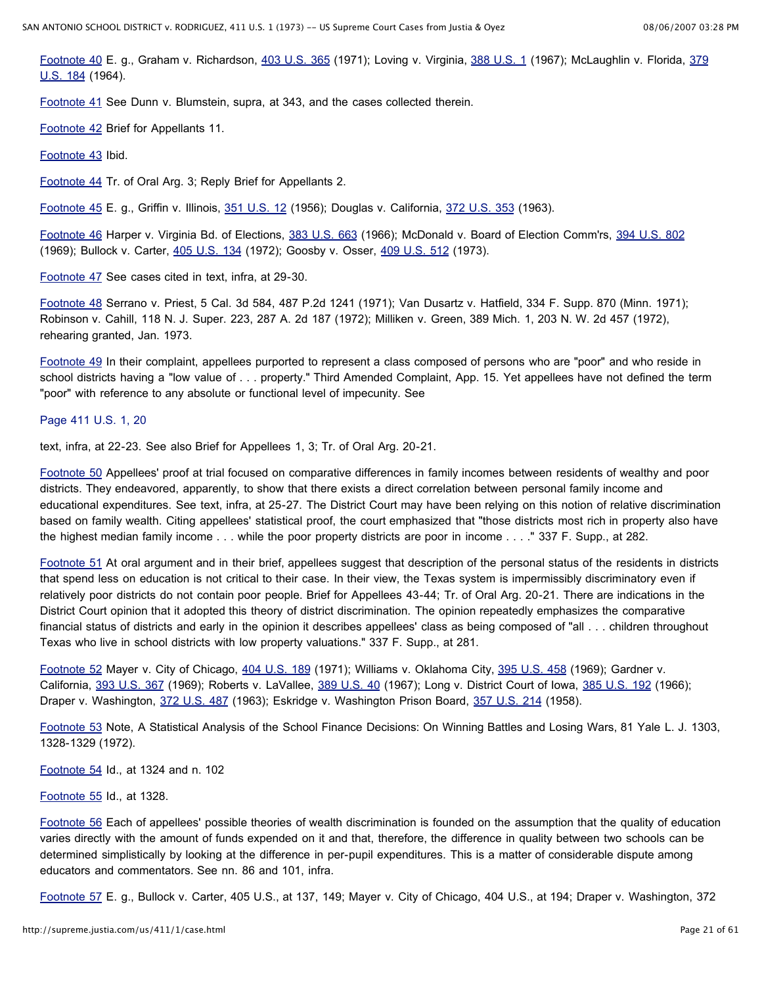Footnote 40 E. g., Graham v. Richardson, 403 U.S. 365 (1971); Loving v. Virginia, 388 U.S. 1 (1967); McLaughlin v. Florida, 379 U.S. 184 (1964).

Footnote 41 See Dunn v. Blumstein, supra, at 343, and the cases collected therein.

Footnote 42 Brief for Appellants 11.

Footnote 43 Ibid.

Footnote 44 Tr. of Oral Arg. 3; Reply Brief for Appellants 2.

Footnote 45 E. g., Griffin v. Illinois, 351 U.S. 12 (1956); Douglas v. California, 372 U.S. 353 (1963).

Footnote 46 Harper v. Virginia Bd. of Elections, 383 U.S. 663 (1966); McDonald v. Board of Election Comm'rs, 394 U.S. 802 (1969); Bullock v. Carter, 405 U.S. 134 (1972); Goosby v. Osser, 409 U.S. 512 (1973).

Footnote 47 See cases cited in text, infra, at 29-30.

Footnote 48 Serrano v. Priest, 5 Cal. 3d 584, 487 P.2d 1241 (1971); Van Dusartz v. Hatfield, 334 F. Supp. 870 (Minn. 1971); Robinson v. Cahill, 118 N. J. Super. 223, 287 A. 2d 187 (1972); Milliken v. Green, 389 Mich. 1, 203 N. W. 2d 457 (1972), rehearing granted, Jan. 1973.

Footnote 49 In their complaint, appellees purported to represent a class composed of persons who are "poor" and who reside in school districts having a "low value of . . . property." Third Amended Complaint, App. 15. Yet appellees have not defined the term "poor" with reference to any absolute or functional level of impecunity. See

#### Page 411 U.S. 1, 20

text, infra, at 22-23. See also Brief for Appellees 1, 3; Tr. of Oral Arg. 20-21.

Footnote 50 Appellees' proof at trial focused on comparative differences in family incomes between residents of wealthy and poor districts. They endeavored, apparently, to show that there exists a direct correlation between personal family income and educational expenditures. See text, infra, at 25-27. The District Court may have been relying on this notion of relative discrimination based on family wealth. Citing appellees' statistical proof, the court emphasized that "those districts most rich in property also have the highest median family income . . . while the poor property districts are poor in income . . . ." 337 F. Supp., at 282.

Footnote 51 At oral argument and in their brief, appellees suggest that description of the personal status of the residents in districts that spend less on education is not critical to their case. In their view, the Texas system is impermissibly discriminatory even if relatively poor districts do not contain poor people. Brief for Appellees 43-44; Tr. of Oral Arg. 20-21. There are indications in the District Court opinion that it adopted this theory of district discrimination. The opinion repeatedly emphasizes the comparative financial status of districts and early in the opinion it describes appellees' class as being composed of "all . . . children throughout Texas who live in school districts with low property valuations." 337 F. Supp., at 281.

Footnote 52 Mayer v. City of Chicago, 404 U.S. 189 (1971); Williams v. Oklahoma City, 395 U.S. 458 (1969); Gardner v. California, 393 U.S. 367 (1969); Roberts v. LaVallee, 389 U.S. 40 (1967); Long v. District Court of Iowa, 385 U.S. 192 (1966); Draper v. Washington, 372 U.S. 487 (1963); Eskridge v. Washington Prison Board, 357 U.S. 214 (1958).

Footnote 53 Note, A Statistical Analysis of the School Finance Decisions: On Winning Battles and Losing Wars, 81 Yale L. J. 1303, 1328-1329 (1972).

Footnote 54 Id., at 1324 and n. 102

Footnote 55 Id., at 1328.

Footnote 56 Each of appellees' possible theories of wealth discrimination is founded on the assumption that the quality of education varies directly with the amount of funds expended on it and that, therefore, the difference in quality between two schools can be determined simplistically by looking at the difference in per-pupil expenditures. This is a matter of considerable dispute among educators and commentators. See nn. 86 and 101, infra.

Footnote 57 E. g., Bullock v. Carter, 405 U.S., at 137, 149; Mayer v. City of Chicago, 404 U.S., at 194; Draper v. Washington, 372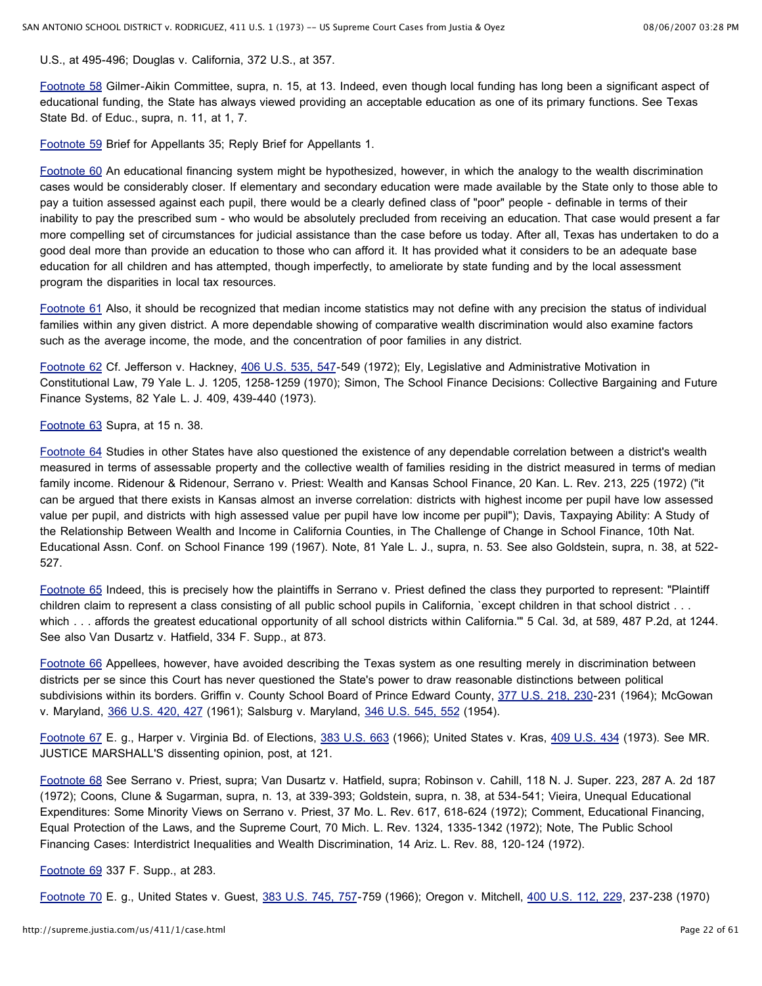U.S., at 495-496; Douglas v. California, 372 U.S., at 357.

Footnote 58 Gilmer-Aikin Committee, supra, n. 15, at 13. Indeed, even though local funding has long been a significant aspect of educational funding, the State has always viewed providing an acceptable education as one of its primary functions. See Texas State Bd. of Educ., supra, n. 11, at 1, 7.

Footnote 59 Brief for Appellants 35; Reply Brief for Appellants 1.

Footnote 60 An educational financing system might be hypothesized, however, in which the analogy to the wealth discrimination cases would be considerably closer. If elementary and secondary education were made available by the State only to those able to pay a tuition assessed against each pupil, there would be a clearly defined class of "poor" people - definable in terms of their inability to pay the prescribed sum - who would be absolutely precluded from receiving an education. That case would present a far more compelling set of circumstances for judicial assistance than the case before us today. After all, Texas has undertaken to do a good deal more than provide an education to those who can afford it. It has provided what it considers to be an adequate base education for all children and has attempted, though imperfectly, to ameliorate by state funding and by the local assessment program the disparities in local tax resources.

Footnote 61 Also, it should be recognized that median income statistics may not define with any precision the status of individual families within any given district. A more dependable showing of comparative wealth discrimination would also examine factors such as the average income, the mode, and the concentration of poor families in any district.

Footnote 62 Cf. Jefferson v. Hackney, 406 U.S. 535, 547-549 (1972); Ely, Legislative and Administrative Motivation in Constitutional Law, 79 Yale L. J. 1205, 1258-1259 (1970); Simon, The School Finance Decisions: Collective Bargaining and Future Finance Systems, 82 Yale L. J. 409, 439-440 (1973).

#### Footnote 63 Supra, at 15 n. 38.

Footnote 64 Studies in other States have also questioned the existence of any dependable correlation between a district's wealth measured in terms of assessable property and the collective wealth of families residing in the district measured in terms of median family income. Ridenour & Ridenour, Serrano v. Priest: Wealth and Kansas School Finance, 20 Kan. L. Rev. 213, 225 (1972) ("it can be argued that there exists in Kansas almost an inverse correlation: districts with highest income per pupil have low assessed value per pupil, and districts with high assessed value per pupil have low income per pupil"); Davis, Taxpaying Ability: A Study of the Relationship Between Wealth and Income in California Counties, in The Challenge of Change in School Finance, 10th Nat. Educational Assn. Conf. on School Finance 199 (1967). Note, 81 Yale L. J., supra, n. 53. See also Goldstein, supra, n. 38, at 522- 527.

Footnote 65 Indeed, this is precisely how the plaintiffs in Serrano v. Priest defined the class they purported to represent: "Plaintiff children claim to represent a class consisting of all public school pupils in California, `except children in that school district . . . which . . . affords the greatest educational opportunity of all school districts within California.'" 5 Cal. 3d, at 589, 487 P.2d, at 1244. See also Van Dusartz v. Hatfield, 334 F. Supp., at 873.

Footnote 66 Appellees, however, have avoided describing the Texas system as one resulting merely in discrimination between districts per se since this Court has never questioned the State's power to draw reasonable distinctions between political subdivisions within its borders. Griffin v. County School Board of Prince Edward County, 377 U.S. 218, 230-231 (1964); McGowan v. Maryland, 366 U.S. 420, 427 (1961); Salsburg v. Maryland, 346 U.S. 545, 552 (1954).

Footnote 67 E. g., Harper v. Virginia Bd. of Elections, 383 U.S. 663 (1966); United States v. Kras, 409 U.S. 434 (1973). See MR. JUSTICE MARSHALL'S dissenting opinion, post, at 121.

Footnote 68 See Serrano v. Priest, supra; Van Dusartz v. Hatfield, supra; Robinson v. Cahill, 118 N. J. Super. 223, 287 A. 2d 187 (1972); Coons, Clune & Sugarman, supra, n. 13, at 339-393; Goldstein, supra, n. 38, at 534-541; Vieira, Unequal Educational Expenditures: Some Minority Views on Serrano v. Priest, 37 Mo. L. Rev. 617, 618-624 (1972); Comment, Educational Financing, Equal Protection of the Laws, and the Supreme Court, 70 Mich. L. Rev. 1324, 1335-1342 (1972); Note, The Public School Financing Cases: Interdistrict Inequalities and Wealth Discrimination, 14 Ariz. L. Rev. 88, 120-124 (1972).

# Footnote 69 337 F. Supp., at 283.

Footnote 70 E. g., United States v. Guest, 383 U.S. 745, 757-759 (1966); Oregon v. Mitchell, 400 U.S. 112, 229, 237-238 (1970)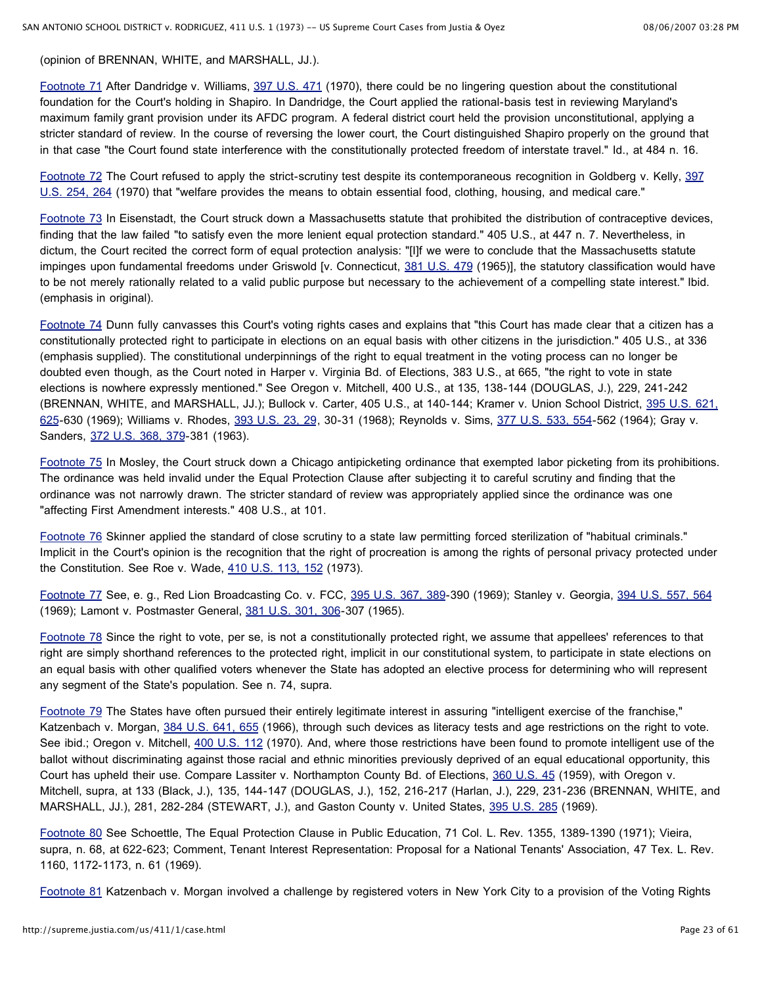(opinion of BRENNAN, WHITE, and MARSHALL, JJ.).

Footnote 71 After Dandridge v. Williams, 397 U.S. 471 (1970), there could be no lingering question about the constitutional foundation for the Court's holding in Shapiro. In Dandridge, the Court applied the rational-basis test in reviewing Maryland's maximum family grant provision under its AFDC program. A federal district court held the provision unconstitutional, applying a stricter standard of review. In the course of reversing the lower court, the Court distinguished Shapiro properly on the ground that in that case "the Court found state interference with the constitutionally protected freedom of interstate travel." Id., at 484 n. 16.

Footnote 72 The Court refused to apply the strict-scrutiny test despite its contemporaneous recognition in Goldberg v. Kelly, 397 U.S. 254, 264 (1970) that "welfare provides the means to obtain essential food, clothing, housing, and medical care."

Footnote 73 In Eisenstadt, the Court struck down a Massachusetts statute that prohibited the distribution of contraceptive devices, finding that the law failed "to satisfy even the more lenient equal protection standard." 405 U.S., at 447 n. 7. Nevertheless, in dictum, the Court recited the correct form of equal protection analysis: "[I]f we were to conclude that the Massachusetts statute impinges upon fundamental freedoms under Griswold [v. Connecticut, 381 U.S. 479 (1965)], the statutory classification would have to be not merely rationally related to a valid public purpose but necessary to the achievement of a compelling state interest." Ibid. (emphasis in original).

Footnote 74 Dunn fully canvasses this Court's voting rights cases and explains that "this Court has made clear that a citizen has a constitutionally protected right to participate in elections on an equal basis with other citizens in the jurisdiction." 405 U.S., at 336 (emphasis supplied). The constitutional underpinnings of the right to equal treatment in the voting process can no longer be doubted even though, as the Court noted in Harper v. Virginia Bd. of Elections, 383 U.S., at 665, "the right to vote in state elections is nowhere expressly mentioned." See Oregon v. Mitchell, 400 U.S., at 135, 138-144 (DOUGLAS, J.), 229, 241-242 (BRENNAN, WHITE, and MARSHALL, JJ.); Bullock v. Carter, 405 U.S., at 140-144; Kramer v. Union School District, 395 U.S. 621, 625-630 (1969); Williams v. Rhodes, 393 U.S. 23, 29, 30-31 (1968); Reynolds v. Sims, 377 U.S. 533, 554-562 (1964); Gray v. Sanders, 372 U.S. 368, 379-381 (1963).

Footnote 75 In Mosley, the Court struck down a Chicago antipicketing ordinance that exempted labor picketing from its prohibitions. The ordinance was held invalid under the Equal Protection Clause after subjecting it to careful scrutiny and finding that the ordinance was not narrowly drawn. The stricter standard of review was appropriately applied since the ordinance was one "affecting First Amendment interests." 408 U.S., at 101.

Footnote 76 Skinner applied the standard of close scrutiny to a state law permitting forced sterilization of "habitual criminals." Implicit in the Court's opinion is the recognition that the right of procreation is among the rights of personal privacy protected under the Constitution. See Roe v. Wade, 410 U.S. 113, 152 (1973).

Footnote 77 See, e. g., Red Lion Broadcasting Co. v. FCC, 395 U.S. 367, 389-390 (1969); Stanley v. Georgia, 394 U.S. 557, 564 (1969); Lamont v. Postmaster General, 381 U.S. 301, 306-307 (1965).

Footnote 78 Since the right to vote, per se, is not a constitutionally protected right, we assume that appellees' references to that right are simply shorthand references to the protected right, implicit in our constitutional system, to participate in state elections on an equal basis with other qualified voters whenever the State has adopted an elective process for determining who will represent any segment of the State's population. See n. 74, supra.

Footnote 79 The States have often pursued their entirely legitimate interest in assuring "intelligent exercise of the franchise," Katzenbach v. Morgan, 384 U.S. 641, 655 (1966), through such devices as literacy tests and age restrictions on the right to vote. See ibid.; Oregon v. Mitchell, 400 U.S. 112 (1970). And, where those restrictions have been found to promote intelligent use of the ballot without discriminating against those racial and ethnic minorities previously deprived of an equal educational opportunity, this Court has upheld their use. Compare Lassiter v. Northampton County Bd. of Elections, 360 U.S. 45 (1959), with Oregon v. Mitchell, supra, at 133 (Black, J.), 135, 144-147 (DOUGLAS, J.), 152, 216-217 (Harlan, J.), 229, 231-236 (BRENNAN, WHITE, and MARSHALL, JJ.), 281, 282-284 (STEWART, J.), and Gaston County v. United States, 395 U.S. 285 (1969).

Footnote 80 See Schoettle, The Equal Protection Clause in Public Education, 71 Col. L. Rev. 1355, 1389-1390 (1971); Vieira, supra, n. 68, at 622-623; Comment, Tenant Interest Representation: Proposal for a National Tenants' Association, 47 Tex. L. Rev. 1160, 1172-1173, n. 61 (1969).

Footnote 81 Katzenbach v. Morgan involved a challenge by registered voters in New York City to a provision of the Voting Rights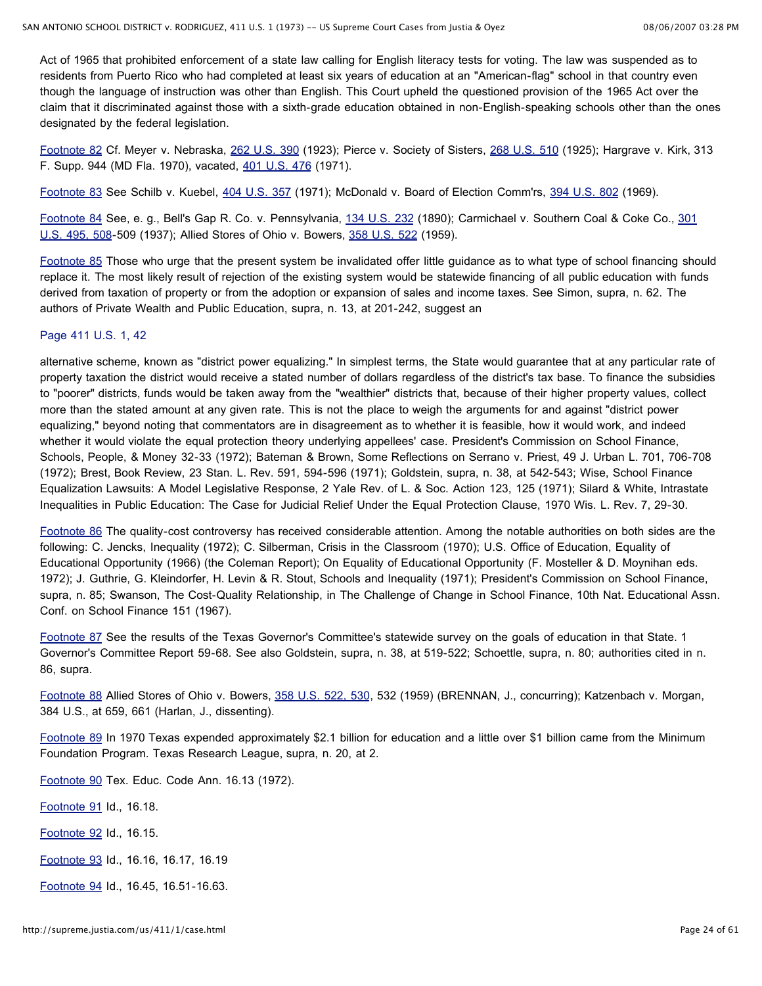Act of 1965 that prohibited enforcement of a state law calling for English literacy tests for voting. The law was suspended as to residents from Puerto Rico who had completed at least six years of education at an "American-flag" school in that country even though the language of instruction was other than English. This Court upheld the questioned provision of the 1965 Act over the claim that it discriminated against those with a sixth-grade education obtained in non-English-speaking schools other than the ones designated by the federal legislation.

Footnote 82 Cf. Meyer v. Nebraska, 262 U.S. 390 (1923); Pierce v. Society of Sisters, 268 U.S. 510 (1925); Hargrave v. Kirk, 313 F. Supp. 944 (MD Fla. 1970), vacated, 401 U.S. 476 (1971).

Footnote 83 See Schilb v. Kuebel, 404 U.S. 357 (1971); McDonald v. Board of Election Comm'rs, 394 U.S. 802 (1969).

Footnote 84 See, e. g., Bell's Gap R. Co. v. Pennsylvania, 134 U.S. 232 (1890); Carmichael v. Southern Coal & Coke Co., 301 U.S. 495, 508-509 (1937); Allied Stores of Ohio v. Bowers, 358 U.S. 522 (1959).

Footnote 85 Those who urge that the present system be invalidated offer little guidance as to what type of school financing should replace it. The most likely result of rejection of the existing system would be statewide financing of all public education with funds derived from taxation of property or from the adoption or expansion of sales and income taxes. See Simon, supra, n. 62. The authors of Private Wealth and Public Education, supra, n. 13, at 201-242, suggest an

# Page 411 U.S. 1, 42

alternative scheme, known as "district power equalizing." In simplest terms, the State would guarantee that at any particular rate of property taxation the district would receive a stated number of dollars regardless of the district's tax base. To finance the subsidies to "poorer" districts, funds would be taken away from the "wealthier" districts that, because of their higher property values, collect more than the stated amount at any given rate. This is not the place to weigh the arguments for and against "district power equalizing," beyond noting that commentators are in disagreement as to whether it is feasible, how it would work, and indeed whether it would violate the equal protection theory underlying appellees' case. President's Commission on School Finance, Schools, People, & Money 32-33 (1972); Bateman & Brown, Some Reflections on Serrano v. Priest, 49 J. Urban L. 701, 706-708 (1972); Brest, Book Review, 23 Stan. L. Rev. 591, 594-596 (1971); Goldstein, supra, n. 38, at 542-543; Wise, School Finance Equalization Lawsuits: A Model Legislative Response, 2 Yale Rev. of L. & Soc. Action 123, 125 (1971); Silard & White, Intrastate Inequalities in Public Education: The Case for Judicial Relief Under the Equal Protection Clause, 1970 Wis. L. Rev. 7, 29-30.

Footnote 86 The quality-cost controversy has received considerable attention. Among the notable authorities on both sides are the following: C. Jencks, Inequality (1972); C. Silberman, Crisis in the Classroom (1970); U.S. Office of Education, Equality of Educational Opportunity (1966) (the Coleman Report); On Equality of Educational Opportunity (F. Mosteller & D. Moynihan eds. 1972); J. Guthrie, G. Kleindorfer, H. Levin & R. Stout, Schools and Inequality (1971); President's Commission on School Finance, supra, n. 85; Swanson, The Cost-Quality Relationship, in The Challenge of Change in School Finance, 10th Nat. Educational Assn. Conf. on School Finance 151 (1967).

Footnote 87 See the results of the Texas Governor's Committee's statewide survey on the goals of education in that State. 1 Governor's Committee Report 59-68. See also Goldstein, supra, n. 38, at 519-522; Schoettle, supra, n. 80; authorities cited in n. 86, supra.

Footnote 88 Allied Stores of Ohio v. Bowers, 358 U.S. 522, 530, 532 (1959) (BRENNAN, J., concurring); Katzenbach v. Morgan, 384 U.S., at 659, 661 (Harlan, J., dissenting).

Footnote 89 In 1970 Texas expended approximately \$2.1 billion for education and a little over \$1 billion came from the Minimum Foundation Program. Texas Research League, supra, n. 20, at 2.

Footnote 90 Tex. Educ. Code Ann. 16.13 (1972).

Footnote 91 Id., 16.18.

Footnote 92 Id., 16.15.

Footnote 93 Id., 16.16, 16.17, 16.19

Footnote 94 Id., 16.45, 16.51-16.63.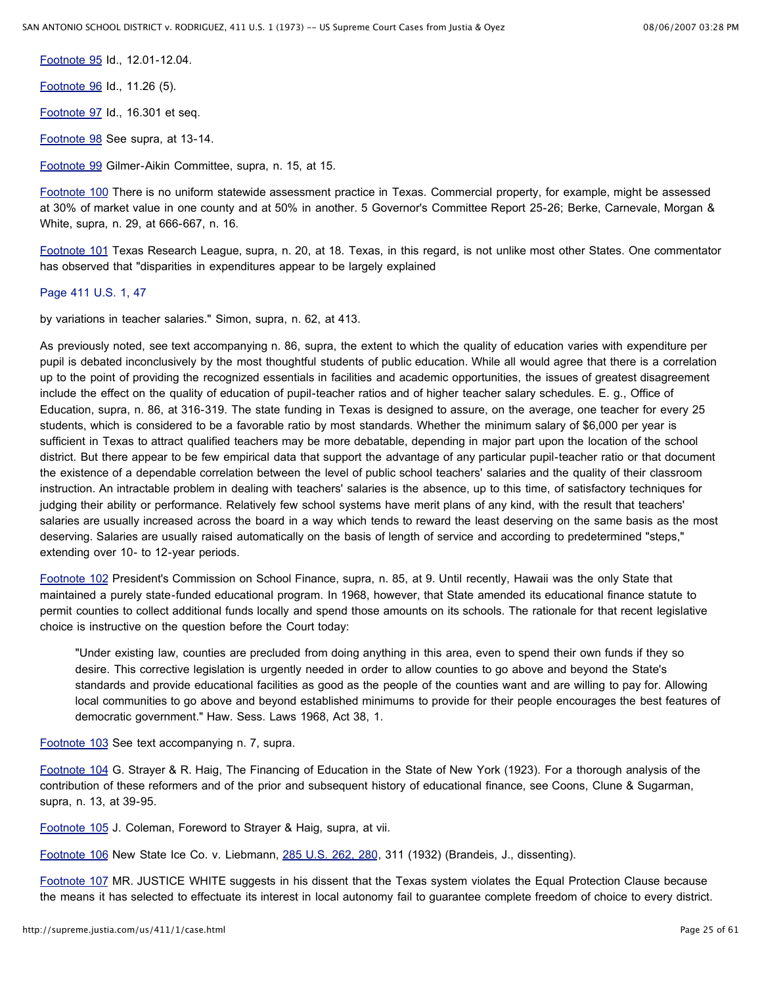Footnote 95 Id., 12.01-12.04.

Footnote 96 Id., 11.26 (5).

Footnote 97 Id., 16.301 et seq.

Footnote 98 See supra, at 13-14.

Footnote 99 Gilmer-Aikin Committee, supra, n. 15, at 15.

Footnote 100 There is no uniform statewide assessment practice in Texas. Commercial property, for example, might be assessed at 30% of market value in one county and at 50% in another. 5 Governor's Committee Report 25-26; Berke, Carnevale, Morgan & White, supra, n. 29, at 666-667, n. 16.

Footnote 101 Texas Research League, supra, n. 20, at 18. Texas, in this regard, is not unlike most other States. One commentator has observed that "disparities in expenditures appear to be largely explained

#### Page 411 U.S. 1, 47

by variations in teacher salaries." Simon, supra, n. 62, at 413.

As previously noted, see text accompanying n. 86, supra, the extent to which the quality of education varies with expenditure per pupil is debated inconclusively by the most thoughtful students of public education. While all would agree that there is a correlation up to the point of providing the recognized essentials in facilities and academic opportunities, the issues of greatest disagreement include the effect on the quality of education of pupil-teacher ratios and of higher teacher salary schedules. E. g., Office of Education, supra, n. 86, at 316-319. The state funding in Texas is designed to assure, on the average, one teacher for every 25 students, which is considered to be a favorable ratio by most standards. Whether the minimum salary of \$6,000 per year is sufficient in Texas to attract qualified teachers may be more debatable, depending in major part upon the location of the school district. But there appear to be few empirical data that support the advantage of any particular pupil-teacher ratio or that document the existence of a dependable correlation between the level of public school teachers' salaries and the quality of their classroom instruction. An intractable problem in dealing with teachers' salaries is the absence, up to this time, of satisfactory techniques for judging their ability or performance. Relatively few school systems have merit plans of any kind, with the result that teachers' salaries are usually increased across the board in a way which tends to reward the least deserving on the same basis as the most deserving. Salaries are usually raised automatically on the basis of length of service and according to predetermined "steps," extending over 10- to 12-year periods.

Footnote 102 President's Commission on School Finance, supra, n. 85, at 9. Until recently, Hawaii was the only State that maintained a purely state-funded educational program. In 1968, however, that State amended its educational finance statute to permit counties to collect additional funds locally and spend those amounts on its schools. The rationale for that recent legislative choice is instructive on the question before the Court today:

"Under existing law, counties are precluded from doing anything in this area, even to spend their own funds if they so desire. This corrective legislation is urgently needed in order to allow counties to go above and beyond the State's standards and provide educational facilities as good as the people of the counties want and are willing to pay for. Allowing local communities to go above and beyond established minimums to provide for their people encourages the best features of democratic government." Haw. Sess. Laws 1968, Act 38, 1.

Footnote 103 See text accompanying n. 7, supra.

Footnote 104 G. Strayer & R. Haig, The Financing of Education in the State of New York (1923). For a thorough analysis of the contribution of these reformers and of the prior and subsequent history of educational finance, see Coons, Clune & Sugarman, supra, n. 13, at 39-95.

Footnote 105 J. Coleman, Foreword to Strayer & Haig, supra, at vii.

Footnote 106 New State Ice Co. v. Liebmann, 285 U.S. 262, 280, 311 (1932) (Brandeis, J., dissenting).

Footnote 107 MR. JUSTICE WHITE suggests in his dissent that the Texas system violates the Equal Protection Clause because the means it has selected to effectuate its interest in local autonomy fail to guarantee complete freedom of choice to every district.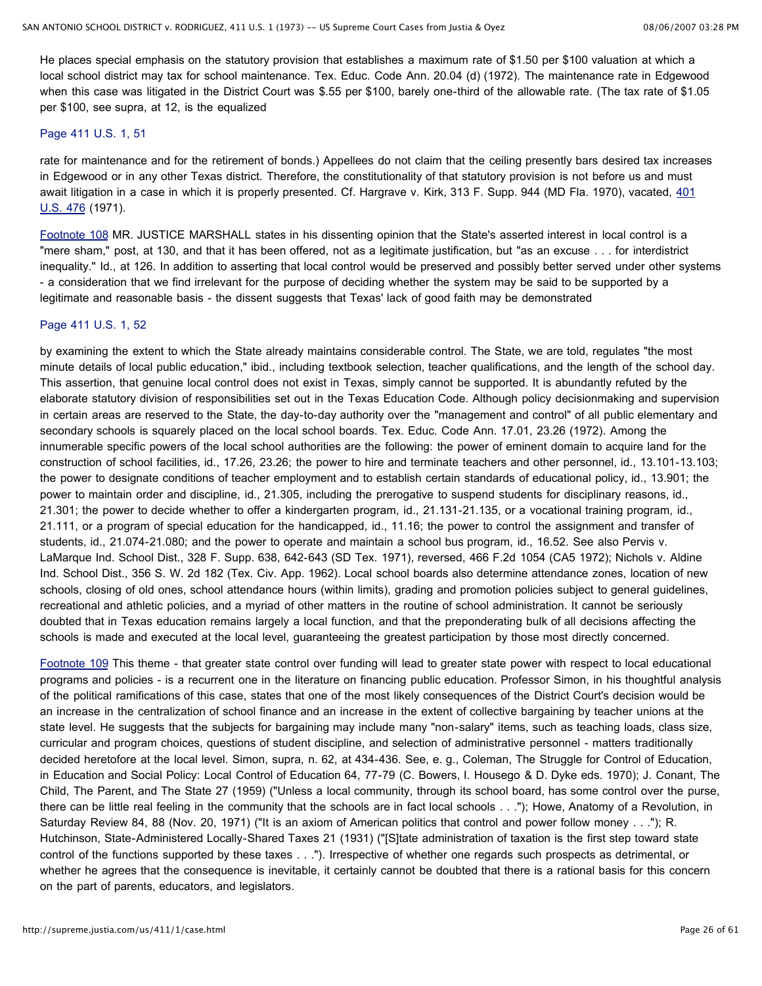He places special emphasis on the statutory provision that establishes a maximum rate of \$1.50 per \$100 valuation at which a local school district may tax for school maintenance. Tex. Educ. Code Ann. 20.04 (d) (1972). The maintenance rate in Edgewood when this case was litigated in the District Court was \$.55 per \$100, barely one-third of the allowable rate. (The tax rate of \$1.05 per \$100, see supra, at 12, is the equalized

# Page 411 U.S. 1, 51

rate for maintenance and for the retirement of bonds.) Appellees do not claim that the ceiling presently bars desired tax increases in Edgewood or in any other Texas district. Therefore, the constitutionality of that statutory provision is not before us and must await litigation in a case in which it is properly presented. Cf. Hargrave v. Kirk, 313 F. Supp. 944 (MD Fla. 1970), vacated, 401 U.S. 476 (1971).

Footnote 108 MR. JUSTICE MARSHALL states in his dissenting opinion that the State's asserted interest in local control is a "mere sham," post, at 130, and that it has been offered, not as a legitimate justification, but "as an excuse . . . for interdistrict inequality." Id., at 126. In addition to asserting that local control would be preserved and possibly better served under other systems - a consideration that we find irrelevant for the purpose of deciding whether the system may be said to be supported by a legitimate and reasonable basis - the dissent suggests that Texas' lack of good faith may be demonstrated

#### Page 411 U.S. 1, 52

by examining the extent to which the State already maintains considerable control. The State, we are told, regulates "the most minute details of local public education," ibid., including textbook selection, teacher qualifications, and the length of the school day. This assertion, that genuine local control does not exist in Texas, simply cannot be supported. It is abundantly refuted by the elaborate statutory division of responsibilities set out in the Texas Education Code. Although policy decisionmaking and supervision in certain areas are reserved to the State, the day-to-day authority over the "management and control" of all public elementary and secondary schools is squarely placed on the local school boards. Tex. Educ. Code Ann. 17.01, 23.26 (1972). Among the innumerable specific powers of the local school authorities are the following: the power of eminent domain to acquire land for the construction of school facilities, id., 17.26, 23.26; the power to hire and terminate teachers and other personnel, id., 13.101-13.103; the power to designate conditions of teacher employment and to establish certain standards of educational policy, id., 13.901; the power to maintain order and discipline, id., 21.305, including the prerogative to suspend students for disciplinary reasons, id., 21.301; the power to decide whether to offer a kindergarten program, id., 21.131-21.135, or a vocational training program, id., 21.111, or a program of special education for the handicapped, id., 11.16; the power to control the assignment and transfer of students, id., 21.074-21.080; and the power to operate and maintain a school bus program, id., 16.52. See also Pervis v. LaMarque Ind. School Dist., 328 F. Supp. 638, 642-643 (SD Tex. 1971), reversed, 466 F.2d 1054 (CA5 1972); Nichols v. Aldine Ind. School Dist., 356 S. W. 2d 182 (Tex. Civ. App. 1962). Local school boards also determine attendance zones, location of new schools, closing of old ones, school attendance hours (within limits), grading and promotion policies subject to general guidelines, recreational and athletic policies, and a myriad of other matters in the routine of school administration. It cannot be seriously doubted that in Texas education remains largely a local function, and that the preponderating bulk of all decisions affecting the schools is made and executed at the local level, guaranteeing the greatest participation by those most directly concerned.

Footnote 109 This theme - that greater state control over funding will lead to greater state power with respect to local educational programs and policies - is a recurrent one in the literature on financing public education. Professor Simon, in his thoughtful analysis of the political ramifications of this case, states that one of the most likely consequences of the District Court's decision would be an increase in the centralization of school finance and an increase in the extent of collective bargaining by teacher unions at the state level. He suggests that the subjects for bargaining may include many "non-salary" items, such as teaching loads, class size, curricular and program choices, questions of student discipline, and selection of administrative personnel - matters traditionally decided heretofore at the local level. Simon, supra, n. 62, at 434-436. See, e. g., Coleman, The Struggle for Control of Education, in Education and Social Policy: Local Control of Education 64, 77-79 (C. Bowers, I. Housego & D. Dyke eds. 1970); J. Conant, The Child, The Parent, and The State 27 (1959) ("Unless a local community, through its school board, has some control over the purse, there can be little real feeling in the community that the schools are in fact local schools . . ."); Howe, Anatomy of a Revolution, in Saturday Review 84, 88 (Nov. 20, 1971) ("It is an axiom of American politics that control and power follow money . . ."); R. Hutchinson, State-Administered Locally-Shared Taxes 21 (1931) ("[S]tate administration of taxation is the first step toward state control of the functions supported by these taxes . . ."). Irrespective of whether one regards such prospects as detrimental, or whether he agrees that the consequence is inevitable, it certainly cannot be doubted that there is a rational basis for this concern on the part of parents, educators, and legislators.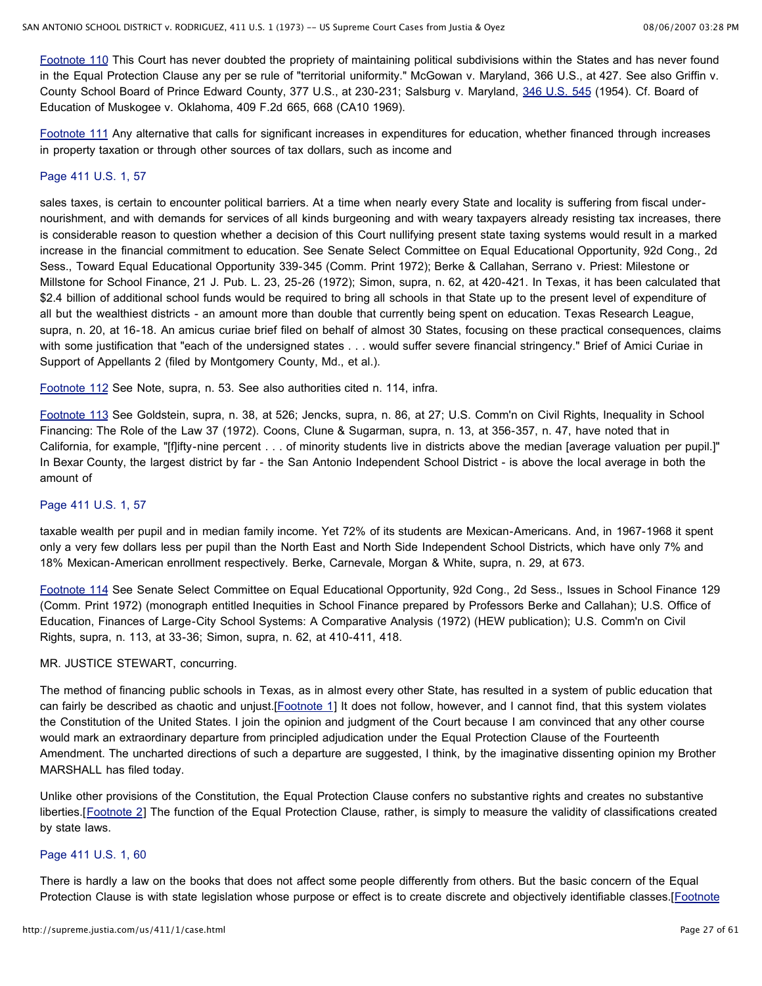Footnote 110 This Court has never doubted the propriety of maintaining political subdivisions within the States and has never found in the Equal Protection Clause any per se rule of "territorial uniformity." McGowan v. Maryland, 366 U.S., at 427. See also Griffin v. County School Board of Prince Edward County, 377 U.S., at 230-231; Salsburg v. Maryland, 346 U.S. 545 (1954). Cf. Board of Education of Muskogee v. Oklahoma, 409 F.2d 665, 668 (CA10 1969).

Footnote 111 Any alternative that calls for significant increases in expenditures for education, whether financed through increases in property taxation or through other sources of tax dollars, such as income and

# Page 411 U.S. 1, 57

sales taxes, is certain to encounter political barriers. At a time when nearly every State and locality is suffering from fiscal undernourishment, and with demands for services of all kinds burgeoning and with weary taxpayers already resisting tax increases, there is considerable reason to question whether a decision of this Court nullifying present state taxing systems would result in a marked increase in the financial commitment to education. See Senate Select Committee on Equal Educational Opportunity, 92d Cong., 2d Sess., Toward Equal Educational Opportunity 339-345 (Comm. Print 1972); Berke & Callahan, Serrano v. Priest: Milestone or Millstone for School Finance, 21 J. Pub. L. 23, 25-26 (1972); Simon, supra, n. 62, at 420-421. In Texas, it has been calculated that \$2.4 billion of additional school funds would be required to bring all schools in that State up to the present level of expenditure of all but the wealthiest districts - an amount more than double that currently being spent on education. Texas Research League, supra, n. 20, at 16-18. An amicus curiae brief filed on behalf of almost 30 States, focusing on these practical consequences, claims with some justification that "each of the undersigned states . . . would suffer severe financial stringency." Brief of Amici Curiae in Support of Appellants 2 (filed by Montgomery County, Md., et al.).

Footnote 112 See Note, supra, n. 53. See also authorities cited n. 114, infra.

Footnote 113 See Goldstein, supra, n. 38, at 526; Jencks, supra, n. 86, at 27; U.S. Comm'n on Civil Rights, Inequality in School Financing: The Role of the Law 37 (1972). Coons, Clune & Sugarman, supra, n. 13, at 356-357, n. 47, have noted that in California, for example, "[f]ifty-nine percent . . . of minority students live in districts above the median [average valuation per pupil.]" In Bexar County, the largest district by far - the San Antonio Independent School District - is above the local average in both the amount of

#### Page 411 U.S. 1, 57

taxable wealth per pupil and in median family income. Yet 72% of its students are Mexican-Americans. And, in 1967-1968 it spent only a very few dollars less per pupil than the North East and North Side Independent School Districts, which have only 7% and 18% Mexican-American enrollment respectively. Berke, Carnevale, Morgan & White, supra, n. 29, at 673.

Footnote 114 See Senate Select Committee on Equal Educational Opportunity, 92d Cong., 2d Sess., Issues in School Finance 129 (Comm. Print 1972) (monograph entitled Inequities in School Finance prepared by Professors Berke and Callahan); U.S. Office of Education, Finances of Large-City School Systems: A Comparative Analysis (1972) (HEW publication); U.S. Comm'n on Civil Rights, supra, n. 113, at 33-36; Simon, supra, n. 62, at 410-411, 418.

# MR. JUSTICE STEWART, concurring.

The method of financing public schools in Texas, as in almost every other State, has resulted in a system of public education that can fairly be described as chaotic and unjust.[Footnote 1] It does not follow, however, and I cannot find, that this system violates the Constitution of the United States. I join the opinion and judgment of the Court because I am convinced that any other course would mark an extraordinary departure from principled adjudication under the Equal Protection Clause of the Fourteenth Amendment. The uncharted directions of such a departure are suggested, I think, by the imaginative dissenting opinion my Brother MARSHALL has filed today.

Unlike other provisions of the Constitution, the Equal Protection Clause confers no substantive rights and creates no substantive liberties.[Footnote 2] The function of the Equal Protection Clause, rather, is simply to measure the validity of classifications created by state laws.

#### Page 411 U.S. 1, 60

There is hardly a law on the books that does not affect some people differently from others. But the basic concern of the Equal Protection Clause is with state legislation whose purpose or effect is to create discrete and objectively identifiable classes.[Footnote]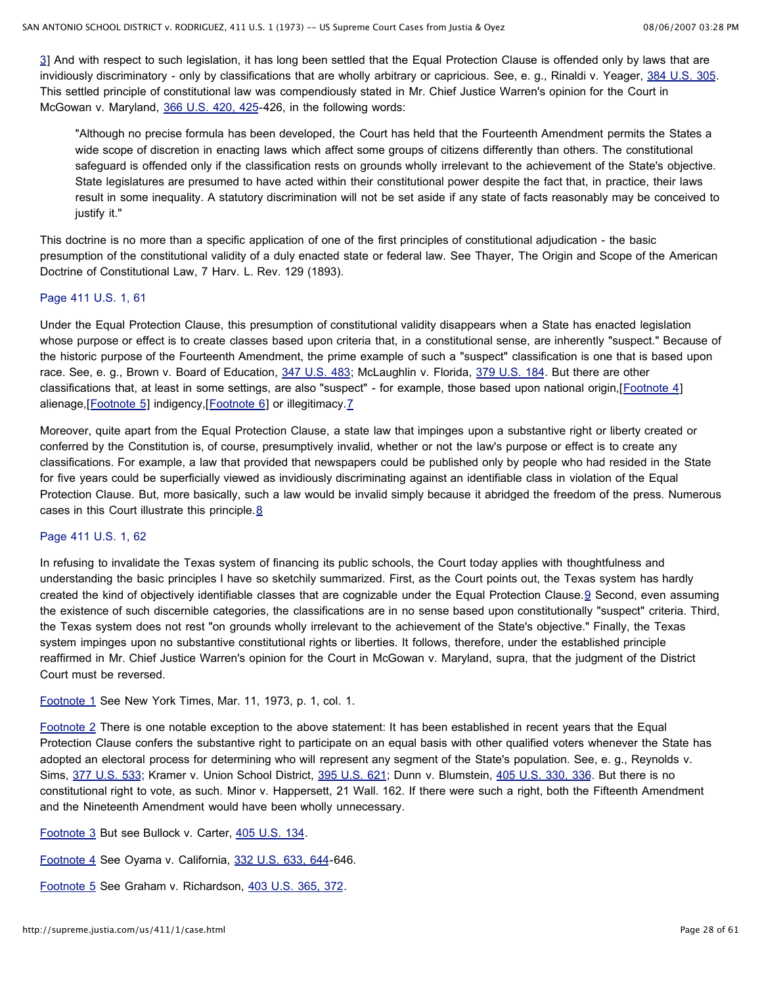3] And with respect to such legislation, it has long been settled that the Equal Protection Clause is offended only by laws that are invidiously discriminatory - only by classifications that are wholly arbitrary or capricious. See, e. g., Rinaldi v. Yeager, 384 U.S. 305. This settled principle of constitutional law was compendiously stated in Mr. Chief Justice Warren's opinion for the Court in McGowan v. Maryland, 366 U.S. 420, 425-426, in the following words:

"Although no precise formula has been developed, the Court has held that the Fourteenth Amendment permits the States a wide scope of discretion in enacting laws which affect some groups of citizens differently than others. The constitutional safeguard is offended only if the classification rests on grounds wholly irrelevant to the achievement of the State's objective. State legislatures are presumed to have acted within their constitutional power despite the fact that, in practice, their laws result in some inequality. A statutory discrimination will not be set aside if any state of facts reasonably may be conceived to justify it."

This doctrine is no more than a specific application of one of the first principles of constitutional adjudication - the basic presumption of the constitutional validity of a duly enacted state or federal law. See Thayer, The Origin and Scope of the American Doctrine of Constitutional Law, 7 Harv. L. Rev. 129 (1893).

# Page 411 U.S. 1, 61

Under the Equal Protection Clause, this presumption of constitutional validity disappears when a State has enacted legislation whose purpose or effect is to create classes based upon criteria that, in a constitutional sense, are inherently "suspect." Because of the historic purpose of the Fourteenth Amendment, the prime example of such a "suspect" classification is one that is based upon race. See, e. g., Brown v. Board of Education, 347 U.S. 483; McLaughlin v. Florida, 379 U.S. 184. But there are other classifications that, at least in some settings, are also "suspect" - for example, those based upon national origin,[Footnote 4] alienage,[Footnote 5] indigency,[Footnote 6] or illegitimacy.7

Moreover, quite apart from the Equal Protection Clause, a state law that impinges upon a substantive right or liberty created or conferred by the Constitution is, of course, presumptively invalid, whether or not the law's purpose or effect is to create any classifications. For example, a law that provided that newspapers could be published only by people who had resided in the State for five years could be superficially viewed as invidiously discriminating against an identifiable class in violation of the Equal Protection Clause. But, more basically, such a law would be invalid simply because it abridged the freedom of the press. Numerous cases in this Court illustrate this principle.8

# Page 411 U.S. 1, 62

In refusing to invalidate the Texas system of financing its public schools, the Court today applies with thoughtfulness and understanding the basic principles I have so sketchily summarized. First, as the Court points out, the Texas system has hardly created the kind of objectively identifiable classes that are cognizable under the Equal Protection Clause.9 Second, even assuming the existence of such discernible categories, the classifications are in no sense based upon constitutionally "suspect" criteria. Third, the Texas system does not rest "on grounds wholly irrelevant to the achievement of the State's objective." Finally, the Texas system impinges upon no substantive constitutional rights or liberties. It follows, therefore, under the established principle reaffirmed in Mr. Chief Justice Warren's opinion for the Court in McGowan v. Maryland, supra, that the judgment of the District Court must be reversed.

Footnote 1 See New York Times, Mar. 11, 1973, p. 1, col. 1.

Footnote 2 There is one notable exception to the above statement: It has been established in recent years that the Equal Protection Clause confers the substantive right to participate on an equal basis with other qualified voters whenever the State has adopted an electoral process for determining who will represent any segment of the State's population. See, e. g., Reynolds v. Sims, 377 U.S. 533; Kramer v. Union School District, 395 U.S. 621; Dunn v. Blumstein, 405 U.S. 330, 336. But there is no constitutional right to vote, as such. Minor v. Happersett, 21 Wall. 162. If there were such a right, both the Fifteenth Amendment and the Nineteenth Amendment would have been wholly unnecessary.

Footnote 3 But see Bullock v. Carter, 405 U.S. 134.

Footnote 4 See Oyama v. California, 332 U.S. 633, 644-646.

Footnote 5 See Graham v. Richardson, 403 U.S. 365, 372.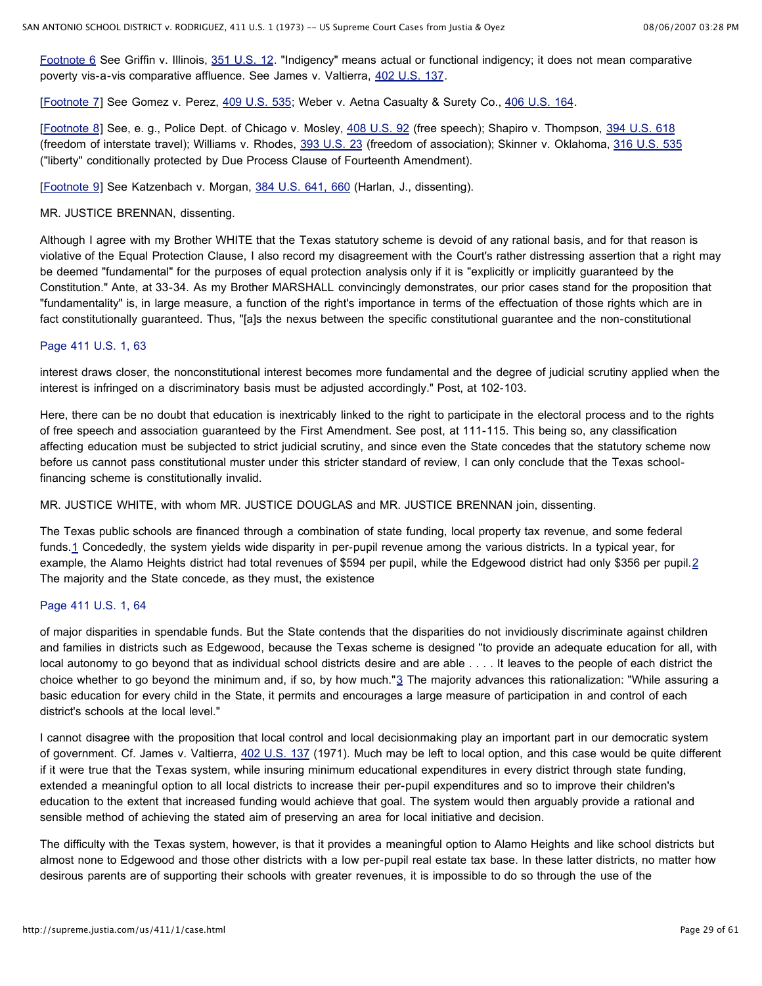Footnote 6 See Griffin v. Illinois, 351 U.S. 12. "Indigency" means actual or functional indigency; it does not mean comparative poverty vis-a-vis comparative affluence. See James v. Valtierra, 402 U.S. 137.

[Footnote 7] See Gomez v. Perez, 409 U.S. 535; Weber v. Aetna Casualty & Surety Co., 406 U.S. 164.

[Footnote 8] See, e. g., Police Dept. of Chicago v. Mosley, 408 U.S. 92 (free speech); Shapiro v. Thompson, 394 U.S. 618 (freedom of interstate travel); Williams v. Rhodes, 393 U.S. 23 (freedom of association); Skinner v. Oklahoma, 316 U.S. 535 ("liberty" conditionally protected by Due Process Clause of Fourteenth Amendment).

[Footnote 9] See Katzenbach v. Morgan, 384 U.S. 641, 660 (Harlan, J., dissenting).

#### MR. JUSTICE BRENNAN, dissenting.

Although I agree with my Brother WHITE that the Texas statutory scheme is devoid of any rational basis, and for that reason is violative of the Equal Protection Clause, I also record my disagreement with the Court's rather distressing assertion that a right may be deemed "fundamental" for the purposes of equal protection analysis only if it is "explicitly or implicitly guaranteed by the Constitution." Ante, at 33-34. As my Brother MARSHALL convincingly demonstrates, our prior cases stand for the proposition that "fundamentality" is, in large measure, a function of the right's importance in terms of the effectuation of those rights which are in fact constitutionally guaranteed. Thus, "[a]s the nexus between the specific constitutional guarantee and the non-constitutional

#### Page 411 U.S. 1, 63

interest draws closer, the nonconstitutional interest becomes more fundamental and the degree of judicial scrutiny applied when the interest is infringed on a discriminatory basis must be adjusted accordingly." Post, at 102-103.

Here, there can be no doubt that education is inextricably linked to the right to participate in the electoral process and to the rights of free speech and association guaranteed by the First Amendment. See post, at 111-115. This being so, any classification affecting education must be subjected to strict judicial scrutiny, and since even the State concedes that the statutory scheme now before us cannot pass constitutional muster under this stricter standard of review, I can only conclude that the Texas schoolfinancing scheme is constitutionally invalid.

MR. JUSTICE WHITE, with whom MR. JUSTICE DOUGLAS and MR. JUSTICE BRENNAN join, dissenting.

The Texas public schools are financed through a combination of state funding, local property tax revenue, and some federal funds.1 Concededly, the system yields wide disparity in per-pupil revenue among the various districts. In a typical year, for example, the Alamo Heights district had total revenues of \$594 per pupil, while the Edgewood district had only \$356 per pupil.2 The majority and the State concede, as they must, the existence

# Page 411 U.S. 1, 64

of major disparities in spendable funds. But the State contends that the disparities do not invidiously discriminate against children and families in districts such as Edgewood, because the Texas scheme is designed "to provide an adequate education for all, with local autonomy to go beyond that as individual school districts desire and are able . . . . It leaves to the people of each district the choice whether to go beyond the minimum and, if so, by how much."3 The majority advances this rationalization: "While assuring a basic education for every child in the State, it permits and encourages a large measure of participation in and control of each district's schools at the local level."

I cannot disagree with the proposition that local control and local decisionmaking play an important part in our democratic system of government. Cf. James v. Valtierra, 402 U.S. 137 (1971). Much may be left to local option, and this case would be quite different if it were true that the Texas system, while insuring minimum educational expenditures in every district through state funding, extended a meaningful option to all local districts to increase their per-pupil expenditures and so to improve their children's education to the extent that increased funding would achieve that goal. The system would then arguably provide a rational and sensible method of achieving the stated aim of preserving an area for local initiative and decision.

The difficulty with the Texas system, however, is that it provides a meaningful option to Alamo Heights and like school districts but almost none to Edgewood and those other districts with a low per-pupil real estate tax base. In these latter districts, no matter how desirous parents are of supporting their schools with greater revenues, it is impossible to do so through the use of the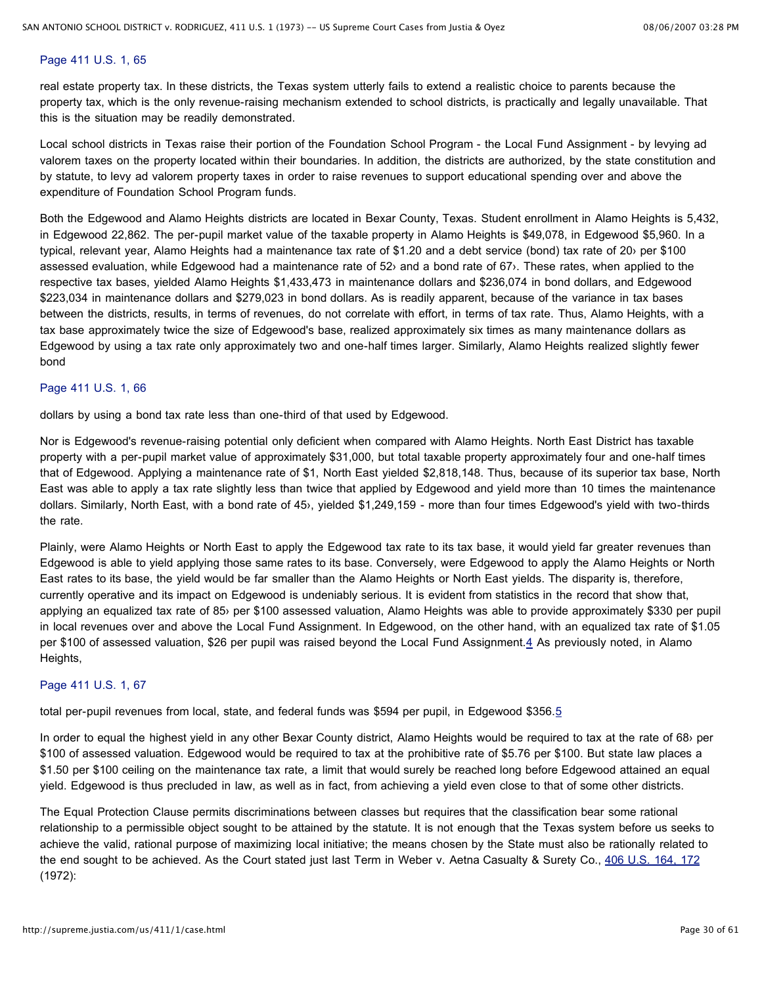# Page 411 U.S. 1, 65

real estate property tax. In these districts, the Texas system utterly fails to extend a realistic choice to parents because the property tax, which is the only revenue-raising mechanism extended to school districts, is practically and legally unavailable. That this is the situation may be readily demonstrated.

Local school districts in Texas raise their portion of the Foundation School Program - the Local Fund Assignment - by levying ad valorem taxes on the property located within their boundaries. In addition, the districts are authorized, by the state constitution and by statute, to levy ad valorem property taxes in order to raise revenues to support educational spending over and above the expenditure of Foundation School Program funds.

Both the Edgewood and Alamo Heights districts are located in Bexar County, Texas. Student enrollment in Alamo Heights is 5,432, in Edgewood 22,862. The per-pupil market value of the taxable property in Alamo Heights is \$49,078, in Edgewood \$5,960. In a typical, relevant year, Alamo Heights had a maintenance tax rate of \$1.20 and a debt service (bond) tax rate of 20› per \$100 assessed evaluation, while Edgewood had a maintenance rate of 52› and a bond rate of 67›. These rates, when applied to the respective tax bases, yielded Alamo Heights \$1,433,473 in maintenance dollars and \$236,074 in bond dollars, and Edgewood \$223,034 in maintenance dollars and \$279,023 in bond dollars. As is readily apparent, because of the variance in tax bases between the districts, results, in terms of revenues, do not correlate with effort, in terms of tax rate. Thus, Alamo Heights, with a tax base approximately twice the size of Edgewood's base, realized approximately six times as many maintenance dollars as Edgewood by using a tax rate only approximately two and one-half times larger. Similarly, Alamo Heights realized slightly fewer bond

#### Page 411 U.S. 1, 66

dollars by using a bond tax rate less than one-third of that used by Edgewood.

Nor is Edgewood's revenue-raising potential only deficient when compared with Alamo Heights. North East District has taxable property with a per-pupil market value of approximately \$31,000, but total taxable property approximately four and one-half times that of Edgewood. Applying a maintenance rate of \$1, North East yielded \$2,818,148. Thus, because of its superior tax base, North East was able to apply a tax rate slightly less than twice that applied by Edgewood and yield more than 10 times the maintenance dollars. Similarly, North East, with a bond rate of 45›, yielded \$1,249,159 - more than four times Edgewood's yield with two-thirds the rate.

Plainly, were Alamo Heights or North East to apply the Edgewood tax rate to its tax base, it would yield far greater revenues than Edgewood is able to yield applying those same rates to its base. Conversely, were Edgewood to apply the Alamo Heights or North East rates to its base, the yield would be far smaller than the Alamo Heights or North East yields. The disparity is, therefore, currently operative and its impact on Edgewood is undeniably serious. It is evident from statistics in the record that show that, applying an equalized tax rate of 85› per \$100 assessed valuation, Alamo Heights was able to provide approximately \$330 per pupil in local revenues over and above the Local Fund Assignment. In Edgewood, on the other hand, with an equalized tax rate of \$1.05 per \$100 of assessed valuation, \$26 per pupil was raised beyond the Local Fund Assignment.4 As previously noted, in Alamo Heights,

# Page 411 U.S. 1, 67

total per-pupil revenues from local, state, and federal funds was \$594 per pupil, in Edgewood \$356.5

In order to equal the highest yield in any other Bexar County district, Alamo Heights would be required to tax at the rate of 68› per \$100 of assessed valuation. Edgewood would be required to tax at the prohibitive rate of \$5.76 per \$100. But state law places a \$1.50 per \$100 ceiling on the maintenance tax rate, a limit that would surely be reached long before Edgewood attained an equal yield. Edgewood is thus precluded in law, as well as in fact, from achieving a yield even close to that of some other districts.

The Equal Protection Clause permits discriminations between classes but requires that the classification bear some rational relationship to a permissible object sought to be attained by the statute. It is not enough that the Texas system before us seeks to achieve the valid, rational purpose of maximizing local initiative; the means chosen by the State must also be rationally related to the end sought to be achieved. As the Court stated just last Term in Weber v. Aetna Casualty & Surety Co., 406 U.S. 164, 172 (1972):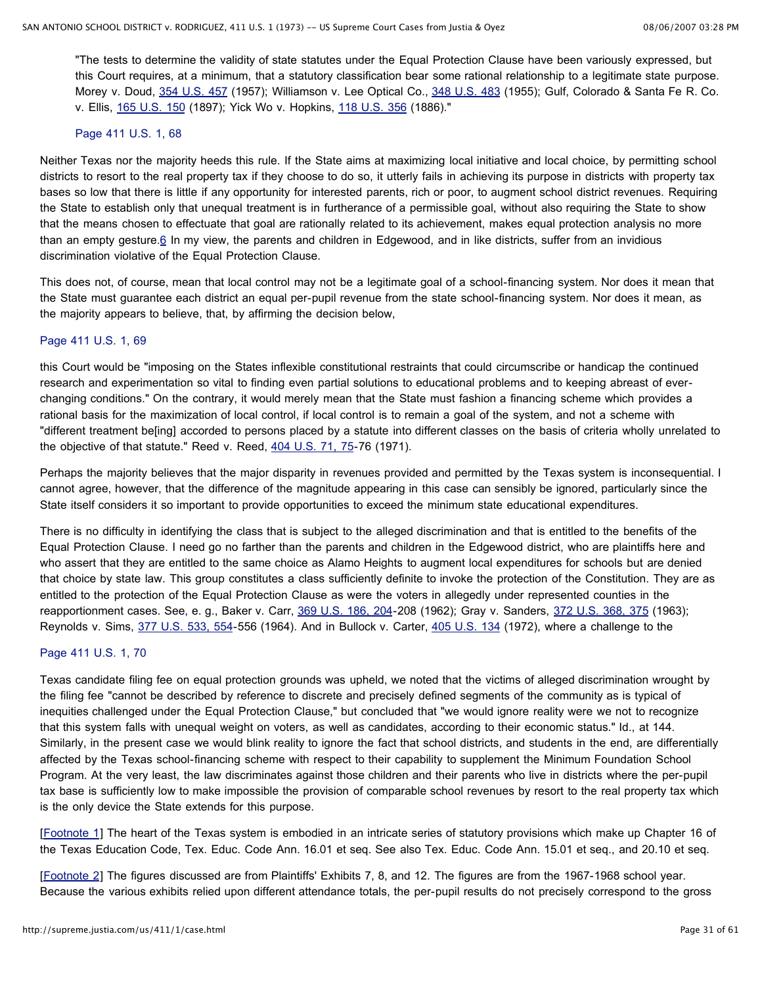"The tests to determine the validity of state statutes under the Equal Protection Clause have been variously expressed, but this Court requires, at a minimum, that a statutory classification bear some rational relationship to a legitimate state purpose. Morey v. Doud, 354 U.S. 457 (1957); Williamson v. Lee Optical Co., 348 U.S. 483 (1955); Gulf, Colorado & Santa Fe R. Co. v. Ellis, 165 U.S. 150 (1897); Yick Wo v. Hopkins, 118 U.S. 356 (1886)."

# Page 411 U.S. 1, 68

Neither Texas nor the majority heeds this rule. If the State aims at maximizing local initiative and local choice, by permitting school districts to resort to the real property tax if they choose to do so, it utterly fails in achieving its purpose in districts with property tax bases so low that there is little if any opportunity for interested parents, rich or poor, to augment school district revenues. Requiring the State to establish only that unequal treatment is in furtherance of a permissible goal, without also requiring the State to show that the means chosen to effectuate that goal are rationally related to its achievement, makes equal protection analysis no more than an empty gesture.6 In my view, the parents and children in Edgewood, and in like districts, suffer from an invidious discrimination violative of the Equal Protection Clause.

This does not, of course, mean that local control may not be a legitimate goal of a school-financing system. Nor does it mean that the State must guarantee each district an equal per-pupil revenue from the state school-financing system. Nor does it mean, as the majority appears to believe, that, by affirming the decision below,

# Page 411 U.S. 1, 69

this Court would be "imposing on the States inflexible constitutional restraints that could circumscribe or handicap the continued research and experimentation so vital to finding even partial solutions to educational problems and to keeping abreast of everchanging conditions." On the contrary, it would merely mean that the State must fashion a financing scheme which provides a rational basis for the maximization of local control, if local control is to remain a goal of the system, and not a scheme with "different treatment be[ing] accorded to persons placed by a statute into different classes on the basis of criteria wholly unrelated to the objective of that statute." Reed v. Reed, 404 U.S. 71, 75-76 (1971).

Perhaps the majority believes that the major disparity in revenues provided and permitted by the Texas system is inconsequential. I cannot agree, however, that the difference of the magnitude appearing in this case can sensibly be ignored, particularly since the State itself considers it so important to provide opportunities to exceed the minimum state educational expenditures.

There is no difficulty in identifying the class that is subject to the alleged discrimination and that is entitled to the benefits of the Equal Protection Clause. I need go no farther than the parents and children in the Edgewood district, who are plaintiffs here and who assert that they are entitled to the same choice as Alamo Heights to augment local expenditures for schools but are denied that choice by state law. This group constitutes a class sufficiently definite to invoke the protection of the Constitution. They are as entitled to the protection of the Equal Protection Clause as were the voters in allegedly under represented counties in the reapportionment cases. See, e. g., Baker v. Carr, 369 U.S. 186, 204-208 (1962); Gray v. Sanders, 372 U.S. 368, 375 (1963); Reynolds v. Sims, 377 U.S. 533, 554-556 (1964). And in Bullock v. Carter, 405 U.S. 134 (1972), where a challenge to the

# Page 411 U.S. 1, 70

Texas candidate filing fee on equal protection grounds was upheld, we noted that the victims of alleged discrimination wrought by the filing fee "cannot be described by reference to discrete and precisely defined segments of the community as is typical of inequities challenged under the Equal Protection Clause," but concluded that "we would ignore reality were we not to recognize that this system falls with unequal weight on voters, as well as candidates, according to their economic status." Id., at 144. Similarly, in the present case we would blink reality to ignore the fact that school districts, and students in the end, are differentially affected by the Texas school-financing scheme with respect to their capability to supplement the Minimum Foundation School Program. At the very least, the law discriminates against those children and their parents who live in districts where the per-pupil tax base is sufficiently low to make impossible the provision of comparable school revenues by resort to the real property tax which is the only device the State extends for this purpose.

[Footnote 1] The heart of the Texas system is embodied in an intricate series of statutory provisions which make up Chapter 16 of the Texas Education Code, Tex. Educ. Code Ann. 16.01 et seq. See also Tex. Educ. Code Ann. 15.01 et seq., and 20.10 et seq.

[Footnote 2] The figures discussed are from Plaintiffs' Exhibits 7, 8, and 12. The figures are from the 1967-1968 school year. Because the various exhibits relied upon different attendance totals, the per-pupil results do not precisely correspond to the gross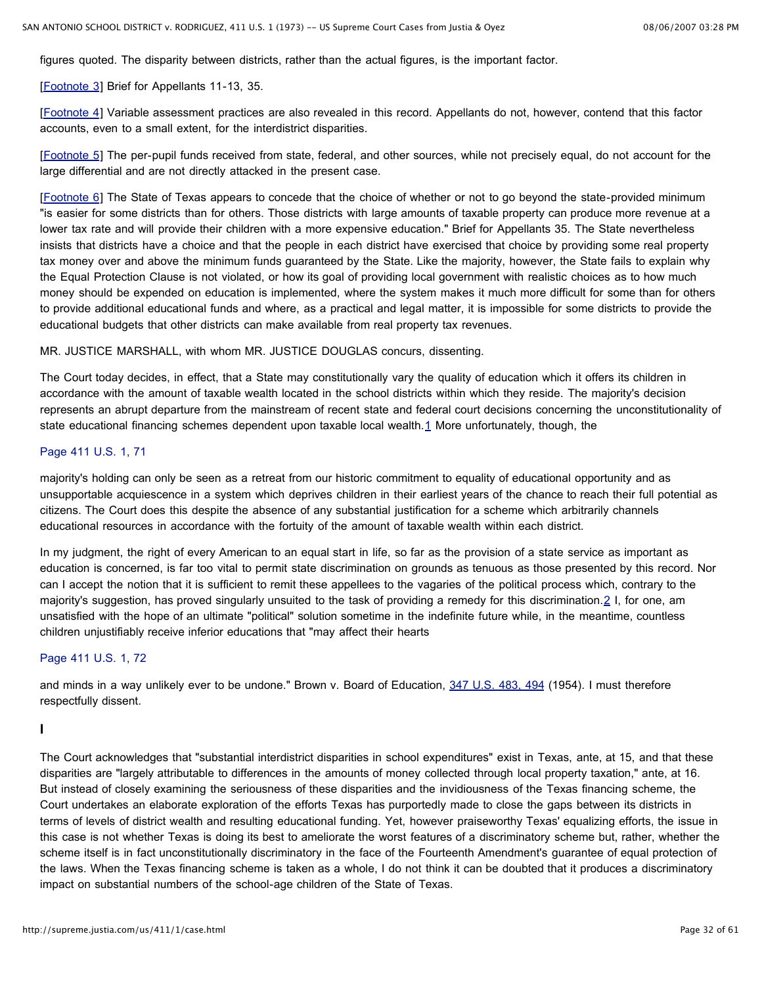figures quoted. The disparity between districts, rather than the actual figures, is the important factor.

[Footnote 3] Brief for Appellants 11-13, 35.

[Footnote 4] Variable assessment practices are also revealed in this record. Appellants do not, however, contend that this factor accounts, even to a small extent, for the interdistrict disparities.

[Footnote 5] The per-pupil funds received from state, federal, and other sources, while not precisely equal, do not account for the large differential and are not directly attacked in the present case.

[Footnote 6] The State of Texas appears to concede that the choice of whether or not to go beyond the state-provided minimum "is easier for some districts than for others. Those districts with large amounts of taxable property can produce more revenue at a lower tax rate and will provide their children with a more expensive education." Brief for Appellants 35. The State nevertheless insists that districts have a choice and that the people in each district have exercised that choice by providing some real property tax money over and above the minimum funds guaranteed by the State. Like the majority, however, the State fails to explain why the Equal Protection Clause is not violated, or how its goal of providing local government with realistic choices as to how much money should be expended on education is implemented, where the system makes it much more difficult for some than for others to provide additional educational funds and where, as a practical and legal matter, it is impossible for some districts to provide the educational budgets that other districts can make available from real property tax revenues.

MR. JUSTICE MARSHALL, with whom MR. JUSTICE DOUGLAS concurs, dissenting.

The Court today decides, in effect, that a State may constitutionally vary the quality of education which it offers its children in accordance with the amount of taxable wealth located in the school districts within which they reside. The majority's decision represents an abrupt departure from the mainstream of recent state and federal court decisions concerning the unconstitutionality of state educational financing schemes dependent upon taxable local wealth.1 More unfortunately, though, the

# Page 411 U.S. 1, 71

majority's holding can only be seen as a retreat from our historic commitment to equality of educational opportunity and as unsupportable acquiescence in a system which deprives children in their earliest years of the chance to reach their full potential as citizens. The Court does this despite the absence of any substantial justification for a scheme which arbitrarily channels educational resources in accordance with the fortuity of the amount of taxable wealth within each district.

In my judgment, the right of every American to an equal start in life, so far as the provision of a state service as important as education is concerned, is far too vital to permit state discrimination on grounds as tenuous as those presented by this record. Nor can I accept the notion that it is sufficient to remit these appellees to the vagaries of the political process which, contrary to the majority's suggestion, has proved singularly unsuited to the task of providing a remedy for this discrimination.2 I, for one, am unsatisfied with the hope of an ultimate "political" solution sometime in the indefinite future while, in the meantime, countless children unjustifiably receive inferior educations that "may affect their hearts

# Page 411 U.S. 1, 72

and minds in a way unlikely ever to be undone." Brown v. Board of Education, 347 U.S. 483, 494 (1954). I must therefore respectfully dissent.

# **I**

The Court acknowledges that "substantial interdistrict disparities in school expenditures" exist in Texas, ante, at 15, and that these disparities are "largely attributable to differences in the amounts of money collected through local property taxation," ante, at 16. But instead of closely examining the seriousness of these disparities and the invidiousness of the Texas financing scheme, the Court undertakes an elaborate exploration of the efforts Texas has purportedly made to close the gaps between its districts in terms of levels of district wealth and resulting educational funding. Yet, however praiseworthy Texas' equalizing efforts, the issue in this case is not whether Texas is doing its best to ameliorate the worst features of a discriminatory scheme but, rather, whether the scheme itself is in fact unconstitutionally discriminatory in the face of the Fourteenth Amendment's guarantee of equal protection of the laws. When the Texas financing scheme is taken as a whole, I do not think it can be doubted that it produces a discriminatory impact on substantial numbers of the school-age children of the State of Texas.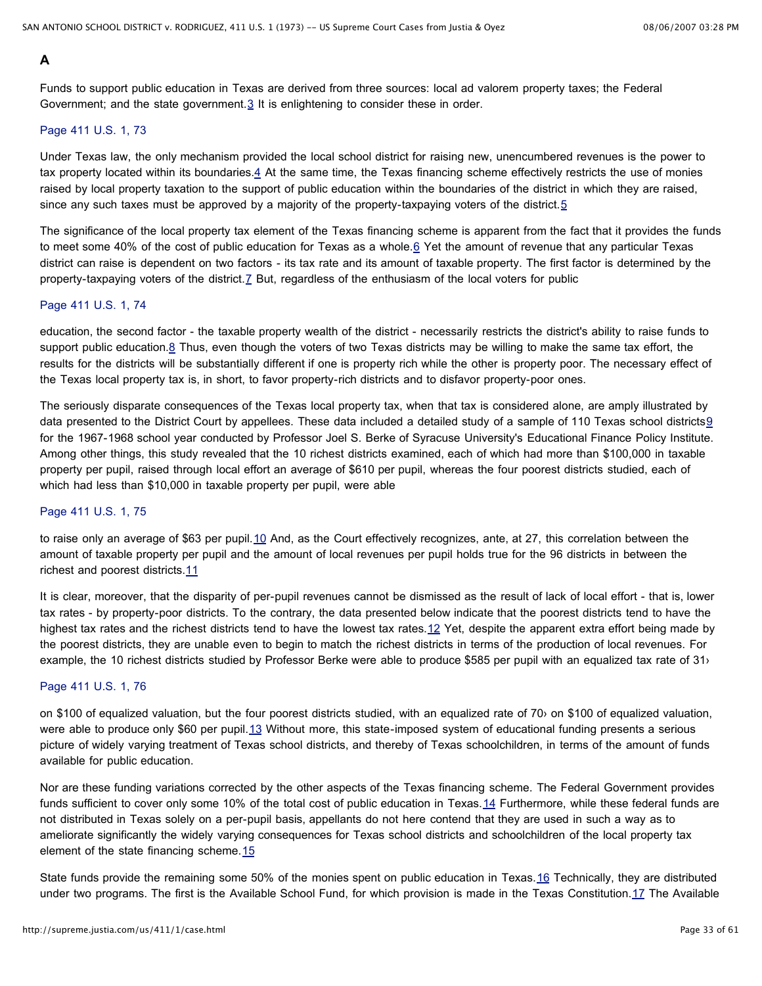# **A**

Funds to support public education in Texas are derived from three sources: local ad valorem property taxes; the Federal Government; and the state government. $3$  It is enlightening to consider these in order.

# Page 411 U.S. 1, 73

Under Texas law, the only mechanism provided the local school district for raising new, unencumbered revenues is the power to tax property located within its boundaries.4 At the same time, the Texas financing scheme effectively restricts the use of monies raised by local property taxation to the support of public education within the boundaries of the district in which they are raised, since any such taxes must be approved by a majority of the property-taxpaying voters of the district. 5

The significance of the local property tax element of the Texas financing scheme is apparent from the fact that it provides the funds to meet some 40% of the cost of public education for Texas as a whole.6 Yet the amount of revenue that any particular Texas district can raise is dependent on two factors - its tax rate and its amount of taxable property. The first factor is determined by the property-taxpaying voters of the district.7 But, regardless of the enthusiasm of the local voters for public

# Page 411 U.S. 1, 74

education, the second factor - the taxable property wealth of the district - necessarily restricts the district's ability to raise funds to support public education.<sup>8</sup> Thus, even though the voters of two Texas districts may be willing to make the same tax effort, the results for the districts will be substantially different if one is property rich while the other is property poor. The necessary effect of the Texas local property tax is, in short, to favor property-rich districts and to disfavor property-poor ones.

The seriously disparate consequences of the Texas local property tax, when that tax is considered alone, are amply illustrated by data presented to the District Court by appellees. These data included a detailed study of a sample of 110 Texas school districts 9 for the 1967-1968 school year conducted by Professor Joel S. Berke of Syracuse University's Educational Finance Policy Institute. Among other things, this study revealed that the 10 richest districts examined, each of which had more than \$100,000 in taxable property per pupil, raised through local effort an average of \$610 per pupil, whereas the four poorest districts studied, each of which had less than \$10,000 in taxable property per pupil, were able

# Page 411 U.S. 1, 75

to raise only an average of \$63 per pupil.10 And, as the Court effectively recognizes, ante, at 27, this correlation between the amount of taxable property per pupil and the amount of local revenues per pupil holds true for the 96 districts in between the richest and poorest districts.11

It is clear, moreover, that the disparity of per-pupil revenues cannot be dismissed as the result of lack of local effort - that is, lower tax rates - by property-poor districts. To the contrary, the data presented below indicate that the poorest districts tend to have the highest tax rates and the richest districts tend to have the lowest tax rates.12 Yet, despite the apparent extra effort being made by the poorest districts, they are unable even to begin to match the richest districts in terms of the production of local revenues. For example, the 10 richest districts studied by Professor Berke were able to produce \$585 per pupil with an equalized tax rate of 31›

#### Page 411 U.S. 1, 76

on \$100 of equalized valuation, but the four poorest districts studied, with an equalized rate of 70› on \$100 of equalized valuation, were able to produce only \$60 per pupil.13 Without more, this state-imposed system of educational funding presents a serious picture of widely varying treatment of Texas school districts, and thereby of Texas schoolchildren, in terms of the amount of funds available for public education.

Nor are these funding variations corrected by the other aspects of the Texas financing scheme. The Federal Government provides funds sufficient to cover only some 10% of the total cost of public education in Texas. 14 Furthermore, while these federal funds are not distributed in Texas solely on a per-pupil basis, appellants do not here contend that they are used in such a way as to ameliorate significantly the widely varying consequences for Texas school districts and schoolchildren of the local property tax element of the state financing scheme.15

State funds provide the remaining some 50% of the monies spent on public education in Texas.16 Technically, they are distributed under two programs. The first is the Available School Fund, for which provision is made in the Texas Constitution.17 The Available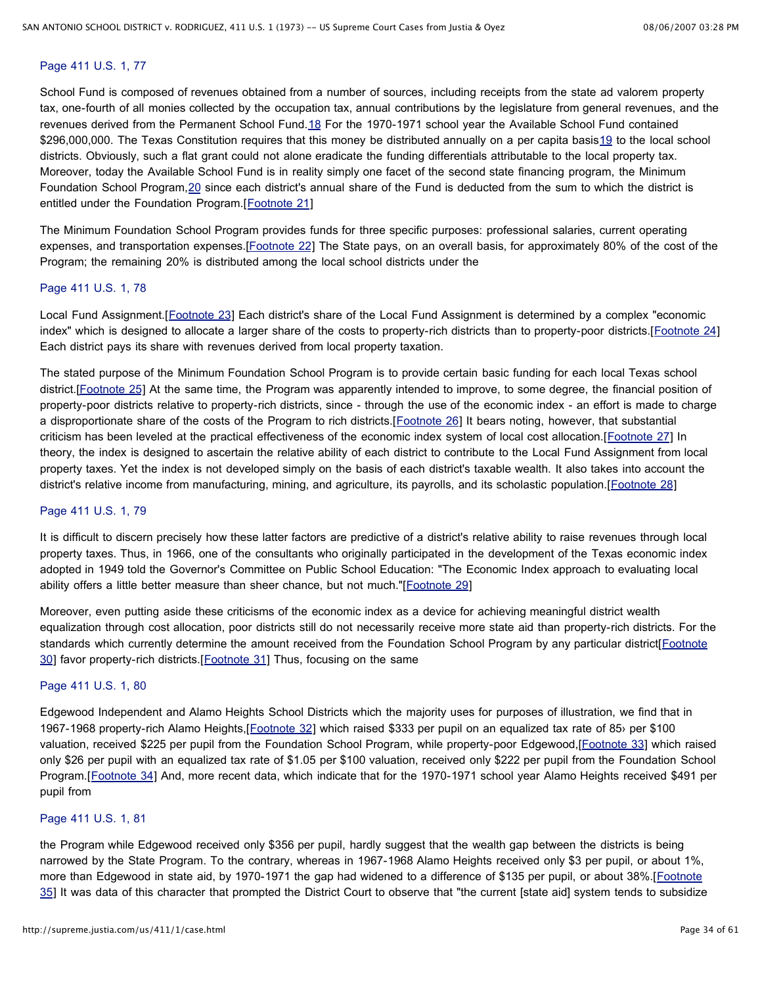# Page 411 U.S. 1, 77

School Fund is composed of revenues obtained from a number of sources, including receipts from the state ad valorem property tax, one-fourth of all monies collected by the occupation tax, annual contributions by the legislature from general revenues, and the revenues derived from the Permanent School Fund.18 For the 1970-1971 school year the Available School Fund contained \$296,000,000. The Texas Constitution requires that this money be distributed annually on a per capita basis19 to the local school districts. Obviously, such a flat grant could not alone eradicate the funding differentials attributable to the local property tax. Moreover, today the Available School Fund is in reality simply one facet of the second state financing program, the Minimum Foundation School Program,20 since each district's annual share of the Fund is deducted from the sum to which the district is entitled under the Foundation Program.[Footnote 21]

The Minimum Foundation School Program provides funds for three specific purposes: professional salaries, current operating expenses, and transportation expenses. [Footnote 22] The State pays, on an overall basis, for approximately 80% of the cost of the Program; the remaining 20% is distributed among the local school districts under the

# Page 411 U.S. 1, 78

Local Fund Assignment. [Footnote 23] Each district's share of the Local Fund Assignment is determined by a complex "economic index" which is designed to allocate a larger share of the costs to property-rich districts than to property-poor districts.[Footnote 24] Each district pays its share with revenues derived from local property taxation.

The stated purpose of the Minimum Foundation School Program is to provide certain basic funding for each local Texas school district.[Footnote 25] At the same time, the Program was apparently intended to improve, to some degree, the financial position of property-poor districts relative to property-rich districts, since - through the use of the economic index - an effort is made to charge a disproportionate share of the costs of the Program to rich districts.[Footnote 26] It bears noting, however, that substantial criticism has been leveled at the practical effectiveness of the economic index system of local cost allocation.[Footnote 27] In theory, the index is designed to ascertain the relative ability of each district to contribute to the Local Fund Assignment from local property taxes. Yet the index is not developed simply on the basis of each district's taxable wealth. It also takes into account the district's relative income from manufacturing, mining, and agriculture, its payrolls, and its scholastic population.[Footnote 28]

# Page 411 U.S. 1, 79

It is difficult to discern precisely how these latter factors are predictive of a district's relative ability to raise revenues through local property taxes. Thus, in 1966, one of the consultants who originally participated in the development of the Texas economic index adopted in 1949 told the Governor's Committee on Public School Education: "The Economic Index approach to evaluating local ability offers a little better measure than sheer chance, but not much."[Footnote 29]

Moreover, even putting aside these criticisms of the economic index as a device for achieving meaningful district wealth equalization through cost allocation, poor districts still do not necessarily receive more state aid than property-rich districts. For the standards which currently determine the amount received from the Foundation School Program by any particular district[Footnote 30] favor property-rich districts.[Footnote 31] Thus, focusing on the same

# Page 411 U.S. 1, 80

Edgewood Independent and Alamo Heights School Districts which the majority uses for purposes of illustration, we find that in 1967-1968 property-rich Alamo Heights,[Footnote 32] which raised \$333 per pupil on an equalized tax rate of 85› per \$100 valuation, received \$225 per pupil from the Foundation School Program, while property-poor Edgewood,[Footnote 33] which raised only \$26 per pupil with an equalized tax rate of \$1.05 per \$100 valuation, received only \$222 per pupil from the Foundation School Program.[Footnote 34] And, more recent data, which indicate that for the 1970-1971 school year Alamo Heights received \$491 per pupil from

# Page 411 U.S. 1, 81

the Program while Edgewood received only \$356 per pupil, hardly suggest that the wealth gap between the districts is being narrowed by the State Program. To the contrary, whereas in 1967-1968 Alamo Heights received only \$3 per pupil, or about 1%, more than Edgewood in state aid, by 1970-1971 the gap had widened to a difference of \$135 per pupil, or about 38%.[Footnote 35] It was data of this character that prompted the District Court to observe that "the current [state aid] system tends to subsidize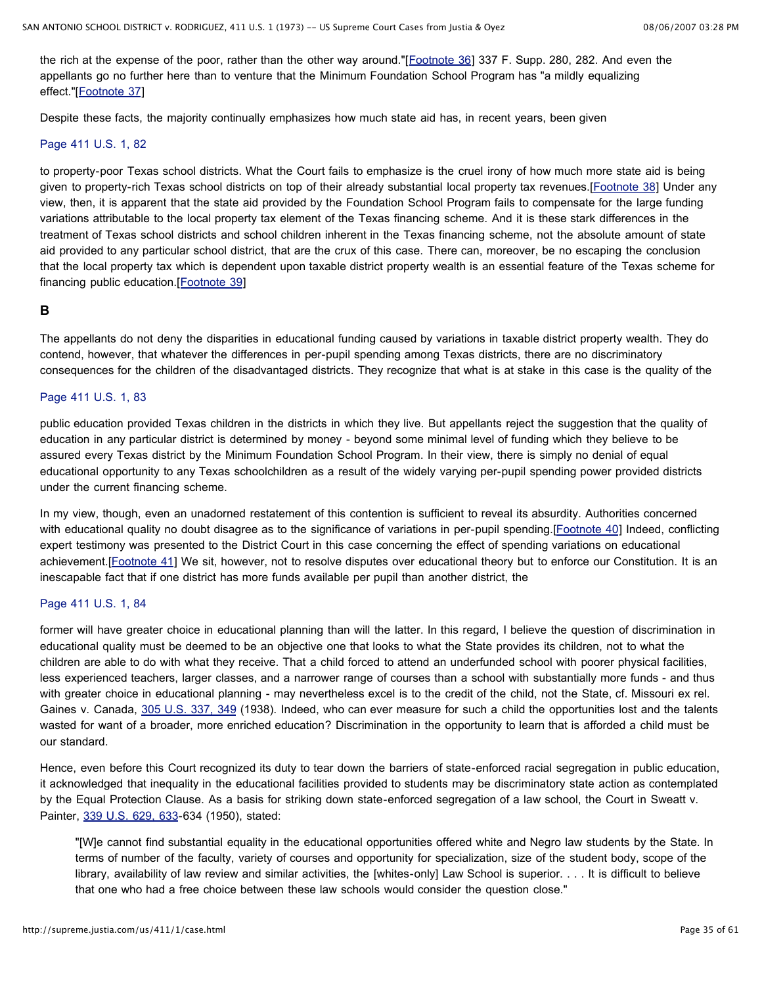the rich at the expense of the poor, rather than the other way around."[Footnote 36] 337 F. Supp. 280, 282. And even the appellants go no further here than to venture that the Minimum Foundation School Program has "a mildly equalizing effect."[Footnote 37]

Despite these facts, the majority continually emphasizes how much state aid has, in recent years, been given

# Page 411 U.S. 1, 82

to property-poor Texas school districts. What the Court fails to emphasize is the cruel irony of how much more state aid is being given to property-rich Texas school districts on top of their already substantial local property tax revenues.[Footnote 38] Under any view, then, it is apparent that the state aid provided by the Foundation School Program fails to compensate for the large funding variations attributable to the local property tax element of the Texas financing scheme. And it is these stark differences in the treatment of Texas school districts and school children inherent in the Texas financing scheme, not the absolute amount of state aid provided to any particular school district, that are the crux of this case. There can, moreover, be no escaping the conclusion that the local property tax which is dependent upon taxable district property wealth is an essential feature of the Texas scheme for financing public education.[Footnote 39]

# **B**

The appellants do not deny the disparities in educational funding caused by variations in taxable district property wealth. They do contend, however, that whatever the differences in per-pupil spending among Texas districts, there are no discriminatory consequences for the children of the disadvantaged districts. They recognize that what is at stake in this case is the quality of the

# Page 411 U.S. 1, 83

public education provided Texas children in the districts in which they live. But appellants reject the suggestion that the quality of education in any particular district is determined by money - beyond some minimal level of funding which they believe to be assured every Texas district by the Minimum Foundation School Program. In their view, there is simply no denial of equal educational opportunity to any Texas schoolchildren as a result of the widely varying per-pupil spending power provided districts under the current financing scheme.

In my view, though, even an unadorned restatement of this contention is sufficient to reveal its absurdity. Authorities concerned with educational quality no doubt disagree as to the significance of variations in per-pupil spending.[Footnote 40] Indeed, conflicting expert testimony was presented to the District Court in this case concerning the effect of spending variations on educational achievement.[Footnote 41] We sit, however, not to resolve disputes over educational theory but to enforce our Constitution. It is an inescapable fact that if one district has more funds available per pupil than another district, the

# Page 411 U.S. 1, 84

former will have greater choice in educational planning than will the latter. In this regard, I believe the question of discrimination in educational quality must be deemed to be an objective one that looks to what the State provides its children, not to what the children are able to do with what they receive. That a child forced to attend an underfunded school with poorer physical facilities, less experienced teachers, larger classes, and a narrower range of courses than a school with substantially more funds - and thus with greater choice in educational planning - may nevertheless excel is to the credit of the child, not the State, cf. Missouri ex rel. Gaines v. Canada, 305 U.S. 337, 349 (1938). Indeed, who can ever measure for such a child the opportunities lost and the talents wasted for want of a broader, more enriched education? Discrimination in the opportunity to learn that is afforded a child must be our standard.

Hence, even before this Court recognized its duty to tear down the barriers of state-enforced racial segregation in public education, it acknowledged that inequality in the educational facilities provided to students may be discriminatory state action as contemplated by the Equal Protection Clause. As a basis for striking down state-enforced segregation of a law school, the Court in Sweatt v. Painter, 339 U.S. 629, 633-634 (1950), stated:

"[W]e cannot find substantial equality in the educational opportunities offered white and Negro law students by the State. In terms of number of the faculty, variety of courses and opportunity for specialization, size of the student body, scope of the library, availability of law review and similar activities, the [whites-only] Law School is superior. . . . It is difficult to believe that one who had a free choice between these law schools would consider the question close."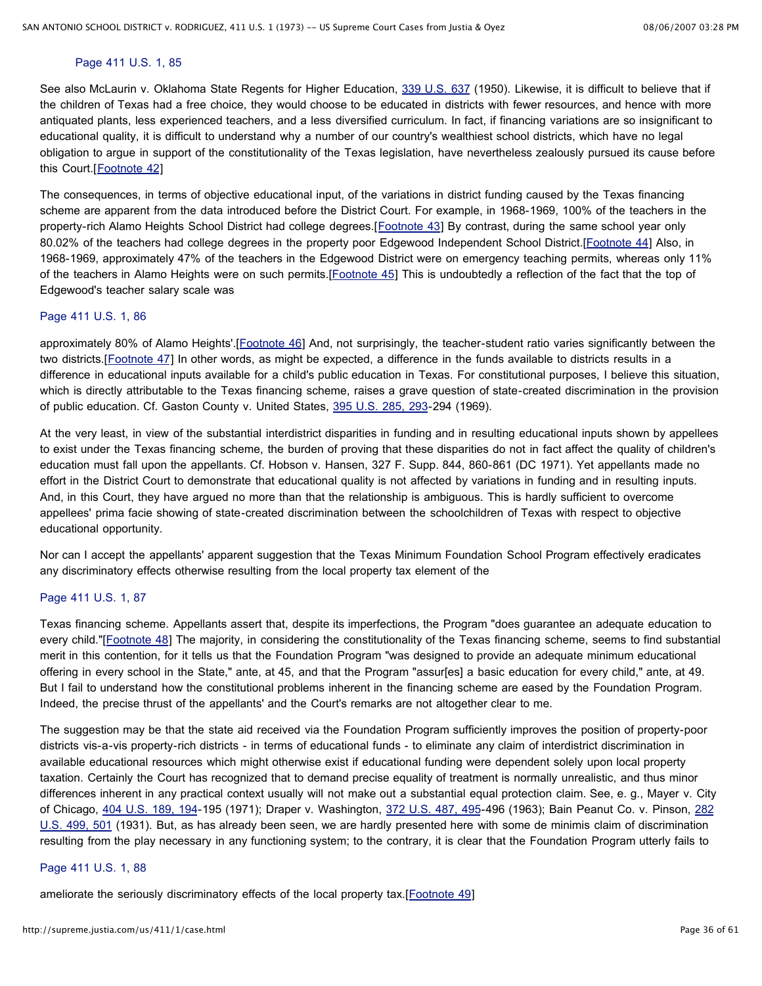# Page 411 U.S. 1, 85

See also McLaurin v. Oklahoma State Regents for Higher Education, 339 U.S. 637 (1950). Likewise, it is difficult to believe that if the children of Texas had a free choice, they would choose to be educated in districts with fewer resources, and hence with more antiquated plants, less experienced teachers, and a less diversified curriculum. In fact, if financing variations are so insignificant to educational quality, it is difficult to understand why a number of our country's wealthiest school districts, which have no legal obligation to argue in support of the constitutionality of the Texas legislation, have nevertheless zealously pursued its cause before this Court.[Footnote 42]

The consequences, in terms of objective educational input, of the variations in district funding caused by the Texas financing scheme are apparent from the data introduced before the District Court. For example, in 1968-1969, 100% of the teachers in the property-rich Alamo Heights School District had college degrees. [Footnote 43] By contrast, during the same school year only 80.02% of the teachers had college degrees in the property poor Edgewood Independent School District.[Footnote 44] Also, in 1968-1969, approximately 47% of the teachers in the Edgewood District were on emergency teaching permits, whereas only 11% of the teachers in Alamo Heights were on such permits.[Footnote 45] This is undoubtedly a reflection of the fact that the top of Edgewood's teacher salary scale was

# Page 411 U.S. 1, 86

approximately 80% of Alamo Heights'.[Footnote 46] And, not surprisingly, the teacher-student ratio varies significantly between the two districts. [Footnote 47] In other words, as might be expected, a difference in the funds available to districts results in a difference in educational inputs available for a child's public education in Texas. For constitutional purposes, I believe this situation, which is directly attributable to the Texas financing scheme, raises a grave question of state-created discrimination in the provision of public education. Cf. Gaston County v. United States, 395 U.S. 285, 293-294 (1969).

At the very least, in view of the substantial interdistrict disparities in funding and in resulting educational inputs shown by appellees to exist under the Texas financing scheme, the burden of proving that these disparities do not in fact affect the quality of children's education must fall upon the appellants. Cf. Hobson v. Hansen, 327 F. Supp. 844, 860-861 (DC 1971). Yet appellants made no effort in the District Court to demonstrate that educational quality is not affected by variations in funding and in resulting inputs. And, in this Court, they have argued no more than that the relationship is ambiguous. This is hardly sufficient to overcome appellees' prima facie showing of state-created discrimination between the schoolchildren of Texas with respect to objective educational opportunity.

Nor can I accept the appellants' apparent suggestion that the Texas Minimum Foundation School Program effectively eradicates any discriminatory effects otherwise resulting from the local property tax element of the

# Page 411 U.S. 1, 87

Texas financing scheme. Appellants assert that, despite its imperfections, the Program "does guarantee an adequate education to every child."[Footnote 48] The majority, in considering the constitutionality of the Texas financing scheme, seems to find substantial merit in this contention, for it tells us that the Foundation Program "was designed to provide an adequate minimum educational offering in every school in the State," ante, at 45, and that the Program "assur[es] a basic education for every child," ante, at 49. But I fail to understand how the constitutional problems inherent in the financing scheme are eased by the Foundation Program. Indeed, the precise thrust of the appellants' and the Court's remarks are not altogether clear to me.

The suggestion may be that the state aid received via the Foundation Program sufficiently improves the position of property-poor districts vis-a-vis property-rich districts - in terms of educational funds - to eliminate any claim of interdistrict discrimination in available educational resources which might otherwise exist if educational funding were dependent solely upon local property taxation. Certainly the Court has recognized that to demand precise equality of treatment is normally unrealistic, and thus minor differences inherent in any practical context usually will not make out a substantial equal protection claim. See, e. g., Mayer v. City of Chicago, 404 U.S. 189, 194-195 (1971); Draper v. Washington, 372 U.S. 487, 495-496 (1963); Bain Peanut Co. v. Pinson, 282 U.S. 499, 501 (1931). But, as has already been seen, we are hardly presented here with some de minimis claim of discrimination resulting from the play necessary in any functioning system; to the contrary, it is clear that the Foundation Program utterly fails to

# Page 411 U.S. 1, 88

ameliorate the seriously discriminatory effects of the local property tax.[Footnote 49]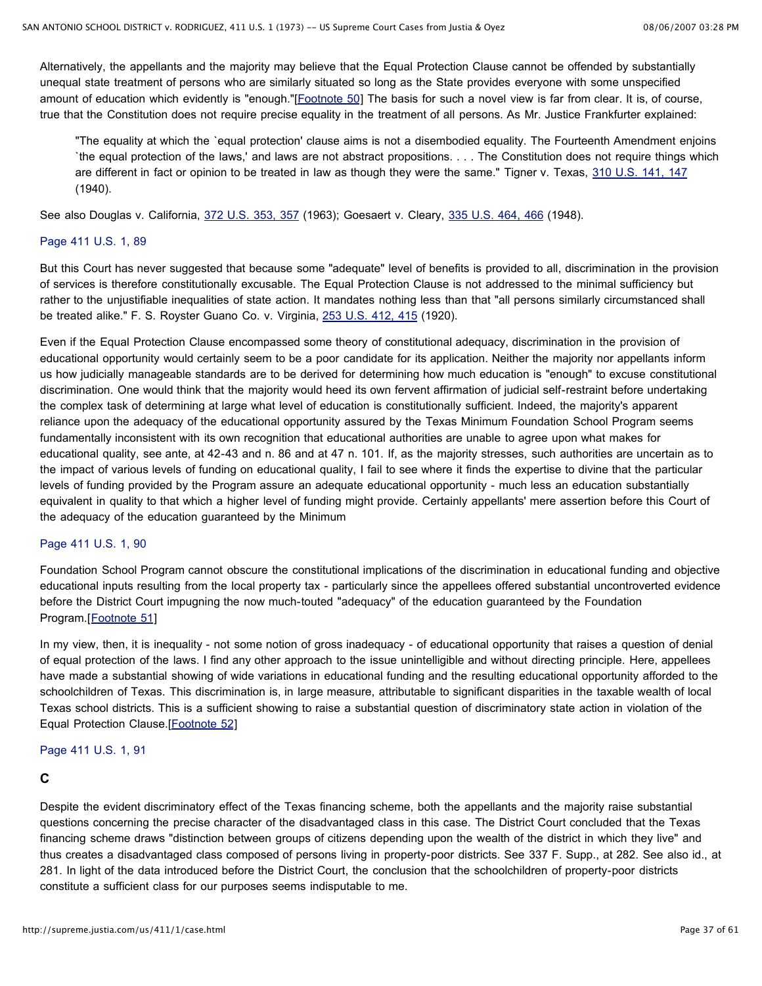Alternatively, the appellants and the majority may believe that the Equal Protection Clause cannot be offended by substantially unequal state treatment of persons who are similarly situated so long as the State provides everyone with some unspecified amount of education which evidently is "enough."[Footnote 50] The basis for such a novel view is far from clear. It is, of course, true that the Constitution does not require precise equality in the treatment of all persons. As Mr. Justice Frankfurter explained:

"The equality at which the `equal protection' clause aims is not a disembodied equality. The Fourteenth Amendment enjoins `the equal protection of the laws,' and laws are not abstract propositions. . . . The Constitution does not require things which are different in fact or opinion to be treated in law as though they were the same." Tigner v. Texas, 310 U.S. 141, 147 (1940).

See also Douglas v. California, 372 U.S. 353, 357 (1963); Goesaert v. Cleary, 335 U.S. 464, 466 (1948).

# Page 411 U.S. 1, 89

But this Court has never suggested that because some "adequate" level of benefits is provided to all, discrimination in the provision of services is therefore constitutionally excusable. The Equal Protection Clause is not addressed to the minimal sufficiency but rather to the unjustifiable inequalities of state action. It mandates nothing less than that "all persons similarly circumstanced shall be treated alike." F. S. Royster Guano Co. v. Virginia, 253 U.S. 412, 415 (1920).

Even if the Equal Protection Clause encompassed some theory of constitutional adequacy, discrimination in the provision of educational opportunity would certainly seem to be a poor candidate for its application. Neither the majority nor appellants inform us how judicially manageable standards are to be derived for determining how much education is "enough" to excuse constitutional discrimination. One would think that the majority would heed its own fervent affirmation of judicial self-restraint before undertaking the complex task of determining at large what level of education is constitutionally sufficient. Indeed, the majority's apparent reliance upon the adequacy of the educational opportunity assured by the Texas Minimum Foundation School Program seems fundamentally inconsistent with its own recognition that educational authorities are unable to agree upon what makes for educational quality, see ante, at 42-43 and n. 86 and at 47 n. 101. If, as the majority stresses, such authorities are uncertain as to the impact of various levels of funding on educational quality, I fail to see where it finds the expertise to divine that the particular levels of funding provided by the Program assure an adequate educational opportunity - much less an education substantially equivalent in quality to that which a higher level of funding might provide. Certainly appellants' mere assertion before this Court of the adequacy of the education guaranteed by the Minimum

# Page 411 U.S. 1, 90

Foundation School Program cannot obscure the constitutional implications of the discrimination in educational funding and objective educational inputs resulting from the local property tax - particularly since the appellees offered substantial uncontroverted evidence before the District Court impugning the now much-touted "adequacy" of the education guaranteed by the Foundation Program.[Footnote 51]

In my view, then, it is inequality - not some notion of gross inadequacy - of educational opportunity that raises a question of denial of equal protection of the laws. I find any other approach to the issue unintelligible and without directing principle. Here, appellees have made a substantial showing of wide variations in educational funding and the resulting educational opportunity afforded to the schoolchildren of Texas. This discrimination is, in large measure, attributable to significant disparities in the taxable wealth of local Texas school districts. This is a sufficient showing to raise a substantial question of discriminatory state action in violation of the Equal Protection Clause.[Footnote 52]

# Page 411 U.S. 1, 91

# **C**

Despite the evident discriminatory effect of the Texas financing scheme, both the appellants and the majority raise substantial questions concerning the precise character of the disadvantaged class in this case. The District Court concluded that the Texas financing scheme draws "distinction between groups of citizens depending upon the wealth of the district in which they live" and thus creates a disadvantaged class composed of persons living in property-poor districts. See 337 F. Supp., at 282. See also id., at 281. In light of the data introduced before the District Court, the conclusion that the schoolchildren of property-poor districts constitute a sufficient class for our purposes seems indisputable to me.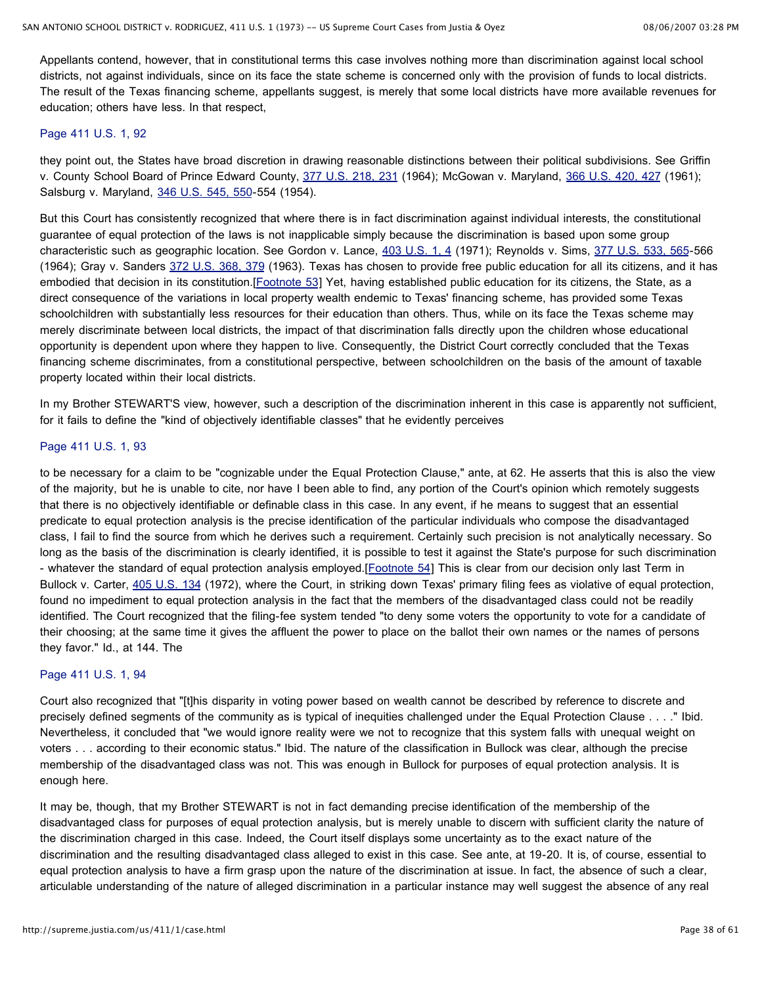Appellants contend, however, that in constitutional terms this case involves nothing more than discrimination against local school districts, not against individuals, since on its face the state scheme is concerned only with the provision of funds to local districts. The result of the Texas financing scheme, appellants suggest, is merely that some local districts have more available revenues for education; others have less. In that respect,

# Page 411 U.S. 1, 92

they point out, the States have broad discretion in drawing reasonable distinctions between their political subdivisions. See Griffin v. County School Board of Prince Edward County, 377 U.S. 218, 231 (1964); McGowan v. Maryland, 366 U.S. 420, 427 (1961); Salsburg v. Maryland, 346 U.S. 545, 550-554 (1954).

But this Court has consistently recognized that where there is in fact discrimination against individual interests, the constitutional guarantee of equal protection of the laws is not inapplicable simply because the discrimination is based upon some group characteristic such as geographic location. See Gordon v. Lance,  $403$  U.S. 1, 4 (1971); Reynolds v. Sims, 377 U.S. 533, 565-566 (1964); Gray v. Sanders 372 U.S. 368, 379 (1963). Texas has chosen to provide free public education for all its citizens, and it has embodied that decision in its constitution.[Footnote 53] Yet, having established public education for its citizens, the State, as a direct consequence of the variations in local property wealth endemic to Texas' financing scheme, has provided some Texas schoolchildren with substantially less resources for their education than others. Thus, while on its face the Texas scheme may merely discriminate between local districts, the impact of that discrimination falls directly upon the children whose educational opportunity is dependent upon where they happen to live. Consequently, the District Court correctly concluded that the Texas financing scheme discriminates, from a constitutional perspective, between schoolchildren on the basis of the amount of taxable property located within their local districts.

In my Brother STEWART'S view, however, such a description of the discrimination inherent in this case is apparently not sufficient, for it fails to define the "kind of objectively identifiable classes" that he evidently perceives

#### Page 411 U.S. 1, 93

to be necessary for a claim to be "cognizable under the Equal Protection Clause," ante, at 62. He asserts that this is also the view of the majority, but he is unable to cite, nor have I been able to find, any portion of the Court's opinion which remotely suggests that there is no objectively identifiable or definable class in this case. In any event, if he means to suggest that an essential predicate to equal protection analysis is the precise identification of the particular individuals who compose the disadvantaged class, I fail to find the source from which he derives such a requirement. Certainly such precision is not analytically necessary. So long as the basis of the discrimination is clearly identified, it is possible to test it against the State's purpose for such discrimination - whatever the standard of equal protection analysis employed.[Footnote 54] This is clear from our decision only last Term in Bullock v. Carter, 405 U.S. 134 (1972), where the Court, in striking down Texas' primary filing fees as violative of equal protection, found no impediment to equal protection analysis in the fact that the members of the disadvantaged class could not be readily identified. The Court recognized that the filing-fee system tended "to deny some voters the opportunity to vote for a candidate of their choosing; at the same time it gives the affluent the power to place on the ballot their own names or the names of persons they favor." Id., at 144. The

# Page 411 U.S. 1, 94

Court also recognized that "[t]his disparity in voting power based on wealth cannot be described by reference to discrete and precisely defined segments of the community as is typical of inequities challenged under the Equal Protection Clause . . . ." Ibid. Nevertheless, it concluded that "we would ignore reality were we not to recognize that this system falls with unequal weight on voters . . . according to their economic status." Ibid. The nature of the classification in Bullock was clear, although the precise membership of the disadvantaged class was not. This was enough in Bullock for purposes of equal protection analysis. It is enough here.

It may be, though, that my Brother STEWART is not in fact demanding precise identification of the membership of the disadvantaged class for purposes of equal protection analysis, but is merely unable to discern with sufficient clarity the nature of the discrimination charged in this case. Indeed, the Court itself displays some uncertainty as to the exact nature of the discrimination and the resulting disadvantaged class alleged to exist in this case. See ante, at 19-20. It is, of course, essential to equal protection analysis to have a firm grasp upon the nature of the discrimination at issue. In fact, the absence of such a clear, articulable understanding of the nature of alleged discrimination in a particular instance may well suggest the absence of any real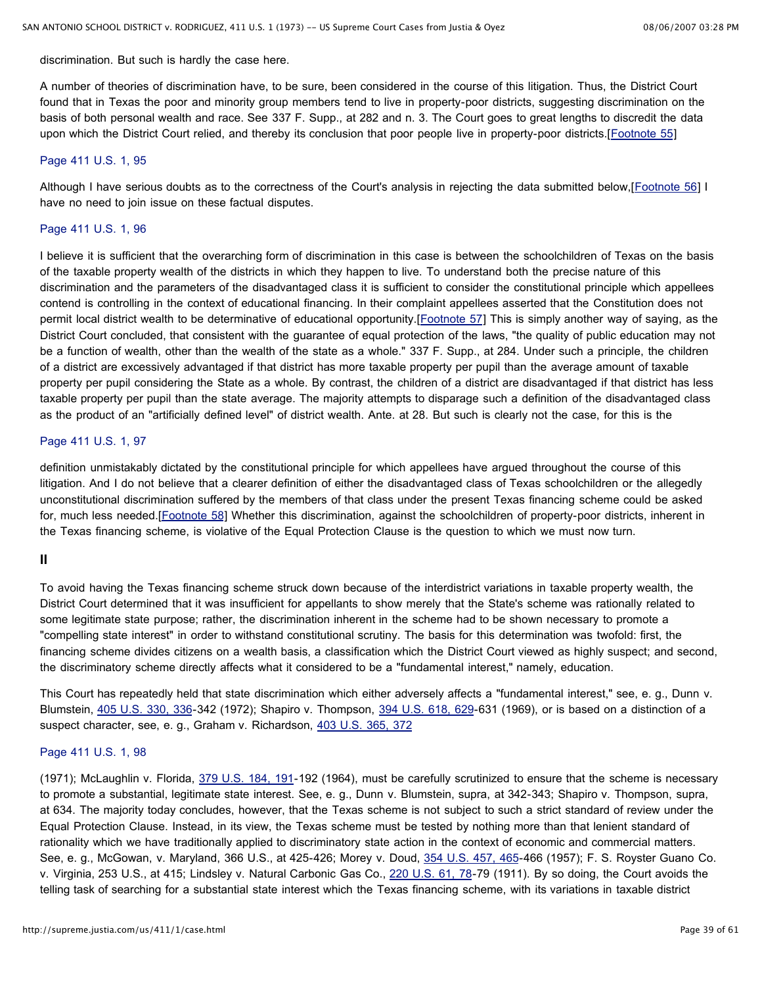discrimination. But such is hardly the case here.

A number of theories of discrimination have, to be sure, been considered in the course of this litigation. Thus, the District Court found that in Texas the poor and minority group members tend to live in property-poor districts, suggesting discrimination on the basis of both personal wealth and race. See 337 F. Supp., at 282 and n. 3. The Court goes to great lengths to discredit the data upon which the District Court relied, and thereby its conclusion that poor people live in property-poor districts.[Footnote 55]

### Page 411 U.S. 1, 95

Although I have serious doubts as to the correctness of the Court's analysis in rejecting the data submitted below,[Footnote 56] I have no need to join issue on these factual disputes.

# Page 411 U.S. 1, 96

I believe it is sufficient that the overarching form of discrimination in this case is between the schoolchildren of Texas on the basis of the taxable property wealth of the districts in which they happen to live. To understand both the precise nature of this discrimination and the parameters of the disadvantaged class it is sufficient to consider the constitutional principle which appellees contend is controlling in the context of educational financing. In their complaint appellees asserted that the Constitution does not permit local district wealth to be determinative of educational opportunity.[Footnote 57] This is simply another way of saying, as the District Court concluded, that consistent with the guarantee of equal protection of the laws, "the quality of public education may not be a function of wealth, other than the wealth of the state as a whole." 337 F. Supp., at 284. Under such a principle, the children of a district are excessively advantaged if that district has more taxable property per pupil than the average amount of taxable property per pupil considering the State as a whole. By contrast, the children of a district are disadvantaged if that district has less taxable property per pupil than the state average. The majority attempts to disparage such a definition of the disadvantaged class as the product of an "artificially defined level" of district wealth. Ante. at 28. But such is clearly not the case, for this is the

#### Page 411 U.S. 1, 97

definition unmistakably dictated by the constitutional principle for which appellees have argued throughout the course of this litigation. And I do not believe that a clearer definition of either the disadvantaged class of Texas schoolchildren or the allegedly unconstitutional discrimination suffered by the members of that class under the present Texas financing scheme could be asked for, much less needed.[Footnote 58] Whether this discrimination, against the schoolchildren of property-poor districts, inherent in the Texas financing scheme, is violative of the Equal Protection Clause is the question to which we must now turn.

# **II**

To avoid having the Texas financing scheme struck down because of the interdistrict variations in taxable property wealth, the District Court determined that it was insufficient for appellants to show merely that the State's scheme was rationally related to some legitimate state purpose; rather, the discrimination inherent in the scheme had to be shown necessary to promote a "compelling state interest" in order to withstand constitutional scrutiny. The basis for this determination was twofold: first, the financing scheme divides citizens on a wealth basis, a classification which the District Court viewed as highly suspect; and second, the discriminatory scheme directly affects what it considered to be a "fundamental interest," namely, education.

This Court has repeatedly held that state discrimination which either adversely affects a "fundamental interest," see, e. g., Dunn v. Blumstein, 405 U.S. 330, 336-342 (1972); Shapiro v. Thompson, 394 U.S. 618, 629-631 (1969), or is based on a distinction of a suspect character, see, e. g., Graham v. Richardson, 403 U.S. 365, 372

#### Page 411 U.S. 1, 98

(1971); McLaughlin v. Florida, 379 U.S. 184, 191-192 (1964), must be carefully scrutinized to ensure that the scheme is necessary to promote a substantial, legitimate state interest. See, e. g., Dunn v. Blumstein, supra, at 342-343; Shapiro v. Thompson, supra, at 634. The majority today concludes, however, that the Texas scheme is not subject to such a strict standard of review under the Equal Protection Clause. Instead, in its view, the Texas scheme must be tested by nothing more than that lenient standard of rationality which we have traditionally applied to discriminatory state action in the context of economic and commercial matters. See, e. g., McGowan, v. Maryland, 366 U.S., at 425-426; Morey v. Doud, 354 U.S. 457, 465-466 (1957); F. S. Royster Guano Co. v. Virginia, 253 U.S., at 415; Lindsley v. Natural Carbonic Gas Co., 220 U.S. 61, 78-79 (1911). By so doing, the Court avoids the telling task of searching for a substantial state interest which the Texas financing scheme, with its variations in taxable district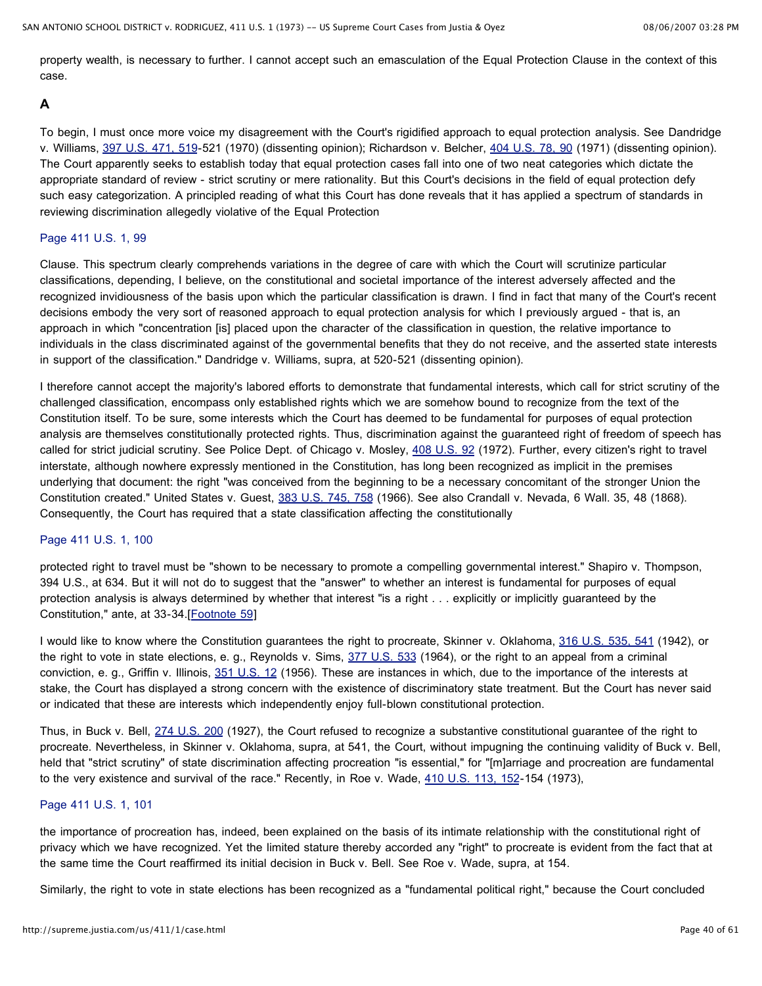property wealth, is necessary to further. I cannot accept such an emasculation of the Equal Protection Clause in the context of this case.

# **A**

To begin, I must once more voice my disagreement with the Court's rigidified approach to equal protection analysis. See Dandridge v. Williams, 397 U.S. 471, 519-521 (1970) (dissenting opinion); Richardson v. Belcher, 404 U.S. 78, 90 (1971) (dissenting opinion). The Court apparently seeks to establish today that equal protection cases fall into one of two neat categories which dictate the appropriate standard of review - strict scrutiny or mere rationality. But this Court's decisions in the field of equal protection defy such easy categorization. A principled reading of what this Court has done reveals that it has applied a spectrum of standards in reviewing discrimination allegedly violative of the Equal Protection

# Page 411 U.S. 1, 99

Clause. This spectrum clearly comprehends variations in the degree of care with which the Court will scrutinize particular classifications, depending, I believe, on the constitutional and societal importance of the interest adversely affected and the recognized invidiousness of the basis upon which the particular classification is drawn. I find in fact that many of the Court's recent decisions embody the very sort of reasoned approach to equal protection analysis for which I previously argued - that is, an approach in which "concentration [is] placed upon the character of the classification in question, the relative importance to individuals in the class discriminated against of the governmental benefits that they do not receive, and the asserted state interests in support of the classification." Dandridge v. Williams, supra, at 520-521 (dissenting opinion).

I therefore cannot accept the majority's labored efforts to demonstrate that fundamental interests, which call for strict scrutiny of the challenged classification, encompass only established rights which we are somehow bound to recognize from the text of the Constitution itself. To be sure, some interests which the Court has deemed to be fundamental for purposes of equal protection analysis are themselves constitutionally protected rights. Thus, discrimination against the guaranteed right of freedom of speech has called for strict judicial scrutiny. See Police Dept. of Chicago v. Mosley, 408 U.S. 92 (1972). Further, every citizen's right to travel interstate, although nowhere expressly mentioned in the Constitution, has long been recognized as implicit in the premises underlying that document: the right "was conceived from the beginning to be a necessary concomitant of the stronger Union the Constitution created." United States v. Guest, 383 U.S. 745, 758 (1966). See also Crandall v. Nevada, 6 Wall. 35, 48 (1868). Consequently, the Court has required that a state classification affecting the constitutionally

# Page 411 U.S. 1, 100

protected right to travel must be "shown to be necessary to promote a compelling governmental interest." Shapiro v. Thompson, 394 U.S., at 634. But it will not do to suggest that the "answer" to whether an interest is fundamental for purposes of equal protection analysis is always determined by whether that interest "is a right . . . explicitly or implicitly guaranteed by the Constitution," ante, at 33-34.[Footnote 59]

I would like to know where the Constitution guarantees the right to procreate, Skinner v. Oklahoma, 316 U.S. 535, 541 (1942), or the right to vote in state elections, e. g., Reynolds v. Sims, 377 U.S. 533 (1964), or the right to an appeal from a criminal conviction, e. g., Griffin v. Illinois, 351 U.S. 12 (1956). These are instances in which, due to the importance of the interests at stake, the Court has displayed a strong concern with the existence of discriminatory state treatment. But the Court has never said or indicated that these are interests which independently enjoy full-blown constitutional protection.

Thus, in Buck v. Bell, 274 U.S. 200 (1927), the Court refused to recognize a substantive constitutional guarantee of the right to procreate. Nevertheless, in Skinner v. Oklahoma, supra, at 541, the Court, without impugning the continuing validity of Buck v. Bell, held that "strict scrutiny" of state discrimination affecting procreation "is essential," for "[m]arriage and procreation are fundamental to the very existence and survival of the race." Recently, in Roe v. Wade, 410 U.S. 113, 152-154 (1973),

# Page 411 U.S. 1, 101

the importance of procreation has, indeed, been explained on the basis of its intimate relationship with the constitutional right of privacy which we have recognized. Yet the limited stature thereby accorded any "right" to procreate is evident from the fact that at the same time the Court reaffirmed its initial decision in Buck v. Bell. See Roe v. Wade, supra, at 154.

Similarly, the right to vote in state elections has been recognized as a "fundamental political right," because the Court concluded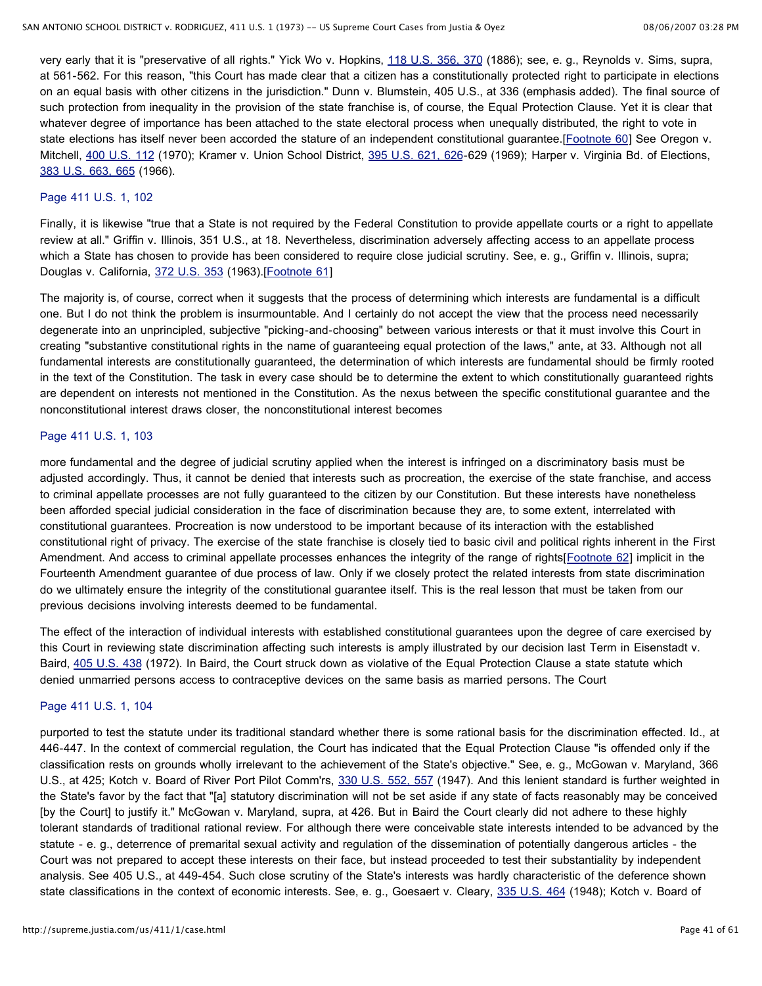very early that it is "preservative of all rights." Yick Wo v. Hopkins, 118 U.S. 356, 370 (1886); see, e. g., Reynolds v. Sims, supra, at 561-562. For this reason, "this Court has made clear that a citizen has a constitutionally protected right to participate in elections on an equal basis with other citizens in the jurisdiction." Dunn v. Blumstein, 405 U.S., at 336 (emphasis added). The final source of such protection from inequality in the provision of the state franchise is, of course, the Equal Protection Clause. Yet it is clear that whatever degree of importance has been attached to the state electoral process when unequally distributed, the right to vote in state elections has itself never been accorded the stature of an independent constitutional guarantee.[Footnote 60] See Oregon v. Mitchell, 400 U.S. 112 (1970); Kramer v. Union School District, 395 U.S. 621, 626-629 (1969); Harper v. Virginia Bd. of Elections, 383 U.S. 663, 665 (1966).

# Page 411 U.S. 1, 102

Finally, it is likewise "true that a State is not required by the Federal Constitution to provide appellate courts or a right to appellate review at all." Griffin v. Illinois, 351 U.S., at 18. Nevertheless, discrimination adversely affecting access to an appellate process which a State has chosen to provide has been considered to require close judicial scrutiny. See, e. q., Griffin v. Illinois, supra; Douglas v. California, 372 U.S. 353 (1963).[Footnote 61]

The majority is, of course, correct when it suggests that the process of determining which interests are fundamental is a difficult one. But I do not think the problem is insurmountable. And I certainly do not accept the view that the process need necessarily degenerate into an unprincipled, subjective "picking-and-choosing" between various interests or that it must involve this Court in creating "substantive constitutional rights in the name of guaranteeing equal protection of the laws," ante, at 33. Although not all fundamental interests are constitutionally guaranteed, the determination of which interests are fundamental should be firmly rooted in the text of the Constitution. The task in every case should be to determine the extent to which constitutionally guaranteed rights are dependent on interests not mentioned in the Constitution. As the nexus between the specific constitutional guarantee and the nonconstitutional interest draws closer, the nonconstitutional interest becomes

# Page 411 U.S. 1, 103

more fundamental and the degree of judicial scrutiny applied when the interest is infringed on a discriminatory basis must be adjusted accordingly. Thus, it cannot be denied that interests such as procreation, the exercise of the state franchise, and access to criminal appellate processes are not fully guaranteed to the citizen by our Constitution. But these interests have nonetheless been afforded special judicial consideration in the face of discrimination because they are, to some extent, interrelated with constitutional guarantees. Procreation is now understood to be important because of its interaction with the established constitutional right of privacy. The exercise of the state franchise is closely tied to basic civil and political rights inherent in the First Amendment. And access to criminal appellate processes enhances the integrity of the range of rights[Footnote 62] implicit in the Fourteenth Amendment guarantee of due process of law. Only if we closely protect the related interests from state discrimination do we ultimately ensure the integrity of the constitutional guarantee itself. This is the real lesson that must be taken from our previous decisions involving interests deemed to be fundamental.

The effect of the interaction of individual interests with established constitutional guarantees upon the degree of care exercised by this Court in reviewing state discrimination affecting such interests is amply illustrated by our decision last Term in Eisenstadt v. Baird, 405 U.S. 438 (1972). In Baird, the Court struck down as violative of the Equal Protection Clause a state statute which denied unmarried persons access to contraceptive devices on the same basis as married persons. The Court

# Page 411 U.S. 1, 104

purported to test the statute under its traditional standard whether there is some rational basis for the discrimination effected. Id., at 446-447. In the context of commercial regulation, the Court has indicated that the Equal Protection Clause "is offended only if the classification rests on grounds wholly irrelevant to the achievement of the State's objective." See, e. g., McGowan v. Maryland, 366 U.S., at 425; Kotch v. Board of River Port Pilot Comm'rs, 330 U.S. 552, 557 (1947). And this lenient standard is further weighted in the State's favor by the fact that "[a] statutory discrimination will not be set aside if any state of facts reasonably may be conceived [by the Court] to justify it." McGowan v. Maryland, supra, at 426. But in Baird the Court clearly did not adhere to these highly tolerant standards of traditional rational review. For although there were conceivable state interests intended to be advanced by the statute - e. g., deterrence of premarital sexual activity and regulation of the dissemination of potentially dangerous articles - the Court was not prepared to accept these interests on their face, but instead proceeded to test their substantiality by independent analysis. See 405 U.S., at 449-454. Such close scrutiny of the State's interests was hardly characteristic of the deference shown state classifications in the context of economic interests. See, e. g., Goesaert v. Cleary, 335 U.S. 464 (1948); Kotch v. Board of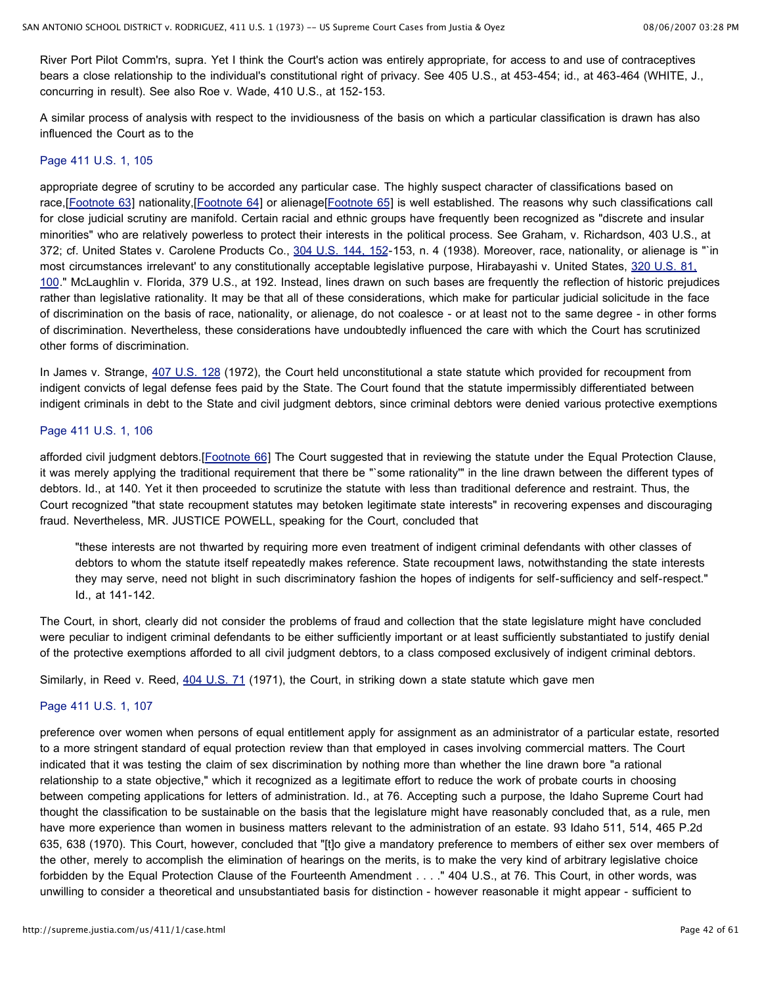River Port Pilot Comm'rs, supra. Yet I think the Court's action was entirely appropriate, for access to and use of contraceptives bears a close relationship to the individual's constitutional right of privacy. See 405 U.S., at 453-454; id., at 463-464 (WHITE, J., concurring in result). See also Roe v. Wade, 410 U.S., at 152-153.

A similar process of analysis with respect to the invidiousness of the basis on which a particular classification is drawn has also influenced the Court as to the

#### Page 411 U.S. 1, 105

appropriate degree of scrutiny to be accorded any particular case. The highly suspect character of classifications based on race, [Footnote 63] nationality, [Footnote 64] or alienage [Footnote 65] is well established. The reasons why such classifications call for close judicial scrutiny are manifold. Certain racial and ethnic groups have frequently been recognized as "discrete and insular minorities" who are relatively powerless to protect their interests in the political process. See Graham, v. Richardson, 403 U.S., at 372; cf. United States v. Carolene Products Co., 304 U.S. 144, 152-153, n. 4 (1938). Moreover, race, nationality, or alienage is "in most circumstances irrelevant' to any constitutionally acceptable legislative purpose, Hirabayashi v. United States, 320 U.S. 81, 100." McLaughlin v. Florida, 379 U.S., at 192. Instead, lines drawn on such bases are frequently the reflection of historic prejudices rather than legislative rationality. It may be that all of these considerations, which make for particular judicial solicitude in the face of discrimination on the basis of race, nationality, or alienage, do not coalesce - or at least not to the same degree - in other forms of discrimination. Nevertheless, these considerations have undoubtedly influenced the care with which the Court has scrutinized other forms of discrimination.

In James v. Strange, 407 U.S. 128 (1972), the Court held unconstitutional a state statute which provided for recoupment from indigent convicts of legal defense fees paid by the State. The Court found that the statute impermissibly differentiated between indigent criminals in debt to the State and civil judgment debtors, since criminal debtors were denied various protective exemptions

#### Page 411 U.S. 1, 106

afforded civil judgment debtors.[Footnote 66] The Court suggested that in reviewing the statute under the Equal Protection Clause, it was merely applying the traditional requirement that there be "`some rationality'" in the line drawn between the different types of debtors. Id., at 140. Yet it then proceeded to scrutinize the statute with less than traditional deference and restraint. Thus, the Court recognized "that state recoupment statutes may betoken legitimate state interests" in recovering expenses and discouraging fraud. Nevertheless, MR. JUSTICE POWELL, speaking for the Court, concluded that

"these interests are not thwarted by requiring more even treatment of indigent criminal defendants with other classes of debtors to whom the statute itself repeatedly makes reference. State recoupment laws, notwithstanding the state interests they may serve, need not blight in such discriminatory fashion the hopes of indigents for self-sufficiency and self-respect." Id., at 141-142.

The Court, in short, clearly did not consider the problems of fraud and collection that the state legislature might have concluded were peculiar to indigent criminal defendants to be either sufficiently important or at least sufficiently substantiated to justify denial of the protective exemptions afforded to all civil judgment debtors, to a class composed exclusively of indigent criminal debtors.

Similarly, in Reed v. Reed, 404 U.S. 71 (1971), the Court, in striking down a state statute which gave men

# Page 411 U.S. 1, 107

preference over women when persons of equal entitlement apply for assignment as an administrator of a particular estate, resorted to a more stringent standard of equal protection review than that employed in cases involving commercial matters. The Court indicated that it was testing the claim of sex discrimination by nothing more than whether the line drawn bore "a rational relationship to a state objective," which it recognized as a legitimate effort to reduce the work of probate courts in choosing between competing applications for letters of administration. Id., at 76. Accepting such a purpose, the Idaho Supreme Court had thought the classification to be sustainable on the basis that the legislature might have reasonably concluded that, as a rule, men have more experience than women in business matters relevant to the administration of an estate. 93 Idaho 511, 514, 465 P.2d 635, 638 (1970). This Court, however, concluded that "[t]o give a mandatory preference to members of either sex over members of the other, merely to accomplish the elimination of hearings on the merits, is to make the very kind of arbitrary legislative choice forbidden by the Equal Protection Clause of the Fourteenth Amendment . . . ." 404 U.S., at 76. This Court, in other words, was unwilling to consider a theoretical and unsubstantiated basis for distinction - however reasonable it might appear - sufficient to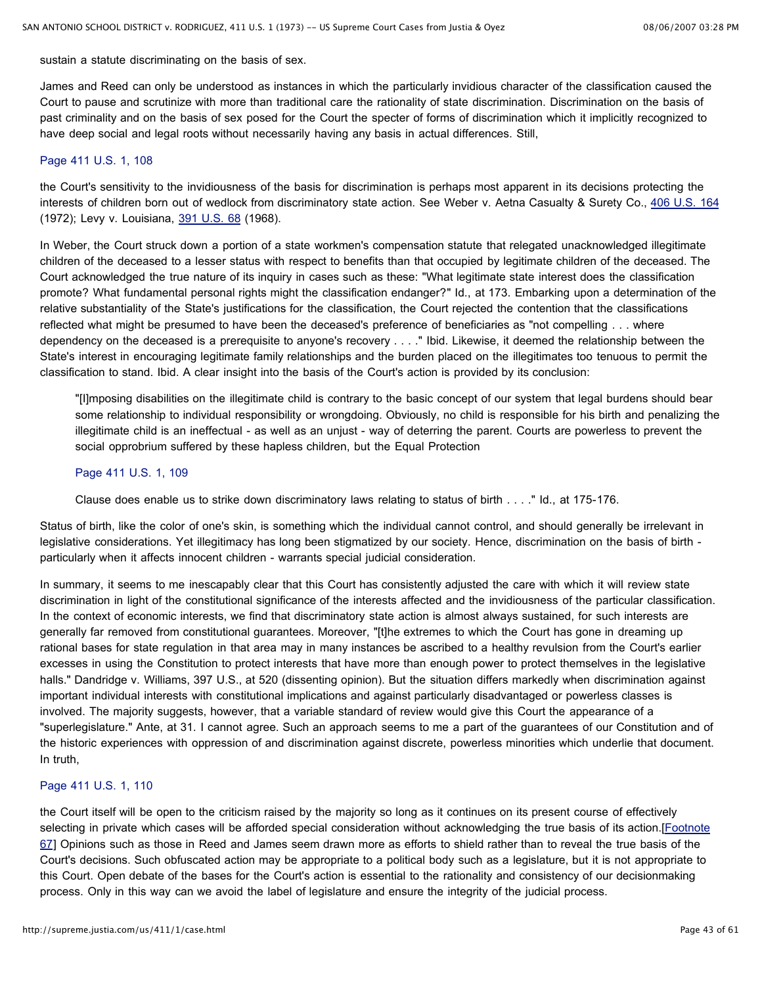sustain a statute discriminating on the basis of sex.

James and Reed can only be understood as instances in which the particularly invidious character of the classification caused the Court to pause and scrutinize with more than traditional care the rationality of state discrimination. Discrimination on the basis of past criminality and on the basis of sex posed for the Court the specter of forms of discrimination which it implicitly recognized to have deep social and legal roots without necessarily having any basis in actual differences. Still,

### Page 411 U.S. 1, 108

the Court's sensitivity to the invidiousness of the basis for discrimination is perhaps most apparent in its decisions protecting the interests of children born out of wedlock from discriminatory state action. See Weber v. Aetna Casualty & Surety Co., 406 U.S. 164 (1972); Levy v. Louisiana, 391 U.S. 68 (1968).

In Weber, the Court struck down a portion of a state workmen's compensation statute that relegated unacknowledged illegitimate children of the deceased to a lesser status with respect to benefits than that occupied by legitimate children of the deceased. The Court acknowledged the true nature of its inquiry in cases such as these: "What legitimate state interest does the classification promote? What fundamental personal rights might the classification endanger?" Id., at 173. Embarking upon a determination of the relative substantiality of the State's justifications for the classification, the Court rejected the contention that the classifications reflected what might be presumed to have been the deceased's preference of beneficiaries as "not compelling . . . where dependency on the deceased is a prerequisite to anyone's recovery . . . ." Ibid. Likewise, it deemed the relationship between the State's interest in encouraging legitimate family relationships and the burden placed on the illegitimates too tenuous to permit the classification to stand. Ibid. A clear insight into the basis of the Court's action is provided by its conclusion:

"[I]mposing disabilities on the illegitimate child is contrary to the basic concept of our system that legal burdens should bear some relationship to individual responsibility or wrongdoing. Obviously, no child is responsible for his birth and penalizing the illegitimate child is an ineffectual - as well as an unjust - way of deterring the parent. Courts are powerless to prevent the social opprobrium suffered by these hapless children, but the Equal Protection

#### Page 411 U.S. 1, 109

Clause does enable us to strike down discriminatory laws relating to status of birth . . . ." Id., at 175-176.

Status of birth, like the color of one's skin, is something which the individual cannot control, and should generally be irrelevant in legislative considerations. Yet illegitimacy has long been stigmatized by our society. Hence, discrimination on the basis of birth particularly when it affects innocent children - warrants special judicial consideration.

In summary, it seems to me inescapably clear that this Court has consistently adjusted the care with which it will review state discrimination in light of the constitutional significance of the interests affected and the invidiousness of the particular classification. In the context of economic interests, we find that discriminatory state action is almost always sustained, for such interests are generally far removed from constitutional guarantees. Moreover, "[t]he extremes to which the Court has gone in dreaming up rational bases for state regulation in that area may in many instances be ascribed to a healthy revulsion from the Court's earlier excesses in using the Constitution to protect interests that have more than enough power to protect themselves in the legislative halls." Dandridge v. Williams, 397 U.S., at 520 (dissenting opinion). But the situation differs markedly when discrimination against important individual interests with constitutional implications and against particularly disadvantaged or powerless classes is involved. The majority suggests, however, that a variable standard of review would give this Court the appearance of a "superlegislature." Ante, at 31. I cannot agree. Such an approach seems to me a part of the guarantees of our Constitution and of the historic experiences with oppression of and discrimination against discrete, powerless minorities which underlie that document. In truth,

# Page 411 U.S. 1, 110

the Court itself will be open to the criticism raised by the majority so long as it continues on its present course of effectively selecting in private which cases will be afforded special consideration without acknowledging the true basis of its action.[Footnote 67] Opinions such as those in Reed and James seem drawn more as efforts to shield rather than to reveal the true basis of the Court's decisions. Such obfuscated action may be appropriate to a political body such as a legislature, but it is not appropriate to this Court. Open debate of the bases for the Court's action is essential to the rationality and consistency of our decisionmaking process. Only in this way can we avoid the label of legislature and ensure the integrity of the judicial process.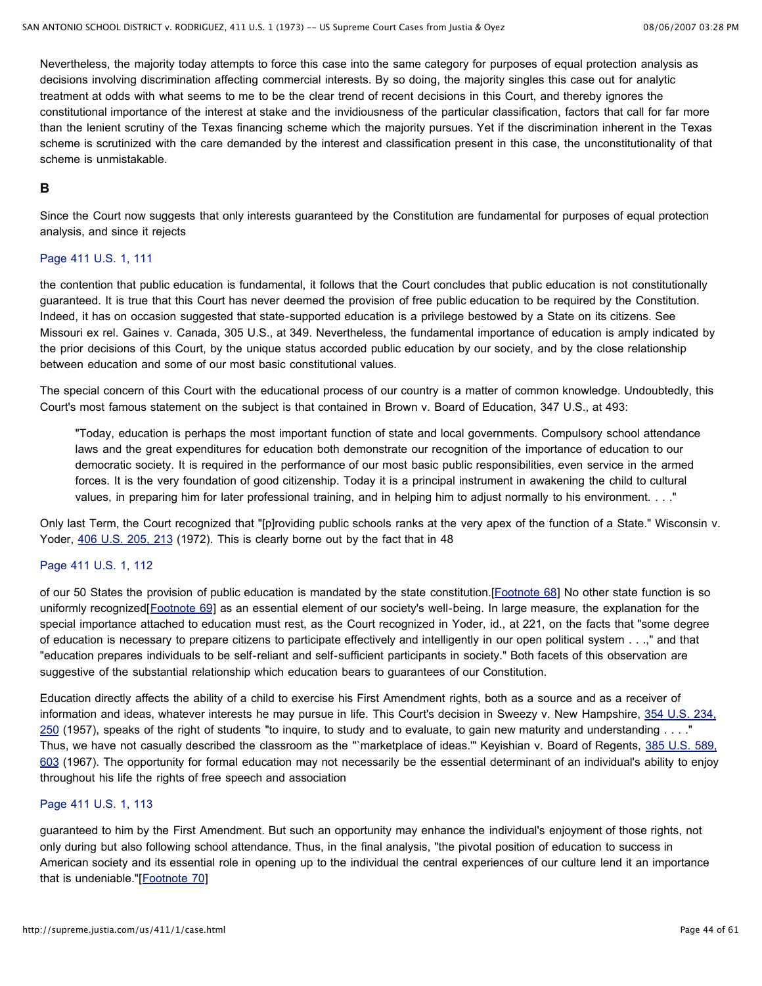Nevertheless, the majority today attempts to force this case into the same category for purposes of equal protection analysis as decisions involving discrimination affecting commercial interests. By so doing, the majority singles this case out for analytic treatment at odds with what seems to me to be the clear trend of recent decisions in this Court, and thereby ignores the constitutional importance of the interest at stake and the invidiousness of the particular classification, factors that call for far more than the lenient scrutiny of the Texas financing scheme which the majority pursues. Yet if the discrimination inherent in the Texas scheme is scrutinized with the care demanded by the interest and classification present in this case, the unconstitutionality of that scheme is unmistakable.

# **B**

Since the Court now suggests that only interests guaranteed by the Constitution are fundamental for purposes of equal protection analysis, and since it rejects

# Page 411 U.S. 1, 111

the contention that public education is fundamental, it follows that the Court concludes that public education is not constitutionally guaranteed. It is true that this Court has never deemed the provision of free public education to be required by the Constitution. Indeed, it has on occasion suggested that state-supported education is a privilege bestowed by a State on its citizens. See Missouri ex rel. Gaines v. Canada, 305 U.S., at 349. Nevertheless, the fundamental importance of education is amply indicated by the prior decisions of this Court, by the unique status accorded public education by our society, and by the close relationship between education and some of our most basic constitutional values.

The special concern of this Court with the educational process of our country is a matter of common knowledge. Undoubtedly, this Court's most famous statement on the subject is that contained in Brown v. Board of Education, 347 U.S., at 493:

"Today, education is perhaps the most important function of state and local governments. Compulsory school attendance laws and the great expenditures for education both demonstrate our recognition of the importance of education to our democratic society. It is required in the performance of our most basic public responsibilities, even service in the armed forces. It is the very foundation of good citizenship. Today it is a principal instrument in awakening the child to cultural values, in preparing him for later professional training, and in helping him to adjust normally to his environment. . . ."

Only last Term, the Court recognized that "[p]roviding public schools ranks at the very apex of the function of a State." Wisconsin v. Yoder, 406 U.S. 205, 213 (1972). This is clearly borne out by the fact that in 48

# Page 411 U.S. 1, 112

of our 50 States the provision of public education is mandated by the state constitution. [Footnote 68] No other state function is so uniformly recognized[Footnote 69] as an essential element of our society's well-being. In large measure, the explanation for the special importance attached to education must rest, as the Court recognized in Yoder, id., at 221, on the facts that "some degree of education is necessary to prepare citizens to participate effectively and intelligently in our open political system . . .," and that "education prepares individuals to be self-reliant and self-sufficient participants in society." Both facets of this observation are suggestive of the substantial relationship which education bears to guarantees of our Constitution.

Education directly affects the ability of a child to exercise his First Amendment rights, both as a source and as a receiver of information and ideas, whatever interests he may pursue in life. This Court's decision in Sweezy v. New Hampshire, 354 U.S. 234, 250 (1957), speaks of the right of students "to inquire, to study and to evaluate, to gain new maturity and understanding . . . ." Thus, we have not casually described the classroom as the "`marketplace of ideas.'" Keyishian v. Board of Regents, 385 U.S. 589, 603 (1967). The opportunity for formal education may not necessarily be the essential determinant of an individual's ability to enjoy throughout his life the rights of free speech and association

# Page 411 U.S. 1, 113

guaranteed to him by the First Amendment. But such an opportunity may enhance the individual's enjoyment of those rights, not only during but also following school attendance. Thus, in the final analysis, "the pivotal position of education to success in American society and its essential role in opening up to the individual the central experiences of our culture lend it an importance that is undeniable."[Footnote 70]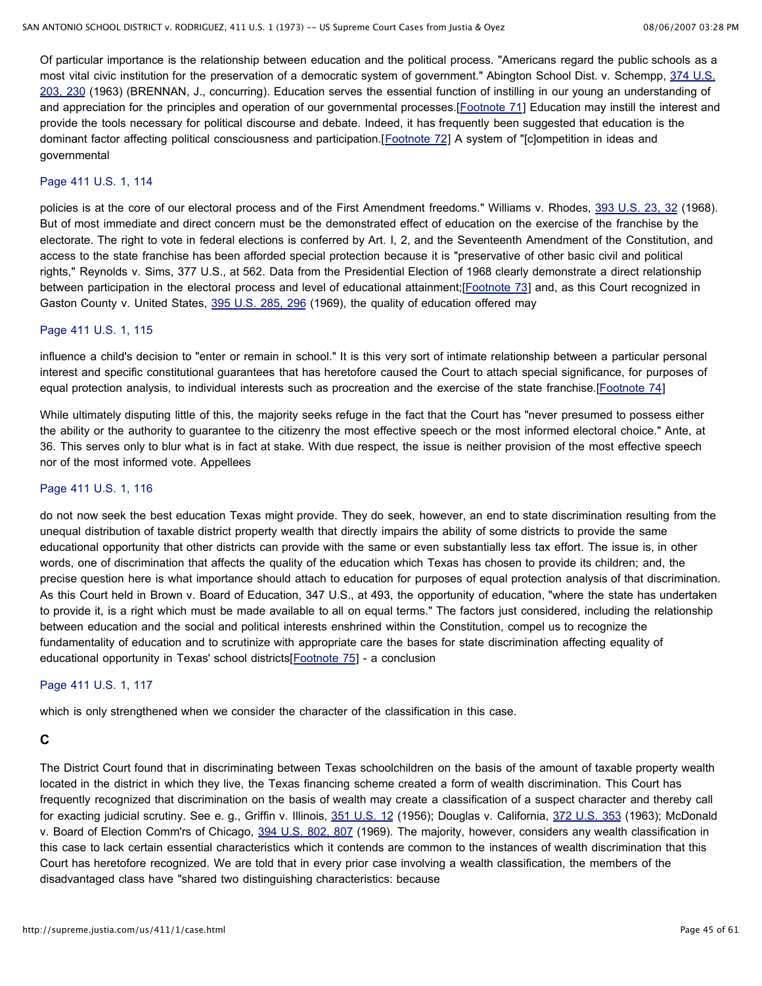Of particular importance is the relationship between education and the political process. "Americans regard the public schools as a most vital civic institution for the preservation of a democratic system of government." Abington School Dist. v. Schempp, 374 U.S. 203, 230 (1963) (BRENNAN, J., concurring). Education serves the essential function of instilling in our young an understanding of and appreciation for the principles and operation of our governmental processes.[Footnote 71] Education may instill the interest and provide the tools necessary for political discourse and debate. Indeed, it has frequently been suggested that education is the dominant factor affecting political consciousness and participation.[Footnote 72] A system of "[c]ompetition in ideas and governmental

# Page 411 U.S. 1, 114

policies is at the core of our electoral process and of the First Amendment freedoms." Williams v. Rhodes, 393 U.S. 23, 32 (1968). But of most immediate and direct concern must be the demonstrated effect of education on the exercise of the franchise by the electorate. The right to vote in federal elections is conferred by Art. I, 2, and the Seventeenth Amendment of the Constitution, and access to the state franchise has been afforded special protection because it is "preservative of other basic civil and political rights," Reynolds v. Sims, 377 U.S., at 562. Data from the Presidential Election of 1968 clearly demonstrate a direct relationship between participation in the electoral process and level of educational attainment;[Footnote 73] and, as this Court recognized in Gaston County v. United States, 395 U.S. 285, 296 (1969), the quality of education offered may

# Page 411 U.S. 1, 115

influence a child's decision to "enter or remain in school." It is this very sort of intimate relationship between a particular personal interest and specific constitutional guarantees that has heretofore caused the Court to attach special significance, for purposes of equal protection analysis, to individual interests such as procreation and the exercise of the state franchise.[Footnote 74]

While ultimately disputing little of this, the majority seeks refuge in the fact that the Court has "never presumed to possess either the ability or the authority to guarantee to the citizenry the most effective speech or the most informed electoral choice." Ante, at 36. This serves only to blur what is in fact at stake. With due respect, the issue is neither provision of the most effective speech nor of the most informed vote. Appellees

# Page 411 U.S. 1, 116

do not now seek the best education Texas might provide. They do seek, however, an end to state discrimination resulting from the unequal distribution of taxable district property wealth that directly impairs the ability of some districts to provide the same educational opportunity that other districts can provide with the same or even substantially less tax effort. The issue is, in other words, one of discrimination that affects the quality of the education which Texas has chosen to provide its children; and, the precise question here is what importance should attach to education for purposes of equal protection analysis of that discrimination. As this Court held in Brown v. Board of Education, 347 U.S., at 493, the opportunity of education, "where the state has undertaken to provide it, is a right which must be made available to all on equal terms." The factors just considered, including the relationship between education and the social and political interests enshrined within the Constitution, compel us to recognize the fundamentality of education and to scrutinize with appropriate care the bases for state discrimination affecting equality of educational opportunity in Texas' school districts[Footnote 75] - a conclusion

# Page 411 U.S. 1, 117

which is only strengthened when we consider the character of the classification in this case.

# **C**

The District Court found that in discriminating between Texas schoolchildren on the basis of the amount of taxable property wealth located in the district in which they live, the Texas financing scheme created a form of wealth discrimination. This Court has frequently recognized that discrimination on the basis of wealth may create a classification of a suspect character and thereby call for exacting judicial scrutiny. See e. g., Griffin v. Illinois, 351 U.S. 12 (1956); Douglas v. California, 372 U.S. 353 (1963); McDonald v. Board of Election Comm'rs of Chicago, 394 U.S. 802, 807 (1969). The majority, however, considers any wealth classification in this case to lack certain essential characteristics which it contends are common to the instances of wealth discrimination that this Court has heretofore recognized. We are told that in every prior case involving a wealth classification, the members of the disadvantaged class have "shared two distinguishing characteristics: because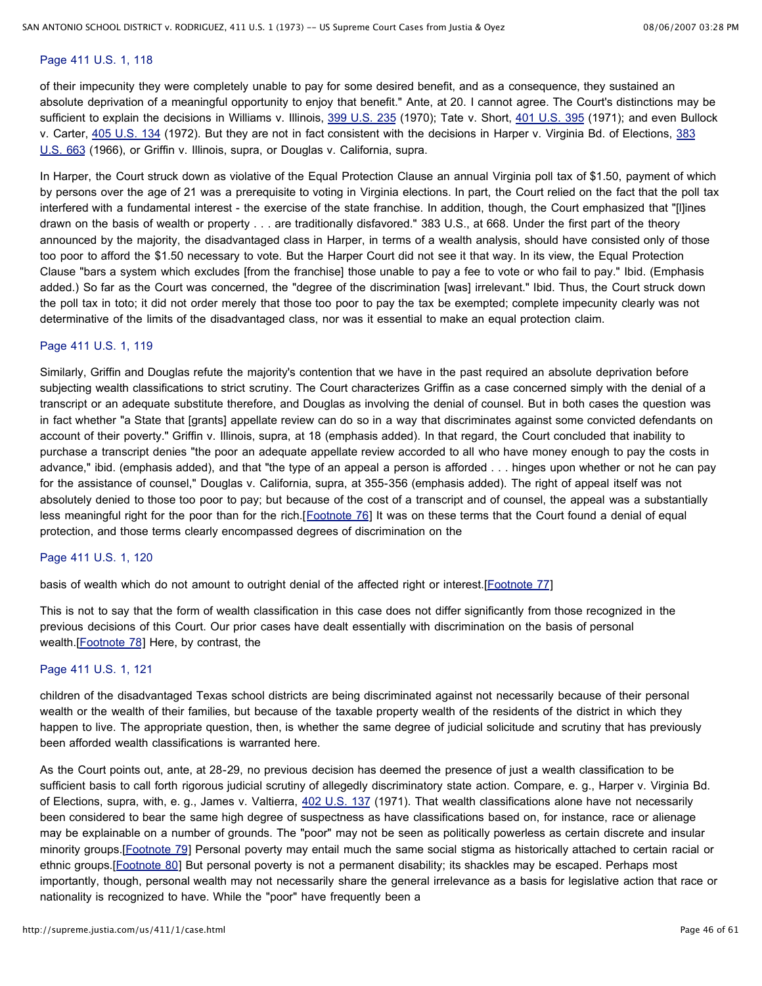# Page 411 U.S. 1, 118

of their impecunity they were completely unable to pay for some desired benefit, and as a consequence, they sustained an absolute deprivation of a meaningful opportunity to enjoy that benefit." Ante, at 20. I cannot agree. The Court's distinctions may be sufficient to explain the decisions in Williams v. Illinois, 399 U.S. 235 (1970); Tate v. Short, 401 U.S. 395 (1971); and even Bullock v. Carter, 405 U.S. 134 (1972). But they are not in fact consistent with the decisions in Harper v. Virginia Bd. of Elections, 383 U.S. 663 (1966), or Griffin v. Illinois, supra, or Douglas v. California, supra.

In Harper, the Court struck down as violative of the Equal Protection Clause an annual Virginia poll tax of \$1.50, payment of which by persons over the age of 21 was a prerequisite to voting in Virginia elections. In part, the Court relied on the fact that the poll tax interfered with a fundamental interest - the exercise of the state franchise. In addition, though, the Court emphasized that "[l]ines drawn on the basis of wealth or property . . . are traditionally disfavored." 383 U.S., at 668. Under the first part of the theory announced by the majority, the disadvantaged class in Harper, in terms of a wealth analysis, should have consisted only of those too poor to afford the \$1.50 necessary to vote. But the Harper Court did not see it that way. In its view, the Equal Protection Clause "bars a system which excludes [from the franchise] those unable to pay a fee to vote or who fail to pay." Ibid. (Emphasis added.) So far as the Court was concerned, the "degree of the discrimination [was] irrelevant." Ibid. Thus, the Court struck down the poll tax in toto; it did not order merely that those too poor to pay the tax be exempted; complete impecunity clearly was not determinative of the limits of the disadvantaged class, nor was it essential to make an equal protection claim.

# Page 411 U.S. 1, 119

Similarly, Griffin and Douglas refute the majority's contention that we have in the past required an absolute deprivation before subjecting wealth classifications to strict scrutiny. The Court characterizes Griffin as a case concerned simply with the denial of a transcript or an adequate substitute therefore, and Douglas as involving the denial of counsel. But in both cases the question was in fact whether "a State that [grants] appellate review can do so in a way that discriminates against some convicted defendants on account of their poverty." Griffin v. Illinois, supra, at 18 (emphasis added). In that regard, the Court concluded that inability to purchase a transcript denies "the poor an adequate appellate review accorded to all who have money enough to pay the costs in advance," ibid. (emphasis added), and that "the type of an appeal a person is afforded . . . hinges upon whether or not he can pay for the assistance of counsel," Douglas v. California, supra, at 355-356 (emphasis added). The right of appeal itself was not absolutely denied to those too poor to pay; but because of the cost of a transcript and of counsel, the appeal was a substantially less meaningful right for the poor than for the rich.[Footnote 76] It was on these terms that the Court found a denial of equal protection, and those terms clearly encompassed degrees of discrimination on the

# Page 411 U.S. 1, 120

basis of wealth which do not amount to outright denial of the affected right or interest.[Footnote 77]

This is not to say that the form of wealth classification in this case does not differ significantly from those recognized in the previous decisions of this Court. Our prior cases have dealt essentially with discrimination on the basis of personal wealth.[Footnote 78] Here, by contrast, the

# Page 411 U.S. 1, 121

children of the disadvantaged Texas school districts are being discriminated against not necessarily because of their personal wealth or the wealth of their families, but because of the taxable property wealth of the residents of the district in which they happen to live. The appropriate question, then, is whether the same degree of judicial solicitude and scrutiny that has previously been afforded wealth classifications is warranted here.

As the Court points out, ante, at 28-29, no previous decision has deemed the presence of just a wealth classification to be sufficient basis to call forth rigorous judicial scrutiny of allegedly discriminatory state action. Compare, e. g., Harper v. Virginia Bd. of Elections, supra, with, e. g., James v. Valtierra, 402 U.S. 137 (1971). That wealth classifications alone have not necessarily been considered to bear the same high degree of suspectness as have classifications based on, for instance, race or alienage may be explainable on a number of grounds. The "poor" may not be seen as politically powerless as certain discrete and insular minority groups.[Footnote 79] Personal poverty may entail much the same social stigma as historically attached to certain racial or ethnic groups.[Footnote 80] But personal poverty is not a permanent disability; its shackles may be escaped. Perhaps most importantly, though, personal wealth may not necessarily share the general irrelevance as a basis for legislative action that race or nationality is recognized to have. While the "poor" have frequently been a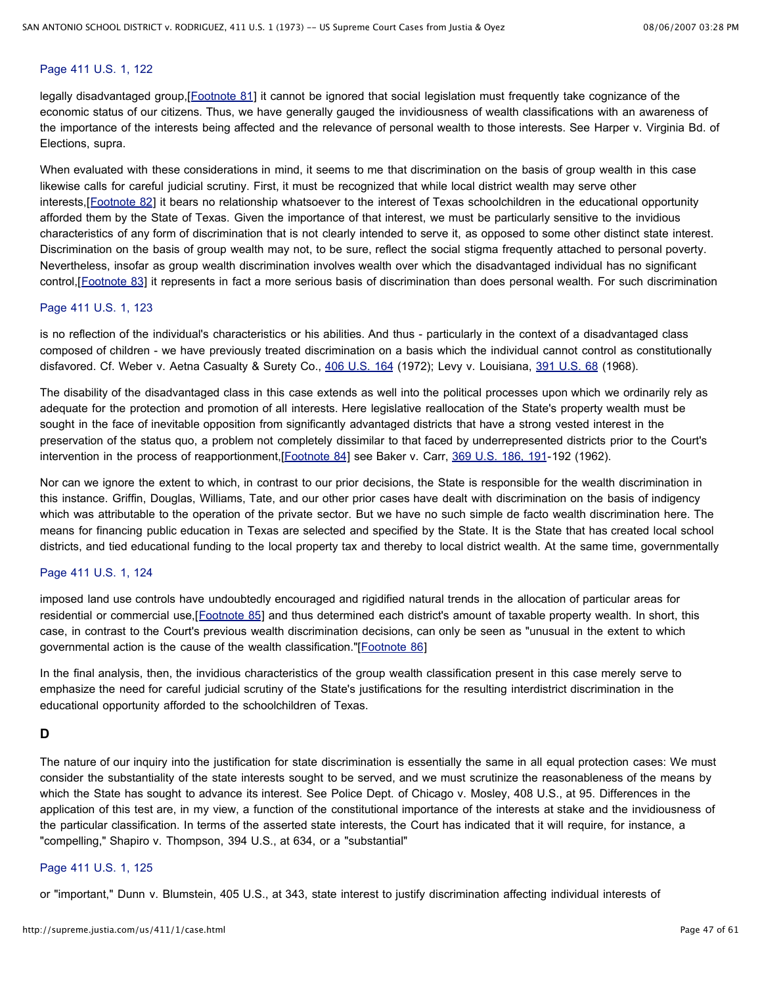# Page 411 U.S. 1, 122

legally disadvantaged group,[Footnote 81] it cannot be ignored that social legislation must frequently take cognizance of the economic status of our citizens. Thus, we have generally gauged the invidiousness of wealth classifications with an awareness of the importance of the interests being affected and the relevance of personal wealth to those interests. See Harper v. Virginia Bd. of Elections, supra.

When evaluated with these considerations in mind, it seems to me that discrimination on the basis of group wealth in this case likewise calls for careful judicial scrutiny. First, it must be recognized that while local district wealth may serve other interests, [Footnote 82] it bears no relationship whatsoever to the interest of Texas schoolchildren in the educational opportunity afforded them by the State of Texas. Given the importance of that interest, we must be particularly sensitive to the invidious characteristics of any form of discrimination that is not clearly intended to serve it, as opposed to some other distinct state interest. Discrimination on the basis of group wealth may not, to be sure, reflect the social stigma frequently attached to personal poverty. Nevertheless, insofar as group wealth discrimination involves wealth over which the disadvantaged individual has no significant control, [Footnote 83] it represents in fact a more serious basis of discrimination than does personal wealth. For such discrimination

#### Page 411 U.S. 1, 123

is no reflection of the individual's characteristics or his abilities. And thus - particularly in the context of a disadvantaged class composed of children - we have previously treated discrimination on a basis which the individual cannot control as constitutionally disfavored. Cf. Weber v. Aetna Casualty & Surety Co., 406 U.S. 164 (1972); Levy v. Louisiana, 391 U.S. 68 (1968).

The disability of the disadvantaged class in this case extends as well into the political processes upon which we ordinarily rely as adequate for the protection and promotion of all interests. Here legislative reallocation of the State's property wealth must be sought in the face of inevitable opposition from significantly advantaged districts that have a strong vested interest in the preservation of the status quo, a problem not completely dissimilar to that faced by underrepresented districts prior to the Court's intervention in the process of reapportionment,[Footnote 84] see Baker v. Carr, 369 U.S. 186, 191-192 (1962).

Nor can we ignore the extent to which, in contrast to our prior decisions, the State is responsible for the wealth discrimination in this instance. Griffin, Douglas, Williams, Tate, and our other prior cases have dealt with discrimination on the basis of indigency which was attributable to the operation of the private sector. But we have no such simple de facto wealth discrimination here. The means for financing public education in Texas are selected and specified by the State. It is the State that has created local school districts, and tied educational funding to the local property tax and thereby to local district wealth. At the same time, governmentally

#### Page 411 U.S. 1, 124

imposed land use controls have undoubtedly encouraged and rigidified natural trends in the allocation of particular areas for residential or commercial use,[Footnote 85] and thus determined each district's amount of taxable property wealth. In short, this case, in contrast to the Court's previous wealth discrimination decisions, can only be seen as "unusual in the extent to which governmental action is the cause of the wealth classification."[Footnote 86]

In the final analysis, then, the invidious characteristics of the group wealth classification present in this case merely serve to emphasize the need for careful judicial scrutiny of the State's justifications for the resulting interdistrict discrimination in the educational opportunity afforded to the schoolchildren of Texas.

# **D**

The nature of our inquiry into the justification for state discrimination is essentially the same in all equal protection cases: We must consider the substantiality of the state interests sought to be served, and we must scrutinize the reasonableness of the means by which the State has sought to advance its interest. See Police Dept. of Chicago v. Mosley, 408 U.S., at 95. Differences in the application of this test are, in my view, a function of the constitutional importance of the interests at stake and the invidiousness of the particular classification. In terms of the asserted state interests, the Court has indicated that it will require, for instance, a "compelling," Shapiro v. Thompson, 394 U.S., at 634, or a "substantial"

#### Page 411 U.S. 1, 125

or "important," Dunn v. Blumstein, 405 U.S., at 343, state interest to justify discrimination affecting individual interests of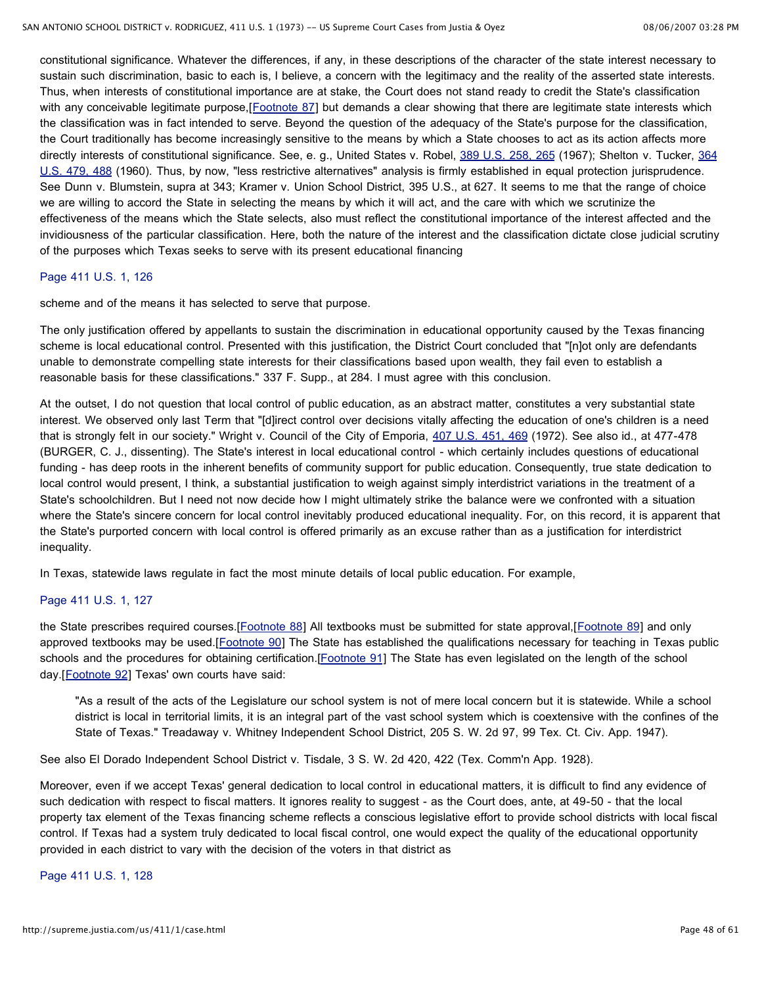constitutional significance. Whatever the differences, if any, in these descriptions of the character of the state interest necessary to sustain such discrimination, basic to each is, I believe, a concern with the legitimacy and the reality of the asserted state interests. Thus, when interests of constitutional importance are at stake, the Court does not stand ready to credit the State's classification with any conceivable legitimate purpose, [Footnote 87] but demands a clear showing that there are legitimate state interests which the classification was in fact intended to serve. Beyond the question of the adequacy of the State's purpose for the classification, the Court traditionally has become increasingly sensitive to the means by which a State chooses to act as its action affects more directly interests of constitutional significance. See, e. g., United States v. Robel, 389 U.S. 258, 265 (1967); Shelton v. Tucker, 364 U.S. 479, 488 (1960). Thus, by now, "less restrictive alternatives" analysis is firmly established in equal protection jurisprudence. See Dunn v. Blumstein, supra at 343; Kramer v. Union School District, 395 U.S., at 627. It seems to me that the range of choice we are willing to accord the State in selecting the means by which it will act, and the care with which we scrutinize the effectiveness of the means which the State selects, also must reflect the constitutional importance of the interest affected and the invidiousness of the particular classification. Here, both the nature of the interest and the classification dictate close judicial scrutiny of the purposes which Texas seeks to serve with its present educational financing

# Page 411 U.S. 1, 126

scheme and of the means it has selected to serve that purpose.

The only justification offered by appellants to sustain the discrimination in educational opportunity caused by the Texas financing scheme is local educational control. Presented with this justification, the District Court concluded that "[n]ot only are defendants unable to demonstrate compelling state interests for their classifications based upon wealth, they fail even to establish a reasonable basis for these classifications." 337 F. Supp., at 284. I must agree with this conclusion.

At the outset, I do not question that local control of public education, as an abstract matter, constitutes a very substantial state interest. We observed only last Term that "[d]irect control over decisions vitally affecting the education of one's children is a need that is strongly felt in our society." Wright v. Council of the City of Emporia, 407 U.S. 451, 469 (1972). See also id., at 477-478 (BURGER, C. J., dissenting). The State's interest in local educational control - which certainly includes questions of educational funding - has deep roots in the inherent benefits of community support for public education. Consequently, true state dedication to local control would present, I think, a substantial justification to weigh against simply interdistrict variations in the treatment of a State's schoolchildren. But I need not now decide how I might ultimately strike the balance were we confronted with a situation where the State's sincere concern for local control inevitably produced educational inequality. For, on this record, it is apparent that the State's purported concern with local control is offered primarily as an excuse rather than as a justification for interdistrict inequality.

In Texas, statewide laws regulate in fact the most minute details of local public education. For example,

# Page 411 U.S. 1, 127

the State prescribes required courses.[Footnote 88] All textbooks must be submitted for state approval,[Footnote 89] and only approved textbooks may be used.[Footnote 90] The State has established the qualifications necessary for teaching in Texas public schools and the procedures for obtaining certification. [Footnote 91] The State has even legislated on the length of the school day.[Footnote 92] Texas' own courts have said:

"As a result of the acts of the Legislature our school system is not of mere local concern but it is statewide. While a school district is local in territorial limits, it is an integral part of the vast school system which is coextensive with the confines of the State of Texas." Treadaway v. Whitney Independent School District, 205 S. W. 2d 97, 99 Tex. Ct. Civ. App. 1947).

See also El Dorado Independent School District v. Tisdale, 3 S. W. 2d 420, 422 (Tex. Comm'n App. 1928).

Moreover, even if we accept Texas' general dedication to local control in educational matters, it is difficult to find any evidence of such dedication with respect to fiscal matters. It ignores reality to suggest - as the Court does, ante, at 49-50 - that the local property tax element of the Texas financing scheme reflects a conscious legislative effort to provide school districts with local fiscal control. If Texas had a system truly dedicated to local fiscal control, one would expect the quality of the educational opportunity provided in each district to vary with the decision of the voters in that district as

Page 411 U.S. 1, 128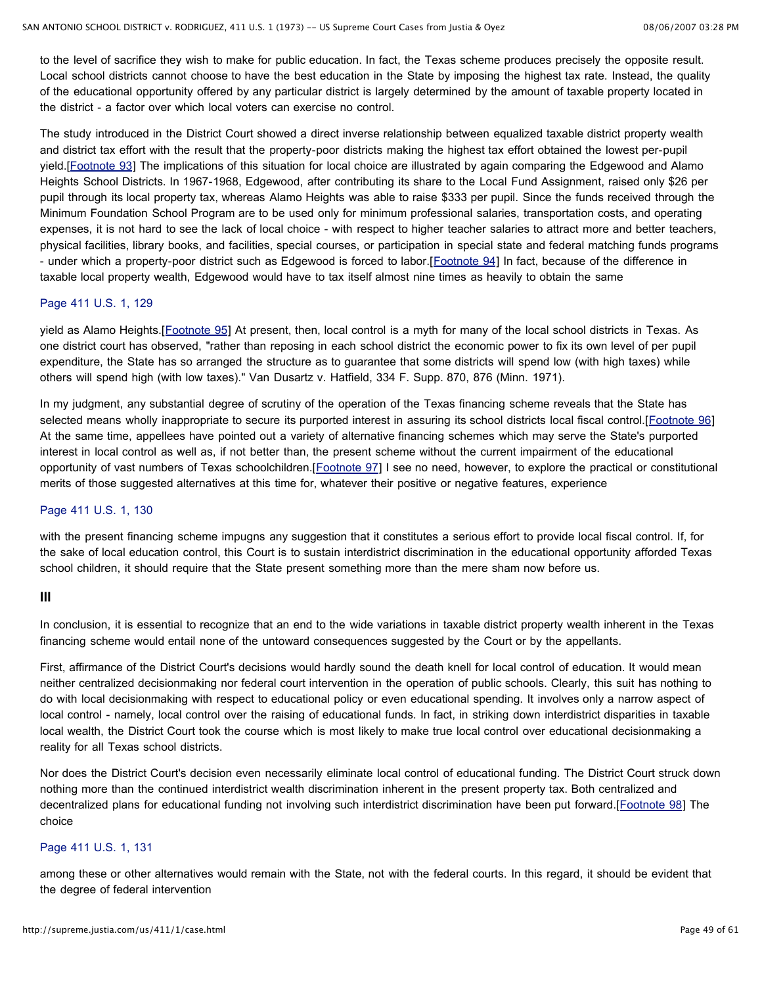to the level of sacrifice they wish to make for public education. In fact, the Texas scheme produces precisely the opposite result. Local school districts cannot choose to have the best education in the State by imposing the highest tax rate. Instead, the quality of the educational opportunity offered by any particular district is largely determined by the amount of taxable property located in the district - a factor over which local voters can exercise no control.

The study introduced in the District Court showed a direct inverse relationship between equalized taxable district property wealth and district tax effort with the result that the property-poor districts making the highest tax effort obtained the lowest per-pupil yield.[Footnote 93] The implications of this situation for local choice are illustrated by again comparing the Edgewood and Alamo Heights School Districts. In 1967-1968, Edgewood, after contributing its share to the Local Fund Assignment, raised only \$26 per pupil through its local property tax, whereas Alamo Heights was able to raise \$333 per pupil. Since the funds received through the Minimum Foundation School Program are to be used only for minimum professional salaries, transportation costs, and operating expenses, it is not hard to see the lack of local choice - with respect to higher teacher salaries to attract more and better teachers, physical facilities, library books, and facilities, special courses, or participation in special state and federal matching funds programs - under which a property-poor district such as Edgewood is forced to labor.[Footnote 94] In fact, because of the difference in taxable local property wealth, Edgewood would have to tax itself almost nine times as heavily to obtain the same

#### Page 411 U.S. 1, 129

yield as Alamo Heights.[Footnote 95] At present, then, local control is a myth for many of the local school districts in Texas. As one district court has observed, "rather than reposing in each school district the economic power to fix its own level of per pupil expenditure, the State has so arranged the structure as to guarantee that some districts will spend low (with high taxes) while others will spend high (with low taxes)." Van Dusartz v. Hatfield, 334 F. Supp. 870, 876 (Minn. 1971).

In my judgment, any substantial degree of scrutiny of the operation of the Texas financing scheme reveals that the State has selected means wholly inappropriate to secure its purported interest in assuring its school districts local fiscal control.[Footnote 96] At the same time, appellees have pointed out a variety of alternative financing schemes which may serve the State's purported interest in local control as well as, if not better than, the present scheme without the current impairment of the educational opportunity of vast numbers of Texas schoolchildren.[Footnote 97] I see no need, however, to explore the practical or constitutional merits of those suggested alternatives at this time for, whatever their positive or negative features, experience

# Page 411 U.S. 1, 130

with the present financing scheme impugns any suggestion that it constitutes a serious effort to provide local fiscal control. If, for the sake of local education control, this Court is to sustain interdistrict discrimination in the educational opportunity afforded Texas school children, it should require that the State present something more than the mere sham now before us.

# **III**

In conclusion, it is essential to recognize that an end to the wide variations in taxable district property wealth inherent in the Texas financing scheme would entail none of the untoward consequences suggested by the Court or by the appellants.

First, affirmance of the District Court's decisions would hardly sound the death knell for local control of education. It would mean neither centralized decisionmaking nor federal court intervention in the operation of public schools. Clearly, this suit has nothing to do with local decisionmaking with respect to educational policy or even educational spending. It involves only a narrow aspect of local control - namely, local control over the raising of educational funds. In fact, in striking down interdistrict disparities in taxable local wealth, the District Court took the course which is most likely to make true local control over educational decisionmaking a reality for all Texas school districts.

Nor does the District Court's decision even necessarily eliminate local control of educational funding. The District Court struck down nothing more than the continued interdistrict wealth discrimination inherent in the present property tax. Both centralized and decentralized plans for educational funding not involving such interdistrict discrimination have been put forward.[Footnote 98] The choice

# Page 411 U.S. 1, 131

among these or other alternatives would remain with the State, not with the federal courts. In this regard, it should be evident that the degree of federal intervention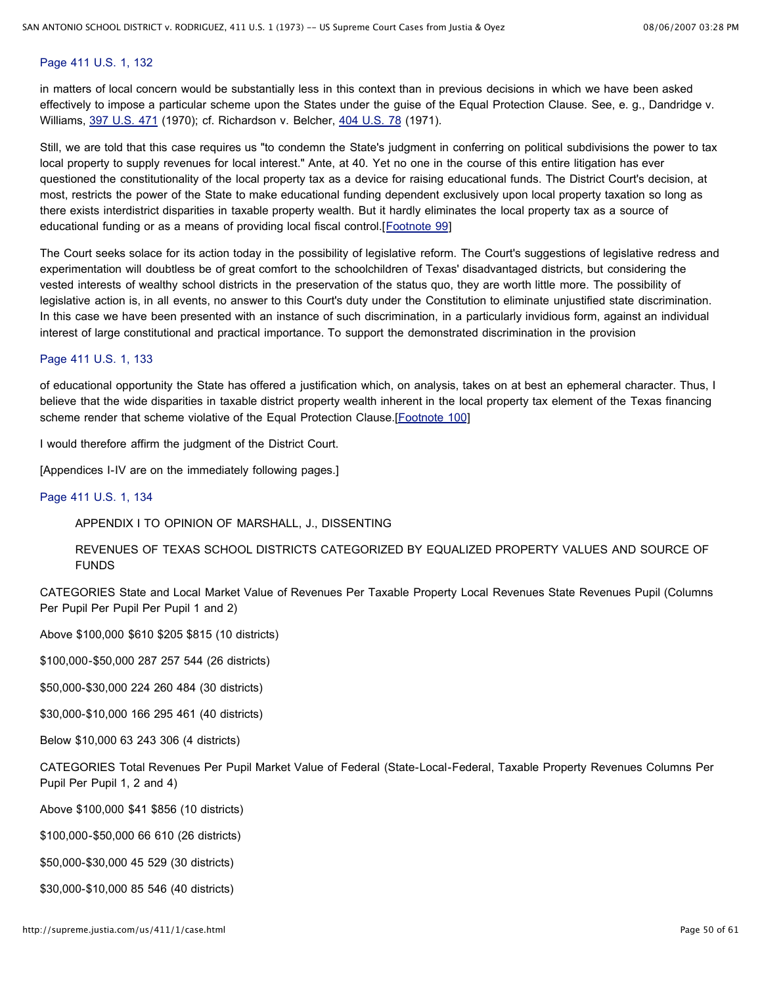# Page 411 U.S. 1, 132

in matters of local concern would be substantially less in this context than in previous decisions in which we have been asked effectively to impose a particular scheme upon the States under the guise of the Equal Protection Clause. See, e. g., Dandridge v. Williams, 397 U.S. 471 (1970); cf. Richardson v. Belcher, 404 U.S. 78 (1971).

Still, we are told that this case requires us "to condemn the State's judgment in conferring on political subdivisions the power to tax local property to supply revenues for local interest." Ante, at 40. Yet no one in the course of this entire litigation has ever questioned the constitutionality of the local property tax as a device for raising educational funds. The District Court's decision, at most, restricts the power of the State to make educational funding dependent exclusively upon local property taxation so long as there exists interdistrict disparities in taxable property wealth. But it hardly eliminates the local property tax as a source of educational funding or as a means of providing local fiscal control.[Footnote 99]

The Court seeks solace for its action today in the possibility of legislative reform. The Court's suggestions of legislative redress and experimentation will doubtless be of great comfort to the schoolchildren of Texas' disadvantaged districts, but considering the vested interests of wealthy school districts in the preservation of the status quo, they are worth little more. The possibility of legislative action is, in all events, no answer to this Court's duty under the Constitution to eliminate unjustified state discrimination. In this case we have been presented with an instance of such discrimination, in a particularly invidious form, against an individual interest of large constitutional and practical importance. To support the demonstrated discrimination in the provision

# Page 411 U.S. 1, 133

of educational opportunity the State has offered a justification which, on analysis, takes on at best an ephemeral character. Thus, I believe that the wide disparities in taxable district property wealth inherent in the local property tax element of the Texas financing scheme render that scheme violative of the Equal Protection Clause.[Footnote 100]

I would therefore affirm the judgment of the District Court.

[Appendices I-IV are on the immediately following pages.]

# Page 411 U.S. 1, 134

APPENDIX I TO OPINION OF MARSHALL, J., DISSENTING

REVENUES OF TEXAS SCHOOL DISTRICTS CATEGORIZED BY EQUALIZED PROPERTY VALUES AND SOURCE OF **FUNDS** 

CATEGORIES State and Local Market Value of Revenues Per Taxable Property Local Revenues State Revenues Pupil (Columns Per Pupil Per Pupil Per Pupil 1 and 2)

Above \$100,000 \$610 \$205 \$815 (10 districts)

\$100,000-\$50,000 287 257 544 (26 districts)

\$50,000-\$30,000 224 260 484 (30 districts)

\$30,000-\$10,000 166 295 461 (40 districts)

Below \$10,000 63 243 306 (4 districts)

CATEGORIES Total Revenues Per Pupil Market Value of Federal (State-Local-Federal, Taxable Property Revenues Columns Per Pupil Per Pupil 1, 2 and 4)

Above \$100,000 \$41 \$856 (10 districts)

\$100,000-\$50,000 66 610 (26 districts)

\$50,000-\$30,000 45 529 (30 districts)

\$30,000-\$10,000 85 546 (40 districts)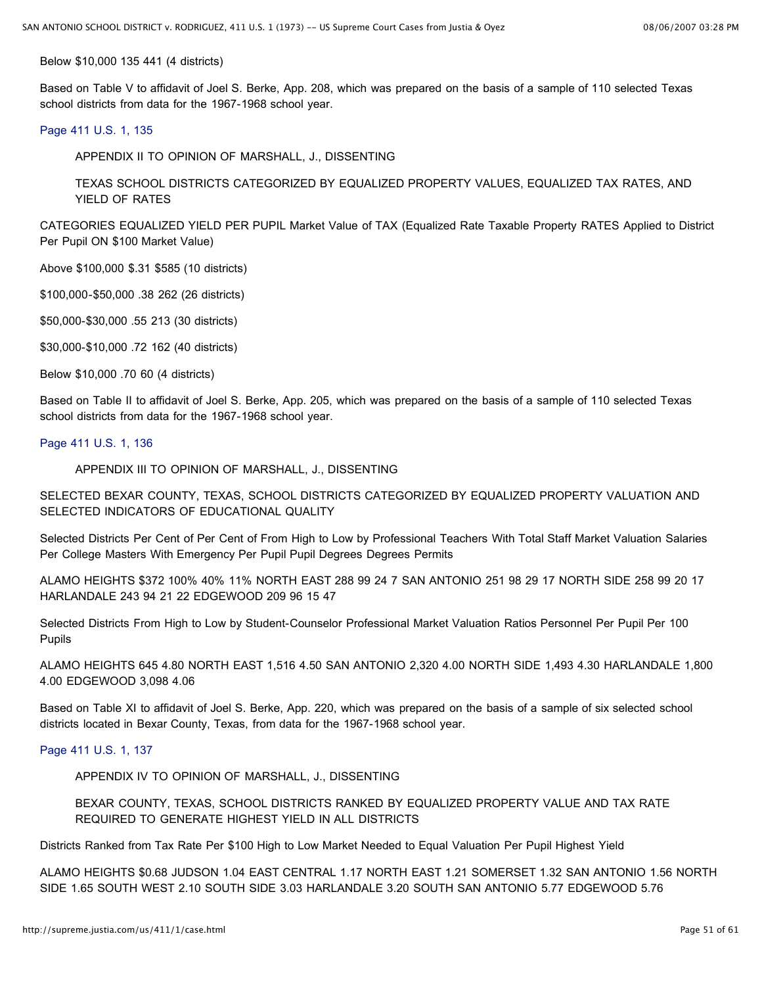#### Below \$10,000 135 441 (4 districts)

Based on Table V to affidavit of Joel S. Berke, App. 208, which was prepared on the basis of a sample of 110 selected Texas school districts from data for the 1967-1968 school year.

#### Page 411 U.S. 1, 135

APPENDIX II TO OPINION OF MARSHALL, J., DISSENTING

TEXAS SCHOOL DISTRICTS CATEGORIZED BY EQUALIZED PROPERTY VALUES, EQUALIZED TAX RATES, AND YIELD OF RATES

CATEGORIES EQUALIZED YIELD PER PUPIL Market Value of TAX (Equalized Rate Taxable Property RATES Applied to District Per Pupil ON \$100 Market Value)

Above \$100,000 \$.31 \$585 (10 districts)

\$100,000-\$50,000 .38 262 (26 districts)

\$50,000-\$30,000 .55 213 (30 districts)

\$30,000-\$10,000 .72 162 (40 districts)

Below \$10,000 .70 60 (4 districts)

Based on Table II to affidavit of Joel S. Berke, App. 205, which was prepared on the basis of a sample of 110 selected Texas school districts from data for the 1967-1968 school year.

#### Page 411 U.S. 1, 136

APPENDIX III TO OPINION OF MARSHALL, J., DISSENTING

SELECTED BEXAR COUNTY, TEXAS, SCHOOL DISTRICTS CATEGORIZED BY EQUALIZED PROPERTY VALUATION AND SELECTED INDICATORS OF EDUCATIONAL QUALITY

Selected Districts Per Cent of Per Cent of From High to Low by Professional Teachers With Total Staff Market Valuation Salaries Per College Masters With Emergency Per Pupil Pupil Degrees Degrees Permits

ALAMO HEIGHTS \$372 100% 40% 11% NORTH EAST 288 99 24 7 SAN ANTONIO 251 98 29 17 NORTH SIDE 258 99 20 17 HARLANDALE 243 94 21 22 EDGEWOOD 209 96 15 47

Selected Districts From High to Low by Student-Counselor Professional Market Valuation Ratios Personnel Per Pupil Per 100 Pupils

ALAMO HEIGHTS 645 4.80 NORTH EAST 1,516 4.50 SAN ANTONIO 2,320 4.00 NORTH SIDE 1,493 4.30 HARLANDALE 1,800 4.00 EDGEWOOD 3,098 4.06

Based on Table XI to affidavit of Joel S. Berke, App. 220, which was prepared on the basis of a sample of six selected school districts located in Bexar County, Texas, from data for the 1967-1968 school year.

# Page 411 U.S. 1, 137

APPENDIX IV TO OPINION OF MARSHALL, J., DISSENTING

BEXAR COUNTY, TEXAS, SCHOOL DISTRICTS RANKED BY EQUALIZED PROPERTY VALUE AND TAX RATE REQUIRED TO GENERATE HIGHEST YIELD IN ALL DISTRICTS

Districts Ranked from Tax Rate Per \$100 High to Low Market Needed to Equal Valuation Per Pupil Highest Yield

ALAMO HEIGHTS \$0.68 JUDSON 1.04 EAST CENTRAL 1.17 NORTH EAST 1.21 SOMERSET 1.32 SAN ANTONIO 1.56 NORTH SIDE 1.65 SOUTH WEST 2.10 SOUTH SIDE 3.03 HARLANDALE 3.20 SOUTH SAN ANTONIO 5.77 EDGEWOOD 5.76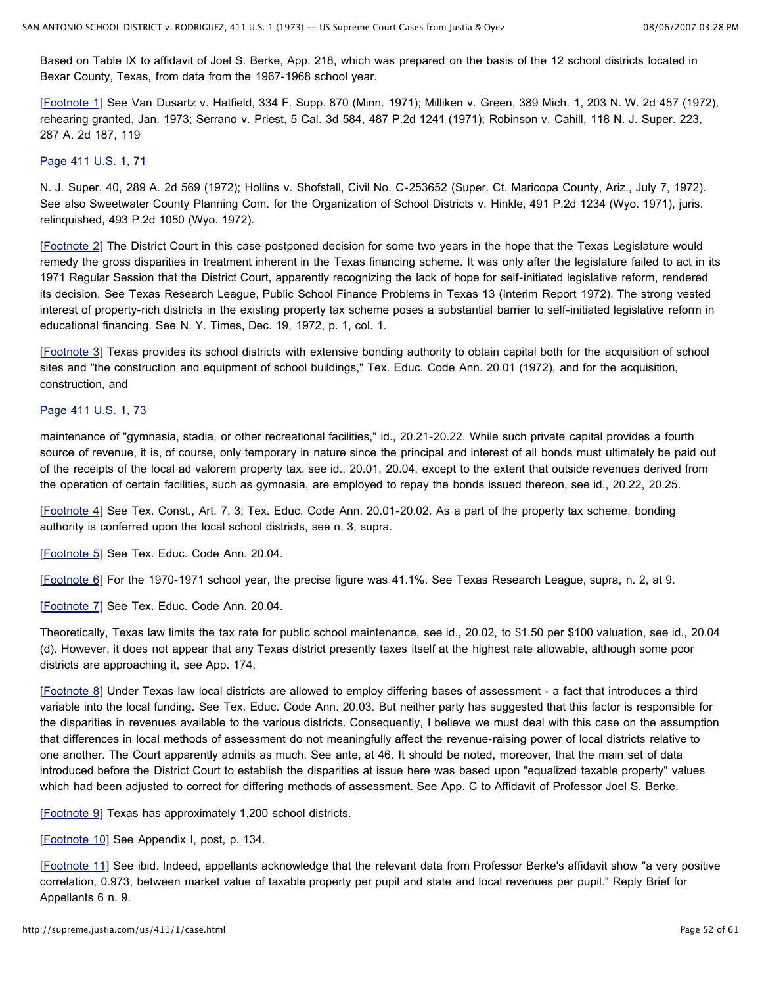Based on Table IX to affidavit of Joel S. Berke, App. 218, which was prepared on the basis of the 12 school districts located in Bexar County, Texas, from data from the 1967-1968 school year.

[Footnote 1] See Van Dusartz v. Hatfield, 334 F. Supp. 870 (Minn. 1971); Milliken v. Green, 389 Mich. 1, 203 N. W. 2d 457 (1972), rehearing granted, Jan. 1973; Serrano v. Priest, 5 Cal. 3d 584, 487 P.2d 1241 (1971); Robinson v. Cahill, 118 N. J. Super. 223, 287 A. 2d 187, 119

Page 411 U.S. 1, 71

N. J. Super. 40, 289 A. 2d 569 (1972); Hollins v. Shofstall, Civil No. C-253652 (Super. Ct. Maricopa County, Ariz., July 7, 1972). See also Sweetwater County Planning Com. for the Organization of School Districts v. Hinkle, 491 P.2d 1234 (Wyo. 1971), juris. relinquished, 493 P.2d 1050 (Wyo. 1972).

[Footnote 2] The District Court in this case postponed decision for some two years in the hope that the Texas Legislature would remedy the gross disparities in treatment inherent in the Texas financing scheme. It was only after the legislature failed to act in its 1971 Regular Session that the District Court, apparently recognizing the lack of hope for self-initiated legislative reform, rendered its decision. See Texas Research League, Public School Finance Problems in Texas 13 (Interim Report 1972). The strong vested interest of property-rich districts in the existing property tax scheme poses a substantial barrier to self-initiated legislative reform in educational financing. See N. Y. Times, Dec. 19, 1972, p. 1, col. 1.

[Footnote 3] Texas provides its school districts with extensive bonding authority to obtain capital both for the acquisition of school sites and "the construction and equipment of school buildings," Tex. Educ. Code Ann. 20.01 (1972), and for the acquisition, construction, and

### Page 411 U.S. 1, 73

maintenance of "gymnasia, stadia, or other recreational facilities," id., 20.21-20.22. While such private capital provides a fourth source of revenue, it is, of course, only temporary in nature since the principal and interest of all bonds must ultimately be paid out of the receipts of the local ad valorem property tax, see id., 20.01, 20.04, except to the extent that outside revenues derived from the operation of certain facilities, such as gymnasia, are employed to repay the bonds issued thereon, see id., 20.22, 20.25.

[Footnote 4] See Tex. Const., Art. 7, 3; Tex. Educ. Code Ann. 20.01-20.02. As a part of the property tax scheme, bonding authority is conferred upon the local school districts, see n. 3, supra.

[Footnote 5] See Tex. Educ. Code Ann. 20.04.

[Footnote 6] For the 1970-1971 school year, the precise figure was 41.1%. See Texas Research League, supra, n. 2, at 9.

[Footnote 7] See Tex. Educ. Code Ann. 20.04.

Theoretically, Texas law limits the tax rate for public school maintenance, see id., 20.02, to \$1.50 per \$100 valuation, see id., 20.04 (d). However, it does not appear that any Texas district presently taxes itself at the highest rate allowable, although some poor districts are approaching it, see App. 174.

[Footnote 8] Under Texas law local districts are allowed to employ differing bases of assessment - a fact that introduces a third variable into the local funding. See Tex. Educ. Code Ann. 20.03. But neither party has suggested that this factor is responsible for the disparities in revenues available to the various districts. Consequently, I believe we must deal with this case on the assumption that differences in local methods of assessment do not meaningfully affect the revenue-raising power of local districts relative to one another. The Court apparently admits as much. See ante, at 46. It should be noted, moreover, that the main set of data introduced before the District Court to establish the disparities at issue here was based upon "equalized taxable property" values which had been adjusted to correct for differing methods of assessment. See App. C to Affidavit of Professor Joel S. Berke.

[Footnote 9] Texas has approximately 1,200 school districts.

[Footnote 10] See Appendix I, post, p. 134.

[Footnote 11] See ibid. Indeed, appellants acknowledge that the relevant data from Professor Berke's affidavit show "a very positive correlation, 0.973, between market value of taxable property per pupil and state and local revenues per pupil." Reply Brief for Appellants 6 n. 9.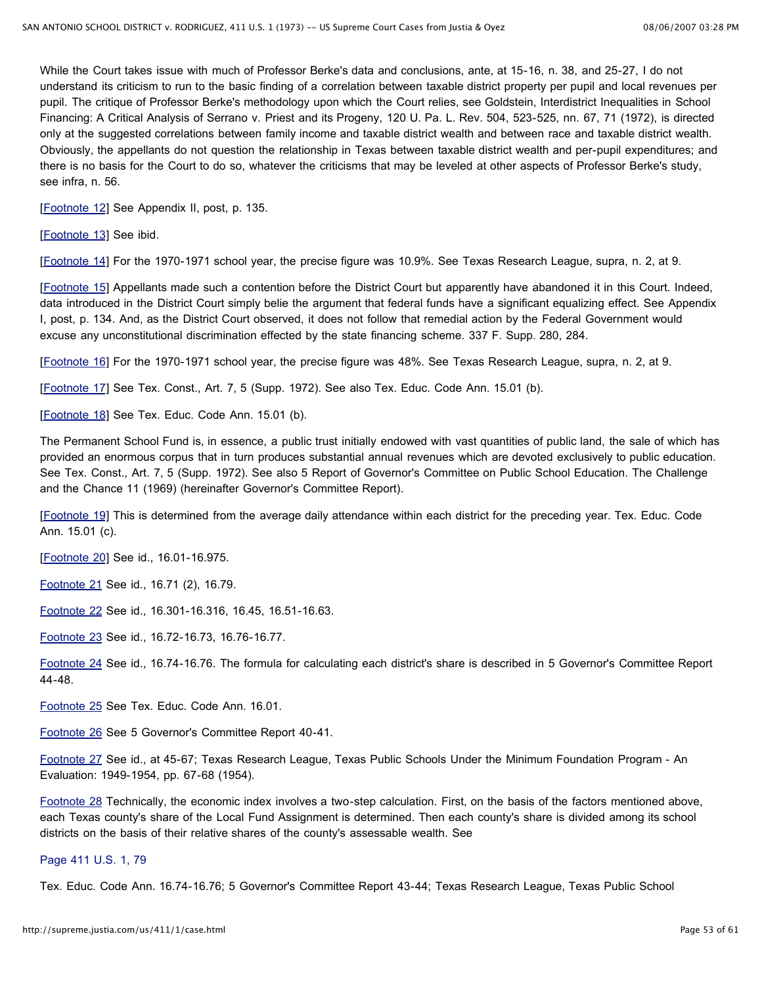While the Court takes issue with much of Professor Berke's data and conclusions, ante, at 15-16, n. 38, and 25-27, I do not understand its criticism to run to the basic finding of a correlation between taxable district property per pupil and local revenues per pupil. The critique of Professor Berke's methodology upon which the Court relies, see Goldstein, Interdistrict Inequalities in School Financing: A Critical Analysis of Serrano v. Priest and its Progeny, 120 U. Pa. L. Rev. 504, 523-525, nn. 67, 71 (1972), is directed only at the suggested correlations between family income and taxable district wealth and between race and taxable district wealth. Obviously, the appellants do not question the relationship in Texas between taxable district wealth and per-pupil expenditures; and there is no basis for the Court to do so, whatever the criticisms that may be leveled at other aspects of Professor Berke's study, see infra, n. 56.

[Footnote 12] See Appendix II, post, p. 135.

[Footnote 13] See ibid.

[Footnote 14] For the 1970-1971 school year, the precise figure was 10.9%. See Texas Research League, supra, n. 2, at 9.

[Footnote 15] Appellants made such a contention before the District Court but apparently have abandoned it in this Court. Indeed, data introduced in the District Court simply belie the argument that federal funds have a significant equalizing effect. See Appendix I, post, p. 134. And, as the District Court observed, it does not follow that remedial action by the Federal Government would excuse any unconstitutional discrimination effected by the state financing scheme. 337 F. Supp. 280, 284.

[Footnote 16] For the 1970-1971 school year, the precise figure was 48%. See Texas Research League, supra, n. 2, at 9.

[Footnote 17] See Tex. Const., Art. 7, 5 (Supp. 1972). See also Tex. Educ. Code Ann. 15.01 (b).

[Footnote 18] See Tex. Educ. Code Ann. 15.01 (b).

The Permanent School Fund is, in essence, a public trust initially endowed with vast quantities of public land, the sale of which has provided an enormous corpus that in turn produces substantial annual revenues which are devoted exclusively to public education. See Tex. Const., Art. 7, 5 (Supp. 1972). See also 5 Report of Governor's Committee on Public School Education. The Challenge and the Chance 11 (1969) (hereinafter Governor's Committee Report).

[Footnote 19] This is determined from the average daily attendance within each district for the preceding year. Tex. Educ. Code Ann. 15.01 (c).

[Footnote 20] See id., 16.01-16.975.

Footnote 21 See id., 16.71 (2), 16.79.

Footnote 22 See id., 16.301-16.316, 16.45, 16.51-16.63.

Footnote 23 See id., 16.72-16.73, 16.76-16.77.

Footnote 24 See id., 16.74-16.76. The formula for calculating each district's share is described in 5 Governor's Committee Report 44-48.

Footnote 25 See Tex. Educ. Code Ann. 16.01.

Footnote 26 See 5 Governor's Committee Report 40-41.

Footnote 27 See id., at 45-67; Texas Research League, Texas Public Schools Under the Minimum Foundation Program - An Evaluation: 1949-1954, pp. 67-68 (1954).

Footnote 28 Technically, the economic index involves a two-step calculation. First, on the basis of the factors mentioned above, each Texas county's share of the Local Fund Assignment is determined. Then each county's share is divided among its school districts on the basis of their relative shares of the county's assessable wealth. See

#### Page 411 U.S. 1, 79

Tex. Educ. Code Ann. 16.74-16.76; 5 Governor's Committee Report 43-44; Texas Research League, Texas Public School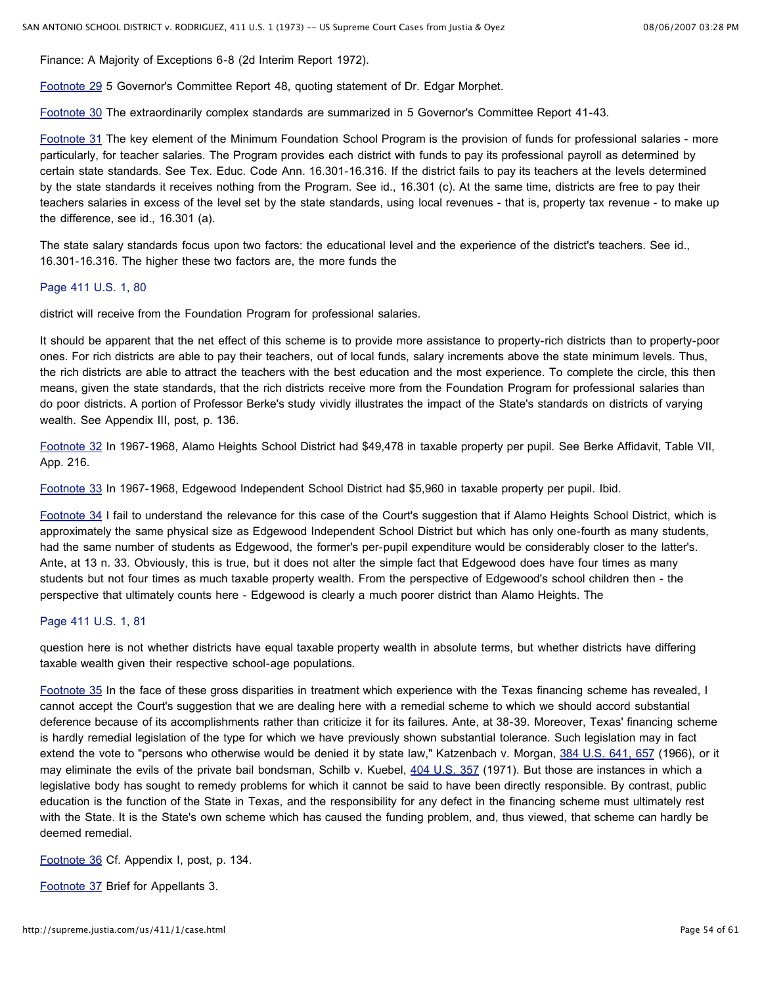Finance: A Majority of Exceptions 6-8 (2d Interim Report 1972).

Footnote 29 5 Governor's Committee Report 48, quoting statement of Dr. Edgar Morphet.

Footnote 30 The extraordinarily complex standards are summarized in 5 Governor's Committee Report 41-43.

Footnote 31 The key element of the Minimum Foundation School Program is the provision of funds for professional salaries - more particularly, for teacher salaries. The Program provides each district with funds to pay its professional payroll as determined by certain state standards. See Tex. Educ. Code Ann. 16.301-16.316. If the district fails to pay its teachers at the levels determined by the state standards it receives nothing from the Program. See id., 16.301 (c). At the same time, districts are free to pay their teachers salaries in excess of the level set by the state standards, using local revenues - that is, property tax revenue - to make up the difference, see id., 16.301 (a).

The state salary standards focus upon two factors: the educational level and the experience of the district's teachers. See id., 16.301-16.316. The higher these two factors are, the more funds the

# Page 411 U.S. 1, 80

district will receive from the Foundation Program for professional salaries.

It should be apparent that the net effect of this scheme is to provide more assistance to property-rich districts than to property-poor ones. For rich districts are able to pay their teachers, out of local funds, salary increments above the state minimum levels. Thus, the rich districts are able to attract the teachers with the best education and the most experience. To complete the circle, this then means, given the state standards, that the rich districts receive more from the Foundation Program for professional salaries than do poor districts. A portion of Professor Berke's study vividly illustrates the impact of the State's standards on districts of varying wealth. See Appendix III, post, p. 136.

Footnote 32 In 1967-1968, Alamo Heights School District had \$49,478 in taxable property per pupil. See Berke Affidavit, Table VII, App. 216.

Footnote 33 In 1967-1968, Edgewood Independent School District had \$5,960 in taxable property per pupil. Ibid.

Footnote 34 I fail to understand the relevance for this case of the Court's suggestion that if Alamo Heights School District, which is approximately the same physical size as Edgewood Independent School District but which has only one-fourth as many students, had the same number of students as Edgewood, the former's per-pupil expenditure would be considerably closer to the latter's. Ante, at 13 n. 33. Obviously, this is true, but it does not alter the simple fact that Edgewood does have four times as many students but not four times as much taxable property wealth. From the perspective of Edgewood's school children then - the perspective that ultimately counts here - Edgewood is clearly a much poorer district than Alamo Heights. The

# Page 411 U.S. 1, 81

question here is not whether districts have equal taxable property wealth in absolute terms, but whether districts have differing taxable wealth given their respective school-age populations.

Footnote 35 In the face of these gross disparities in treatment which experience with the Texas financing scheme has revealed, I cannot accept the Court's suggestion that we are dealing here with a remedial scheme to which we should accord substantial deference because of its accomplishments rather than criticize it for its failures. Ante, at 38-39. Moreover, Texas' financing scheme is hardly remedial legislation of the type for which we have previously shown substantial tolerance. Such legislation may in fact extend the vote to "persons who otherwise would be denied it by state law," Katzenbach v. Morgan, 384 U.S. 641, 657 (1966), or it may eliminate the evils of the private bail bondsman, Schilb v. Kuebel, 404 U.S. 357 (1971). But those are instances in which a legislative body has sought to remedy problems for which it cannot be said to have been directly responsible. By contrast, public education is the function of the State in Texas, and the responsibility for any defect in the financing scheme must ultimately rest with the State. It is the State's own scheme which has caused the funding problem, and, thus viewed, that scheme can hardly be deemed remedial.

Footnote 36 Cf. Appendix I, post, p. 134.

Footnote 37 Brief for Appellants 3.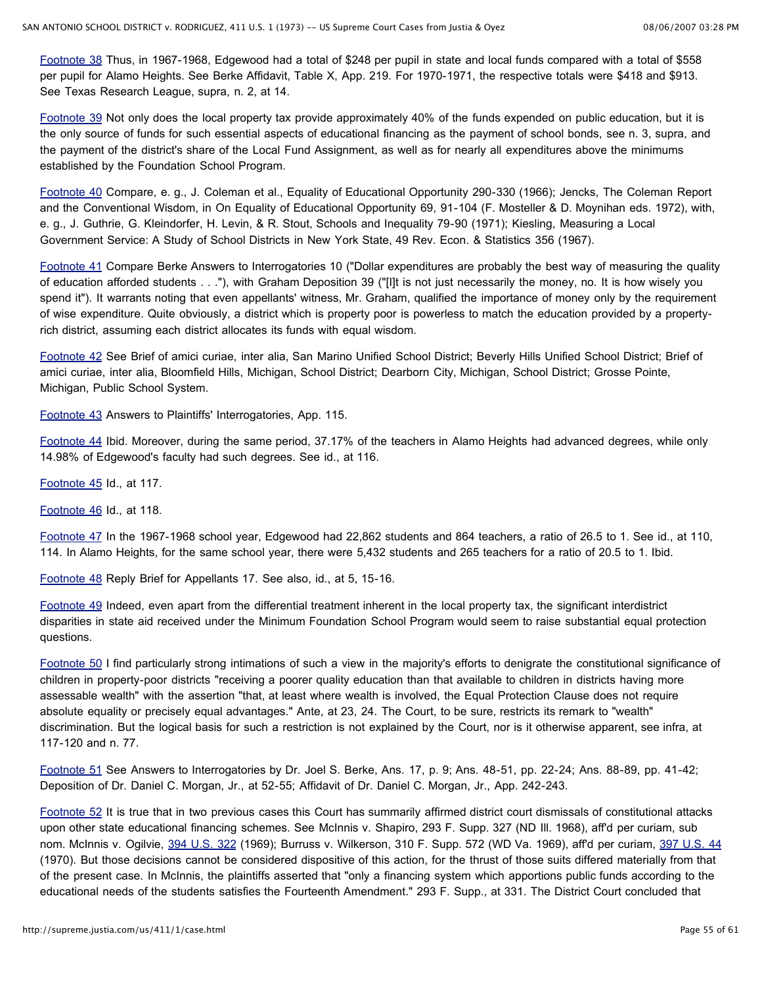Footnote 38 Thus, in 1967-1968, Edgewood had a total of \$248 per pupil in state and local funds compared with a total of \$558 per pupil for Alamo Heights. See Berke Affidavit, Table X, App. 219. For 1970-1971, the respective totals were \$418 and \$913. See Texas Research League, supra, n. 2, at 14.

Footnote 39 Not only does the local property tax provide approximately 40% of the funds expended on public education, but it is the only source of funds for such essential aspects of educational financing as the payment of school bonds, see n. 3, supra, and the payment of the district's share of the Local Fund Assignment, as well as for nearly all expenditures above the minimums established by the Foundation School Program.

Footnote 40 Compare, e. g., J. Coleman et al., Equality of Educational Opportunity 290-330 (1966); Jencks, The Coleman Report and the Conventional Wisdom, in On Equality of Educational Opportunity 69, 91-104 (F. Mosteller & D. Moynihan eds. 1972), with, e. g., J. Guthrie, G. Kleindorfer, H. Levin, & R. Stout, Schools and Inequality 79-90 (1971); Kiesling, Measuring a Local Government Service: A Study of School Districts in New York State, 49 Rev. Econ. & Statistics 356 (1967).

Footnote 41 Compare Berke Answers to Interrogatories 10 ("Dollar expenditures are probably the best way of measuring the quality of education afforded students . . ."), with Graham Deposition 39 ("[I]t is not just necessarily the money, no. It is how wisely you spend it"). It warrants noting that even appellants' witness, Mr. Graham, qualified the importance of money only by the requirement of wise expenditure. Quite obviously, a district which is property poor is powerless to match the education provided by a propertyrich district, assuming each district allocates its funds with equal wisdom.

Footnote 42 See Brief of amici curiae, inter alia, San Marino Unified School District; Beverly Hills Unified School District; Brief of amici curiae, inter alia, Bloomfield Hills, Michigan, School District; Dearborn City, Michigan, School District; Grosse Pointe, Michigan, Public School System.

Footnote 43 Answers to Plaintiffs' Interrogatories, App. 115.

Footnote 44 Ibid. Moreover, during the same period, 37.17% of the teachers in Alamo Heights had advanced degrees, while only 14.98% of Edgewood's faculty had such degrees. See id., at 116.

Footnote 45 Id., at 117.

Footnote 46 Id., at 118.

Footnote 47 In the 1967-1968 school year, Edgewood had 22,862 students and 864 teachers, a ratio of 26.5 to 1. See id., at 110, 114. In Alamo Heights, for the same school year, there were 5,432 students and 265 teachers for a ratio of 20.5 to 1. Ibid.

Footnote 48 Reply Brief for Appellants 17. See also, id., at 5, 15-16.

Footnote 49 Indeed, even apart from the differential treatment inherent in the local property tax, the significant interdistrict disparities in state aid received under the Minimum Foundation School Program would seem to raise substantial equal protection questions.

Footnote 50 I find particularly strong intimations of such a view in the majority's efforts to denigrate the constitutional significance of children in property-poor districts "receiving a poorer quality education than that available to children in districts having more assessable wealth" with the assertion "that, at least where wealth is involved, the Equal Protection Clause does not require absolute equality or precisely equal advantages." Ante, at 23, 24. The Court, to be sure, restricts its remark to "wealth" discrimination. But the logical basis for such a restriction is not explained by the Court, nor is it otherwise apparent, see infra, at 117-120 and n. 77.

Footnote 51 See Answers to Interrogatories by Dr. Joel S. Berke, Ans. 17, p. 9; Ans. 48-51, pp. 22-24; Ans. 88-89, pp. 41-42; Deposition of Dr. Daniel C. Morgan, Jr., at 52-55; Affidavit of Dr. Daniel C. Morgan, Jr., App. 242-243.

Footnote 52 It is true that in two previous cases this Court has summarily affirmed district court dismissals of constitutional attacks upon other state educational financing schemes. See McInnis v. Shapiro, 293 F. Supp. 327 (ND Ill. 1968), aff'd per curiam, sub nom. McInnis v. Ogilvie, 394 U.S. 322 (1969); Burruss v. Wilkerson, 310 F. Supp. 572 (WD Va. 1969), aff'd per curiam, 397 U.S. 44 (1970). But those decisions cannot be considered dispositive of this action, for the thrust of those suits differed materially from that of the present case. In McInnis, the plaintiffs asserted that "only a financing system which apportions public funds according to the educational needs of the students satisfies the Fourteenth Amendment." 293 F. Supp., at 331. The District Court concluded that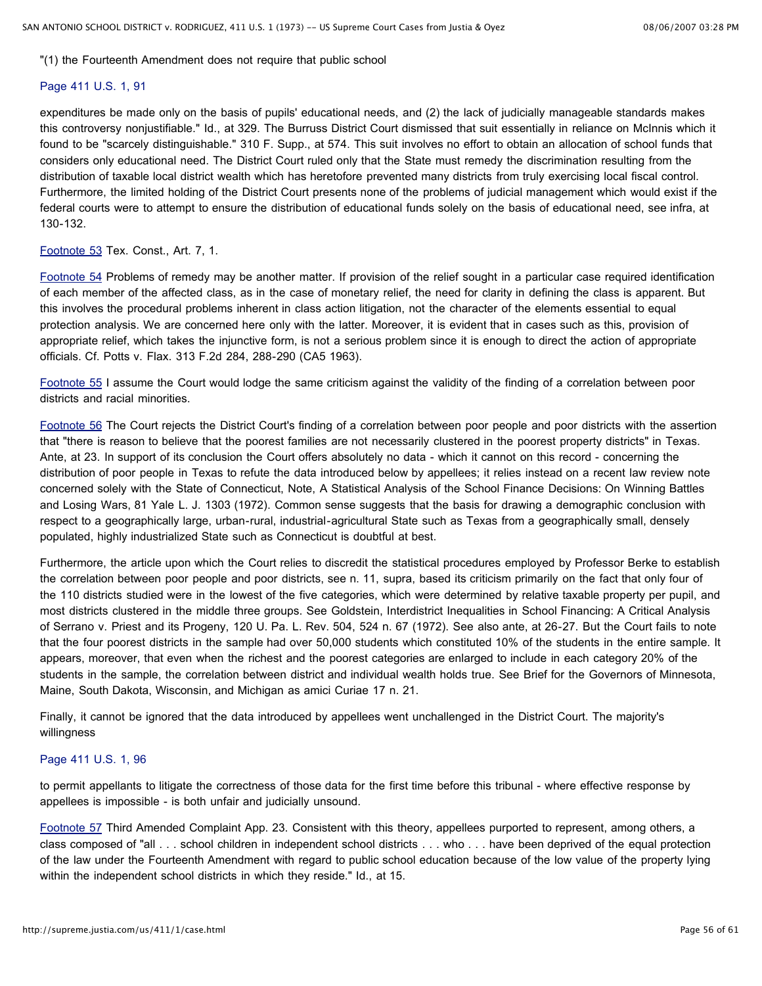"(1) the Fourteenth Amendment does not require that public school

# Page 411 U.S. 1, 91

expenditures be made only on the basis of pupils' educational needs, and (2) the lack of judicially manageable standards makes this controversy nonjustifiable." Id., at 329. The Burruss District Court dismissed that suit essentially in reliance on McInnis which it found to be "scarcely distinguishable." 310 F. Supp., at 574. This suit involves no effort to obtain an allocation of school funds that considers only educational need. The District Court ruled only that the State must remedy the discrimination resulting from the distribution of taxable local district wealth which has heretofore prevented many districts from truly exercising local fiscal control. Furthermore, the limited holding of the District Court presents none of the problems of judicial management which would exist if the federal courts were to attempt to ensure the distribution of educational funds solely on the basis of educational need, see infra, at 130-132.

# Footnote 53 Tex. Const., Art. 7, 1.

Footnote 54 Problems of remedy may be another matter. If provision of the relief sought in a particular case required identification of each member of the affected class, as in the case of monetary relief, the need for clarity in defining the class is apparent. But this involves the procedural problems inherent in class action litigation, not the character of the elements essential to equal protection analysis. We are concerned here only with the latter. Moreover, it is evident that in cases such as this, provision of appropriate relief, which takes the injunctive form, is not a serious problem since it is enough to direct the action of appropriate officials. Cf. Potts v. Flax. 313 F.2d 284, 288-290 (CA5 1963).

Footnote 55 I assume the Court would lodge the same criticism against the validity of the finding of a correlation between poor districts and racial minorities.

Footnote 56 The Court rejects the District Court's finding of a correlation between poor people and poor districts with the assertion that "there is reason to believe that the poorest families are not necessarily clustered in the poorest property districts" in Texas. Ante, at 23. In support of its conclusion the Court offers absolutely no data - which it cannot on this record - concerning the distribution of poor people in Texas to refute the data introduced below by appellees; it relies instead on a recent law review note concerned solely with the State of Connecticut, Note, A Statistical Analysis of the School Finance Decisions: On Winning Battles and Losing Wars, 81 Yale L. J. 1303 (1972). Common sense suggests that the basis for drawing a demographic conclusion with respect to a geographically large, urban-rural, industrial-agricultural State such as Texas from a geographically small, densely populated, highly industrialized State such as Connecticut is doubtful at best.

Furthermore, the article upon which the Court relies to discredit the statistical procedures employed by Professor Berke to establish the correlation between poor people and poor districts, see n. 11, supra, based its criticism primarily on the fact that only four of the 110 districts studied were in the lowest of the five categories, which were determined by relative taxable property per pupil, and most districts clustered in the middle three groups. See Goldstein, Interdistrict Inequalities in School Financing: A Critical Analysis of Serrano v. Priest and its Progeny, 120 U. Pa. L. Rev. 504, 524 n. 67 (1972). See also ante, at 26-27. But the Court fails to note that the four poorest districts in the sample had over 50,000 students which constituted 10% of the students in the entire sample. It appears, moreover, that even when the richest and the poorest categories are enlarged to include in each category 20% of the students in the sample, the correlation between district and individual wealth holds true. See Brief for the Governors of Minnesota, Maine, South Dakota, Wisconsin, and Michigan as amici Curiae 17 n. 21.

Finally, it cannot be ignored that the data introduced by appellees went unchallenged in the District Court. The majority's willingness

# Page 411 U.S. 1, 96

to permit appellants to litigate the correctness of those data for the first time before this tribunal - where effective response by appellees is impossible - is both unfair and judicially unsound.

Footnote 57 Third Amended Complaint App. 23. Consistent with this theory, appellees purported to represent, among others, a class composed of "all . . . school children in independent school districts . . . who . . . have been deprived of the equal protection of the law under the Fourteenth Amendment with regard to public school education because of the low value of the property lying within the independent school districts in which they reside." Id., at 15.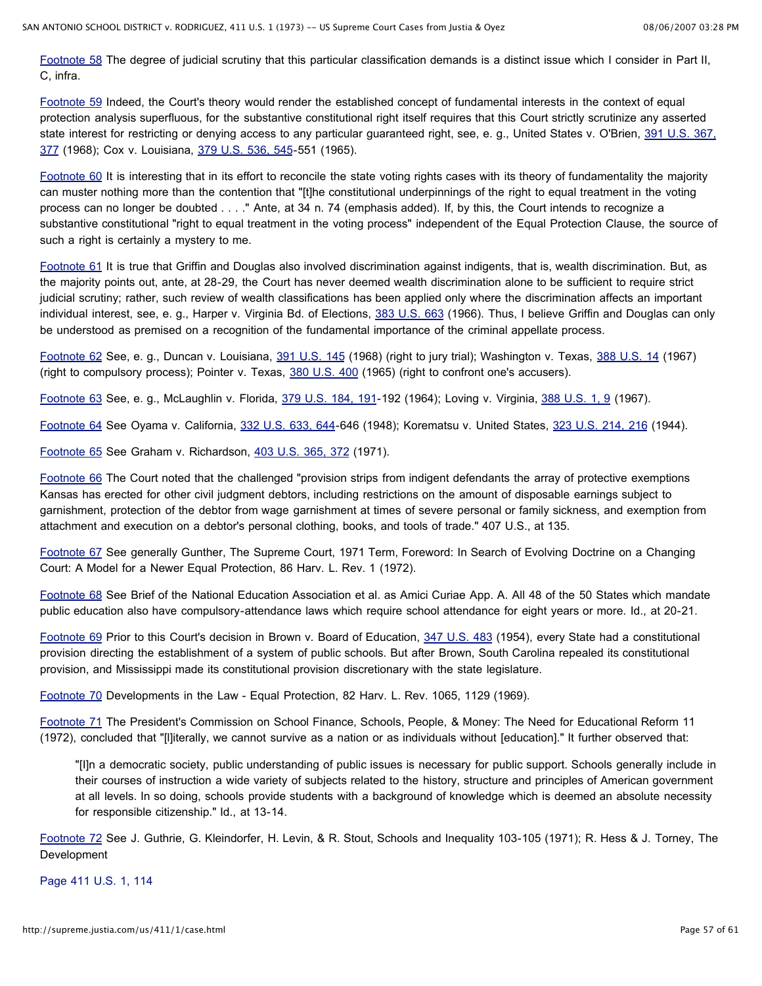Footnote 58 The degree of judicial scrutiny that this particular classification demands is a distinct issue which I consider in Part II, C, infra.

Footnote 59 Indeed, the Court's theory would render the established concept of fundamental interests in the context of equal protection analysis superfluous, for the substantive constitutional right itself requires that this Court strictly scrutinize any asserted state interest for restricting or denying access to any particular guaranteed right, see, e. g., United States v. O'Brien, 391 U.S. 367, 377 (1968); Cox v. Louisiana, 379 U.S. 536, 545-551 (1965).

Footnote 60 It is interesting that in its effort to reconcile the state voting rights cases with its theory of fundamentality the majority can muster nothing more than the contention that "[t]he constitutional underpinnings of the right to equal treatment in the voting process can no longer be doubted . . . ." Ante, at 34 n. 74 (emphasis added). If, by this, the Court intends to recognize a substantive constitutional "right to equal treatment in the voting process" independent of the Equal Protection Clause, the source of such a right is certainly a mystery to me.

Footnote 61 It is true that Griffin and Douglas also involved discrimination against indigents, that is, wealth discrimination. But, as the majority points out, ante, at 28-29, the Court has never deemed wealth discrimination alone to be sufficient to require strict judicial scrutiny; rather, such review of wealth classifications has been applied only where the discrimination affects an important individual interest, see, e. g., Harper v. Virginia Bd. of Elections, 383 U.S. 663 (1966). Thus, I believe Griffin and Douglas can only be understood as premised on a recognition of the fundamental importance of the criminal appellate process.

Footnote 62 See, e. g., Duncan v. Louisiana, 391 U.S. 145 (1968) (right to jury trial); Washington v. Texas, 388 U.S. 14 (1967) (right to compulsory process); Pointer v. Texas, 380 U.S. 400 (1965) (right to confront one's accusers).

Footnote 63 See, e. g., McLaughlin v. Florida, 379 U.S. 184, 191-192 (1964); Loving v. Virginia, 388 U.S. 1, 9 (1967).

Footnote 64 See Oyama v. California, 332 U.S. 633, 644-646 (1948); Korematsu v. United States, 323 U.S. 214, 216 (1944).

Footnote 65 See Graham v. Richardson, 403 U.S. 365, 372 (1971).

Footnote 66 The Court noted that the challenged "provision strips from indigent defendants the array of protective exemptions Kansas has erected for other civil judgment debtors, including restrictions on the amount of disposable earnings subject to garnishment, protection of the debtor from wage garnishment at times of severe personal or family sickness, and exemption from attachment and execution on a debtor's personal clothing, books, and tools of trade." 407 U.S., at 135.

Footnote 67 See generally Gunther, The Supreme Court, 1971 Term, Foreword: In Search of Evolving Doctrine on a Changing Court: A Model for a Newer Equal Protection, 86 Harv. L. Rev. 1 (1972).

Footnote 68 See Brief of the National Education Association et al. as Amici Curiae App. A. All 48 of the 50 States which mandate public education also have compulsory-attendance laws which require school attendance for eight years or more. Id., at 20-21.

Footnote 69 Prior to this Court's decision in Brown v. Board of Education, 347 U.S. 483 (1954), every State had a constitutional provision directing the establishment of a system of public schools. But after Brown, South Carolina repealed its constitutional provision, and Mississippi made its constitutional provision discretionary with the state legislature.

Footnote 70 Developments in the Law - Equal Protection, 82 Harv. L. Rev. 1065, 1129 (1969).

Footnote 71 The President's Commission on School Finance, Schools, People, & Money: The Need for Educational Reform 11 (1972), concluded that "[l]iterally, we cannot survive as a nation or as individuals without [education]." It further observed that:

"[I]n a democratic society, public understanding of public issues is necessary for public support. Schools generally include in their courses of instruction a wide variety of subjects related to the history, structure and principles of American government at all levels. In so doing, schools provide students with a background of knowledge which is deemed an absolute necessity for responsible citizenship." Id., at 13-14.

Footnote 72 See J. Guthrie, G. Kleindorfer, H. Levin, & R. Stout, Schools and Inequality 103-105 (1971); R. Hess & J. Torney, The Development

Page 411 U.S. 1, 114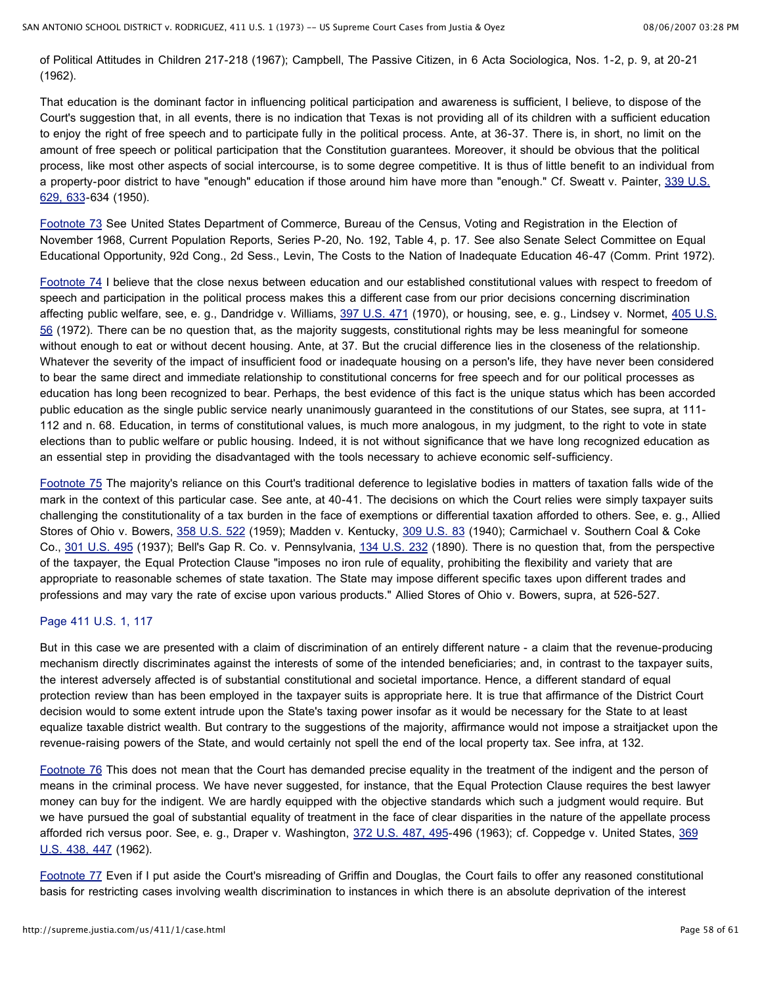of Political Attitudes in Children 217-218 (1967); Campbell, The Passive Citizen, in 6 Acta Sociologica, Nos. 1-2, p. 9, at 20-21 (1962).

That education is the dominant factor in influencing political participation and awareness is sufficient, I believe, to dispose of the Court's suggestion that, in all events, there is no indication that Texas is not providing all of its children with a sufficient education to enjoy the right of free speech and to participate fully in the political process. Ante, at 36-37. There is, in short, no limit on the amount of free speech or political participation that the Constitution guarantees. Moreover, it should be obvious that the political process, like most other aspects of social intercourse, is to some degree competitive. It is thus of little benefit to an individual from a property-poor district to have "enough" education if those around him have more than "enough." Cf. Sweatt v. Painter, 339 U.S. 629, 633-634 (1950).

Footnote 73 See United States Department of Commerce, Bureau of the Census, Voting and Registration in the Election of November 1968, Current Population Reports, Series P-20, No. 192, Table 4, p. 17. See also Senate Select Committee on Equal Educational Opportunity, 92d Cong., 2d Sess., Levin, The Costs to the Nation of Inadequate Education 46-47 (Comm. Print 1972).

Footnote 74 I believe that the close nexus between education and our established constitutional values with respect to freedom of speech and participation in the political process makes this a different case from our prior decisions concerning discrimination affecting public welfare, see, e. g., Dandridge v. Williams, 397 U.S. 471 (1970), or housing, see, e. g., Lindsey v. Normet, 405 U.S. 56 (1972). There can be no question that, as the majority suggests, constitutional rights may be less meaningful for someone without enough to eat or without decent housing. Ante, at 37. But the crucial difference lies in the closeness of the relationship. Whatever the severity of the impact of insufficient food or inadequate housing on a person's life, they have never been considered to bear the same direct and immediate relationship to constitutional concerns for free speech and for our political processes as education has long been recognized to bear. Perhaps, the best evidence of this fact is the unique status which has been accorded public education as the single public service nearly unanimously guaranteed in the constitutions of our States, see supra, at 111- 112 and n. 68. Education, in terms of constitutional values, is much more analogous, in my judgment, to the right to vote in state elections than to public welfare or public housing. Indeed, it is not without significance that we have long recognized education as an essential step in providing the disadvantaged with the tools necessary to achieve economic self-sufficiency.

Footnote 75 The majority's reliance on this Court's traditional deference to legislative bodies in matters of taxation falls wide of the mark in the context of this particular case. See ante, at 40-41. The decisions on which the Court relies were simply taxpayer suits challenging the constitutionality of a tax burden in the face of exemptions or differential taxation afforded to others. See, e. g., Allied Stores of Ohio v. Bowers, 358 U.S. 522 (1959); Madden v. Kentucky, 309 U.S. 83 (1940); Carmichael v. Southern Coal & Coke Co., 301 U.S. 495 (1937); Bell's Gap R. Co. v. Pennsylvania, 134 U.S. 232 (1890). There is no question that, from the perspective of the taxpayer, the Equal Protection Clause "imposes no iron rule of equality, prohibiting the flexibility and variety that are appropriate to reasonable schemes of state taxation. The State may impose different specific taxes upon different trades and professions and may vary the rate of excise upon various products." Allied Stores of Ohio v. Bowers, supra, at 526-527.

# Page 411 U.S. 1, 117

But in this case we are presented with a claim of discrimination of an entirely different nature - a claim that the revenue-producing mechanism directly discriminates against the interests of some of the intended beneficiaries; and, in contrast to the taxpayer suits, the interest adversely affected is of substantial constitutional and societal importance. Hence, a different standard of equal protection review than has been employed in the taxpayer suits is appropriate here. It is true that affirmance of the District Court decision would to some extent intrude upon the State's taxing power insofar as it would be necessary for the State to at least equalize taxable district wealth. But contrary to the suggestions of the majority, affirmance would not impose a straitjacket upon the revenue-raising powers of the State, and would certainly not spell the end of the local property tax. See infra, at 132.

Footnote 76 This does not mean that the Court has demanded precise equality in the treatment of the indigent and the person of means in the criminal process. We have never suggested, for instance, that the Equal Protection Clause requires the best lawyer money can buy for the indigent. We are hardly equipped with the objective standards which such a judgment would require. But we have pursued the goal of substantial equality of treatment in the face of clear disparities in the nature of the appellate process afforded rich versus poor. See, e. g., Draper v. Washington, 372 U.S. 487, 495-496 (1963); cf. Coppedge v. United States, 369 U.S. 438, 447 (1962).

Footnote 77 Even if I put aside the Court's misreading of Griffin and Douglas, the Court fails to offer any reasoned constitutional basis for restricting cases involving wealth discrimination to instances in which there is an absolute deprivation of the interest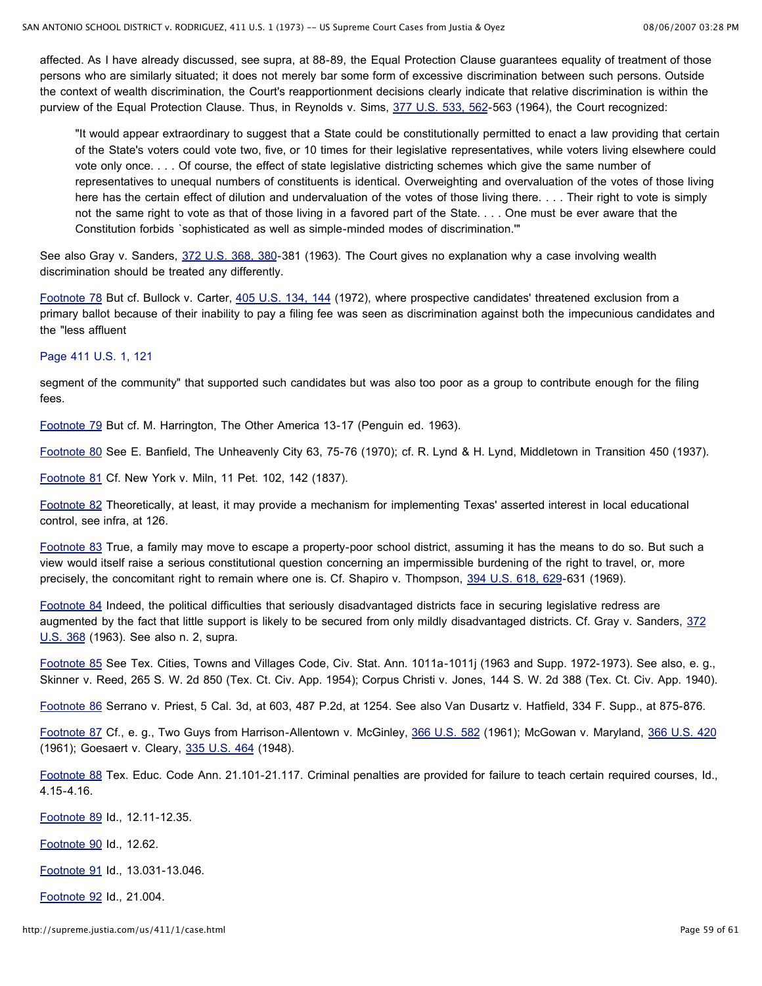affected. As I have already discussed, see supra, at 88-89, the Equal Protection Clause guarantees equality of treatment of those persons who are similarly situated; it does not merely bar some form of excessive discrimination between such persons. Outside the context of wealth discrimination, the Court's reapportionment decisions clearly indicate that relative discrimination is within the purview of the Equal Protection Clause. Thus, in Reynolds v. Sims, 377 U.S. 533, 562-563 (1964), the Court recognized:

"It would appear extraordinary to suggest that a State could be constitutionally permitted to enact a law providing that certain of the State's voters could vote two, five, or 10 times for their legislative representatives, while voters living elsewhere could vote only once. . . . Of course, the effect of state legislative districting schemes which give the same number of representatives to unequal numbers of constituents is identical. Overweighting and overvaluation of the votes of those living here has the certain effect of dilution and undervaluation of the votes of those living there. . . . Their right to vote is simply not the same right to vote as that of those living in a favored part of the State. . . . One must be ever aware that the Constitution forbids `sophisticated as well as simple-minded modes of discrimination.'"

See also Gray v. Sanders, 372 U.S. 368, 380-381 (1963). The Court gives no explanation why a case involving wealth discrimination should be treated any differently.

Footnote 78 But cf. Bullock v. Carter, 405 U.S. 134, 144 (1972), where prospective candidates' threatened exclusion from a primary ballot because of their inability to pay a filing fee was seen as discrimination against both the impecunious candidates and the "less affluent

# Page 411 U.S. 1, 121

segment of the community" that supported such candidates but was also too poor as a group to contribute enough for the filing fees.

Footnote 79 But cf. M. Harrington, The Other America 13-17 (Penguin ed. 1963).

Footnote 80 See E. Banfield, The Unheavenly City 63, 75-76 (1970); cf. R. Lynd & H. Lynd, Middletown in Transition 450 (1937).

Footnote 81 Cf. New York v. Miln, 11 Pet. 102, 142 (1837).

Footnote 82 Theoretically, at least, it may provide a mechanism for implementing Texas' asserted interest in local educational control, see infra, at 126.

Footnote 83 True, a family may move to escape a property-poor school district, assuming it has the means to do so. But such a view would itself raise a serious constitutional question concerning an impermissible burdening of the right to travel, or, more precisely, the concomitant right to remain where one is. Cf. Shapiro v. Thompson, 394 U.S. 618, 629-631 (1969).

Footnote 84 Indeed, the political difficulties that seriously disadvantaged districts face in securing legislative redress are augmented by the fact that little support is likely to be secured from only mildly disadvantaged districts. Cf. Gray v. Sanders, 372 U.S. 368 (1963). See also n. 2, supra.

Footnote 85 See Tex. Cities, Towns and Villages Code, Civ. Stat. Ann. 1011a-1011j (1963 and Supp. 1972-1973). See also, e. g., Skinner v. Reed, 265 S. W. 2d 850 (Tex. Ct. Civ. App. 1954); Corpus Christi v. Jones, 144 S. W. 2d 388 (Tex. Ct. Civ. App. 1940).

Footnote 86 Serrano v. Priest, 5 Cal. 3d, at 603, 487 P.2d, at 1254. See also Van Dusartz v. Hatfield, 334 F. Supp., at 875-876.

Footnote 87 Cf., e. g., Two Guys from Harrison-Allentown v. McGinley, 366 U.S. 582 (1961); McGowan v. Maryland, 366 U.S. 420 (1961); Goesaert v. Cleary, 335 U.S. 464 (1948).

Footnote 88 Tex. Educ. Code Ann. 21.101-21.117. Criminal penalties are provided for failure to teach certain required courses, Id., 4.15-4.16.

Footnote 89 Id., 12.11-12.35.

Footnote 90 Id., 12.62.

Footnote 91 Id., 13.031-13.046.

Footnote 92 Id., 21.004.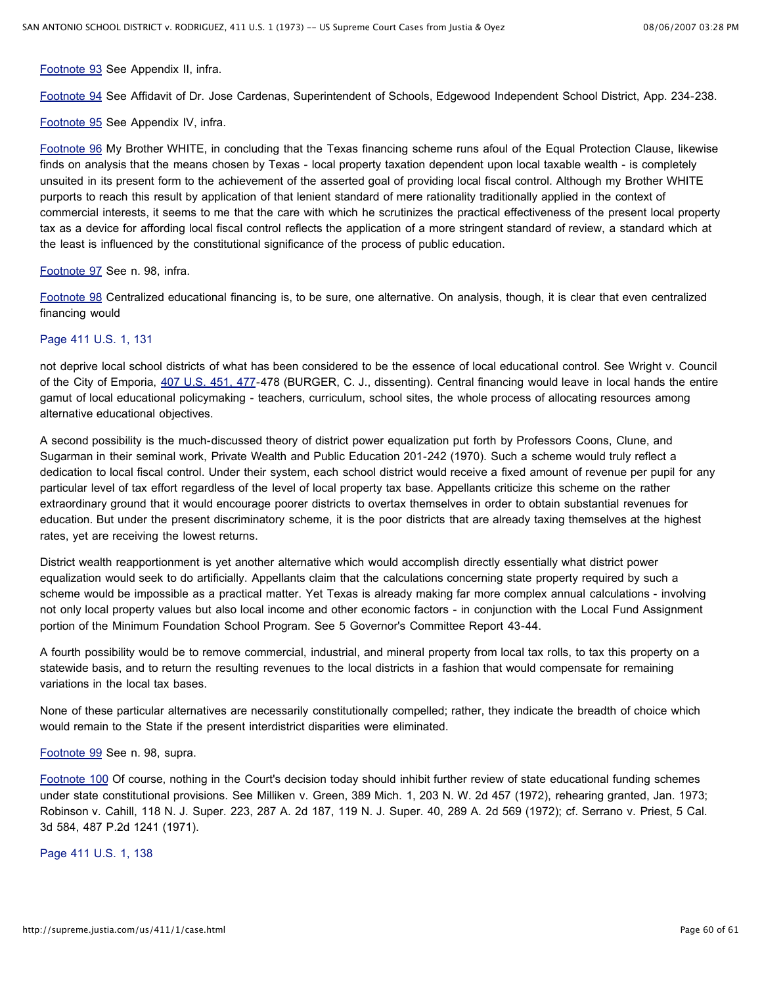Footnote 93 See Appendix II, infra.

Footnote 94 See Affidavit of Dr. Jose Cardenas, Superintendent of Schools, Edgewood Independent School District, App. 234-238.

Footnote 95 See Appendix IV, infra.

Footnote 96 My Brother WHITE, in concluding that the Texas financing scheme runs afoul of the Equal Protection Clause, likewise finds on analysis that the means chosen by Texas - local property taxation dependent upon local taxable wealth - is completely unsuited in its present form to the achievement of the asserted goal of providing local fiscal control. Although my Brother WHITE purports to reach this result by application of that lenient standard of mere rationality traditionally applied in the context of commercial interests, it seems to me that the care with which he scrutinizes the practical effectiveness of the present local property tax as a device for affording local fiscal control reflects the application of a more stringent standard of review, a standard which at the least is influenced by the constitutional significance of the process of public education.

Footnote 97 See n. 98, infra.

Footnote 98 Centralized educational financing is, to be sure, one alternative. On analysis, though, it is clear that even centralized financing would

# Page 411 U.S. 1, 131

not deprive local school districts of what has been considered to be the essence of local educational control. See Wright v. Council of the City of Emporia,  $407$  U.S. 451, 477-478 (BURGER, C. J., dissenting). Central financing would leave in local hands the entire gamut of local educational policymaking - teachers, curriculum, school sites, the whole process of allocating resources among alternative educational objectives.

A second possibility is the much-discussed theory of district power equalization put forth by Professors Coons, Clune, and Sugarman in their seminal work, Private Wealth and Public Education 201-242 (1970). Such a scheme would truly reflect a dedication to local fiscal control. Under their system, each school district would receive a fixed amount of revenue per pupil for any particular level of tax effort regardless of the level of local property tax base. Appellants criticize this scheme on the rather extraordinary ground that it would encourage poorer districts to overtax themselves in order to obtain substantial revenues for education. But under the present discriminatory scheme, it is the poor districts that are already taxing themselves at the highest rates, yet are receiving the lowest returns.

District wealth reapportionment is yet another alternative which would accomplish directly essentially what district power equalization would seek to do artificially. Appellants claim that the calculations concerning state property required by such a scheme would be impossible as a practical matter. Yet Texas is already making far more complex annual calculations - involving not only local property values but also local income and other economic factors - in conjunction with the Local Fund Assignment portion of the Minimum Foundation School Program. See 5 Governor's Committee Report 43-44.

A fourth possibility would be to remove commercial, industrial, and mineral property from local tax rolls, to tax this property on a statewide basis, and to return the resulting revenues to the local districts in a fashion that would compensate for remaining variations in the local tax bases.

None of these particular alternatives are necessarily constitutionally compelled; rather, they indicate the breadth of choice which would remain to the State if the present interdistrict disparities were eliminated.

# Footnote 99 See n. 98, supra.

Footnote 100 Of course, nothing in the Court's decision today should inhibit further review of state educational funding schemes under state constitutional provisions. See Milliken v. Green, 389 Mich. 1, 203 N. W. 2d 457 (1972), rehearing granted, Jan. 1973; Robinson v. Cahill, 118 N. J. Super. 223, 287 A. 2d 187, 119 N. J. Super. 40, 289 A. 2d 569 (1972); cf. Serrano v. Priest, 5 Cal. 3d 584, 487 P.2d 1241 (1971).

Page 411 U.S. 1, 138